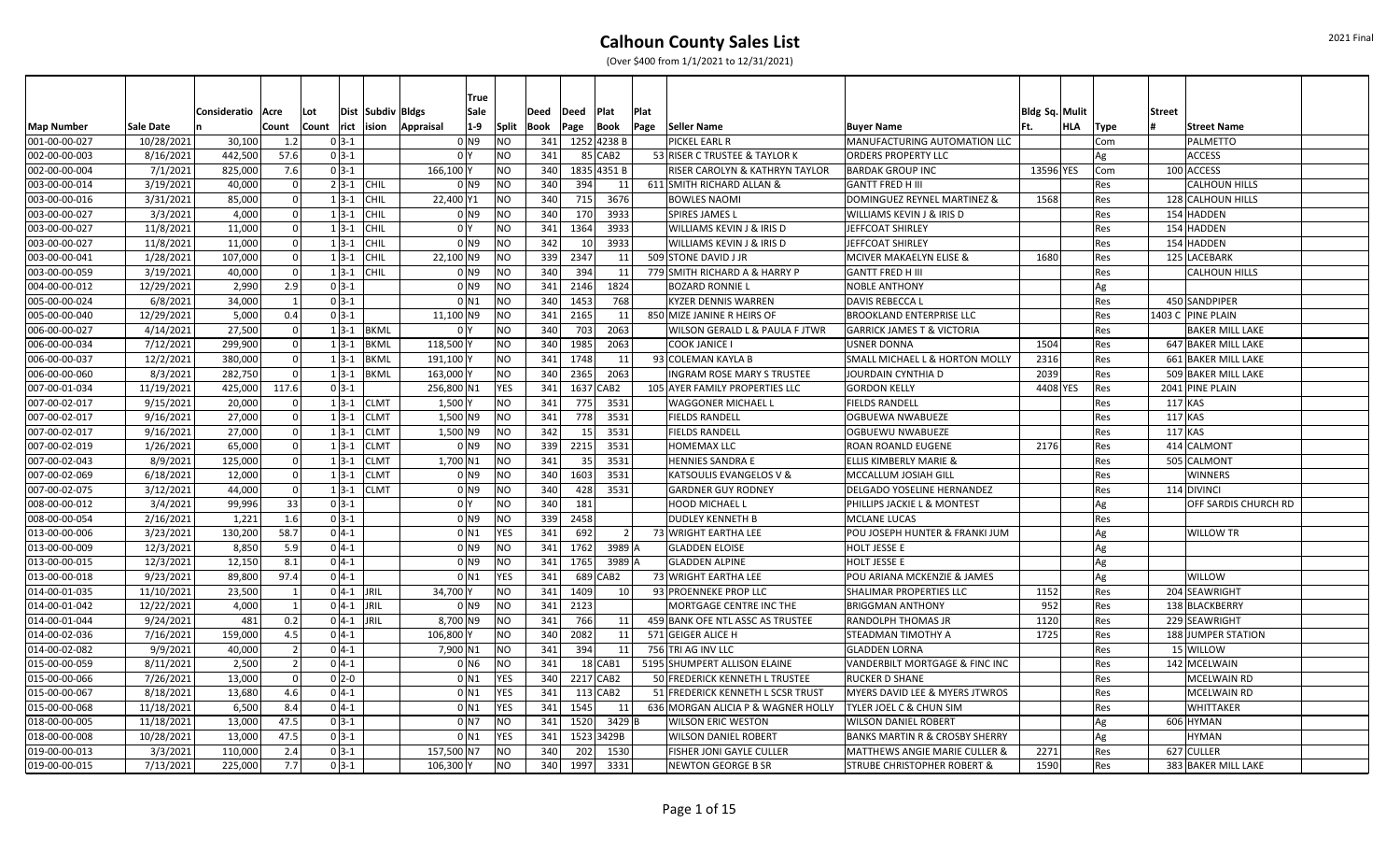|                   |            |                     |                |                  |               |                      | True                |                |      |                 |             |      |                                      |                                           |                |     |      |                        |
|-------------------|------------|---------------------|----------------|------------------|---------------|----------------------|---------------------|----------------|------|-----------------|-------------|------|--------------------------------------|-------------------------------------------|----------------|-----|------|------------------------|
|                   |            | Consideratio   Acre |                | Lot              |               | Dist  Subdiv   Bldgs | Sale                |                | Deed | <b>Deed</b>     | Plat        | Plat |                                      |                                           | Bldg Sq. Mulit |     |      | Street                 |
| <b>Map Number</b> | Sale Date  |                     | Count          | Count rict ision |               |                      | $1-9$<br>Appraisal  | Split          | Book | Page            | Book        | Page | Seller Name                          | <b>Buyer Name</b>                         | Ft.            | HLA | Type | <b>Street Name</b>     |
| 001-00-00-027     | 10/28/2021 | 30,100              | 1.2            |                  | $0 3-1$       |                      | 0 N9                | <b>NO</b>      |      | 341 1252 4238 B |             |      | PICKEL EARL R                        | MANUFACTURING AUTOMATION LLC              |                |     | Com  | <b>PALMETTO</b>        |
| 002-00-00-003     | 8/16/2021  | 442,500             | 57.6           |                  | $0 3-1$       |                      | 0 <sup>1</sup>      | NO             | 341  |                 | 85 CAB2     |      | 53 RISER C TRUSTEE & TAYLOR K        | <b>ORDERS PROPERTY LLC</b>                |                |     | Ag   | <b>ACCESS</b>          |
| 002-00-00-004     | 7/1/2021   | 825,000             | 7.6            |                  | $0 3-1 $      |                      | 166.100 Y           | <b>NO</b>      | 340  |                 | 1835 4351 B |      | RISER CAROLYN & KATHRYN TAYLOR       | <b>BARDAK GROUP INC</b>                   | 13596 YES      |     | Com  | 100 ACCESS             |
| 003-00-00-014     | 3/19/2021  | 40,000              | - Ol           |                  | $2 3-1 $ CHIL |                      | $01$ N <sub>9</sub> | <b>NO</b>      | 340  | 394             | 11          |      | 611 SMITH RICHARD ALLAN &            | <b>GANTT FRED H III</b>                   |                |     | Res  | CALHOUN HILLS          |
| 003-00-00-016     | 3/31/2021  | 85,000              | $\Omega$       |                  | $1 3-1 $      | <b>CHIL</b>          | 22,400 Y1           | N <sub>O</sub> | 340  | 715             | 3676        |      | <b>BOWLES NAOMI</b>                  | DOMINGUEZ REYNEL MARTINEZ &               | 1568           |     | Res  | 128 CALHOUN HILLS      |
| 003-00-00-027     | 3/3/2021   | 4,000               | $\Omega$       |                  | $1 3-1 $      | <b>CHIL</b>          | 0 N9                | NO             | 340  | 170             | 3933        |      | <b>SPIRES JAMES L</b>                | <b>WILLIAMS KEVIN J &amp; IRIS D</b>      |                |     | Res  | 154 HADDEN             |
| 003-00-00-027     | 11/8/2021  | 11,000              | nl             |                  | $1 3-1 $      | <b>CHIL</b>          | 0 <sup>1</sup>      | N <sub>O</sub> | 341  | 1364            | 3933        |      | <b>WILLIAMS KEVIN J &amp; IRIS D</b> | JEFFCOAT SHIRLEY                          |                |     | Res  | 154 HADDEN             |
| 003-00-00-027     | 11/8/2021  | 11,000              |                |                  | $1 3-1 $      | <b>CHIL</b>          | $01$ N <sub>9</sub> | NO             | 342  | 10              | 3933        |      | WILLIAMS KEVIN J & IRIS D            | JEFFCOAT SHIRLEY                          |                |     | Res  | 154 HADDEN             |
| 003-00-00-041     | 1/28/2021  | 107,000             |                |                  | $1 3-1 $      | <b>CHIL</b>          | 22,100 N9           | <b>NO</b>      | 339  | 2347            | 11          |      | 509 STONE DAVID J JR                 | MCIVER MAKAELYN ELISE &                   | 1680           |     | Res  | 125 LACEBARK           |
| 003-00-00-059     | 3/19/2021  | 40,000              | -ol            |                  | $1 3-1 $      | <b>CHIL</b>          | 0 N9                | NO             | 340  | 394             | 11          |      | 779 SMITH RICHARD A & HARRY P        | <b>GANTT FRED H III</b>                   |                |     | Res  | <b>CALHOUN HILLS</b>   |
| 004-00-00-012     | 12/29/2021 | 2,990               | 2.9            |                  | $0 3-1$       |                      | $01$ N <sub>9</sub> | N <sub>O</sub> | 341  | 2146            | 1824        |      | <b>BOZARD RONNIE I</b>               | <b>NOBLE ANTHONY</b>                      |                |     | Ag   |                        |
| 005-00-00-024     | 6/8/2021   | 34,000              | 1              |                  | $0 3-1 $      |                      | $0$ N1              | N <sub>O</sub> | 340  | 1453            | 768         |      | <b>KYZER DENNIS WARREN</b>           | <b>DAVIS REBECCA L</b>                    |                |     | Res  | 450 SANDPIPER          |
| 005-00-00-040     | 12/29/2021 | 5,000               | 0.4            |                  | $0 3-1 $      |                      | 11,100 N9           | <b>NO</b>      | 341  | 2165            | 11          |      | 850 MIZE JANINE R HEIRS OF           | <b>BROOKLAND ENTERPRISE LLC</b>           |                |     | Res  | 1403 C  PINE PLAIN     |
| 006-00-00-027     | 4/14/2021  | 27,500              | - Ol           |                  | $1 3-1 $ BKML |                      | 0 Y                 | <b>NO</b>      | 340  | 703             | 2063        |      | WILSON GERALD L & PAULA F JTWR       | <b>GARRICK JAMES T &amp; VICTORIA</b>     |                |     | Res  | <b>BAKER MILL LAKE</b> |
| 006-00-00-034     | 7/12/2021  | 299,900             | $\Omega$       |                  | $1 3-1 $      | <b>BKML</b>          | 118,500             | <b>NO</b>      | 340  | 1985            | 2063        |      | <b>COOK JANICE I</b>                 | <b>USNER DONNA</b>                        | 1504           |     | Res  | 647 BAKER MILL LAKE    |
| 006-00-00-037     | 12/2/2021  | 380,000             | 0l             |                  | $1 3-1 $      | <b>BKML</b>          | 191,100             | N <sub>O</sub> | 341  | 1748            | 11          |      | 93 COLEMAN KAYLA B                   | <b>SMALL MICHAEL L &amp; HORTON MOLLY</b> | 2316           |     | Res  | 661 BAKER MILL LAKE    |
| 006-00-00-060     | 8/3/2021   | 282,750             |                |                  | $1 3-1 $      | <b>BKML</b>          | 163,000             | <b>NO</b>      | 340  | 2365            | 2063        |      | <b>INGRAM ROSE MARY S TRUSTEE</b>    | JOURDAIN CYNTHIA D                        | 2039           |     | रेes | 509 BAKER MILL LAKE    |
| 007-00-01-034     | 11/19/2021 | 425,000             | 117.6          |                  | $0 3-1$       |                      | 256,800 N1          | <b>YES</b>     | 341  |                 | 1637 CAB2   |      | 105 AYER FAMILY PROPERTIES LLC       | <b>GORDON KELLY</b>                       | 4408 YES       |     | Res  | 2041 PINE PLAIN        |
| 007-00-02-017     | 9/15/2021  | 20,000              | $\Omega$       |                  | $1 3-1 $      | <b>CLMT</b>          | 1,500               | NO             | 341  | 775             | 3531        |      | <b>WAGGONER MICHAEL L</b>            | <b>FIELDS RANDELL</b>                     |                |     | Res  | 117 KAS                |
| 007-00-02-017     | 9/16/2021  | 27,000              | -ol            |                  |               | $1 3-1 CLMT$         | $1,500$ N9          | N <sub>O</sub> | 341  | 778             | 3531        |      | <b>FIELDS RANDELL</b>                | <b>OGBUEWA NWABUEZE</b>                   |                |     | Res  | 117 KAS                |
| 007-00-02-017     | 9/16/2021  | 27,000              | -ol            |                  | $1 3-1 $      | <b>CLMT</b>          | 1,500 N9            | N <sub>O</sub> | 342  | 15              | 3531        |      | <b>FIELDS RANDELL</b>                | <b>OGBUEWU NWABUEZE</b>                   |                |     | Res  | 117 KAS                |
| 007-00-02-019     | 1/26/2021  | 65,000              | -ol            |                  | $1 3-1 $      | <b>CLMT</b>          | 0 N9                | NO             | 339  | 2215            | 3531        |      | <b>HOMEMAX LLC</b>                   | <b>ROAN ROANLD EUGENE</b>                 | 2176           |     | Res  | 414 CALMONT            |
| 007-00-02-043     | 8/9/2021   | 125,000             | 0l             |                  | $1 3-1 $      | <b>CLMT</b>          | 1,700 N1            | NO             | 341  | 35              | 3531        |      | HENNIES SANDRA E                     | ELLIS KIMBERLY MARIE &                    |                |     | Res  | 505 CALMONT            |
| 007-00-02-069     | 6/18/2021  | 12,000              | $\Omega$       |                  | $1 3-1 $      | <b>CLMT</b>          | 0 N9                | <b>NO</b>      | 340  | 1603            | 3531        |      | KATSOULIS EVANGELOS V &              | MCCALLUM JOSIAH GILL                      |                |     | Res  | WINNERS                |
| 007-00-02-075     | 3/12/2021  | 44,000              | 0l             |                  | $1 3-1 $      | <b>CLMT</b>          | 0 N9                | N <sub>O</sub> | 340  | 428             | 3531        |      | <b>GARDNER GUY RODNEY</b>            | <b>DELGADO YOSELINE HERNANDEZ</b>         |                |     | Res  | 114 DIVINCI            |
| 008-00-00-012     | 3/4/2021   | 99,996              | 33             |                  | $0 3-1$       |                      | 0 <sup>N</sup>      | <b>NO</b>      | 340  | 181             |             |      | <b>HOOD MICHAEL I</b>                | PHILLIPS JACKIE L & MONTEST               |                |     | Ag   | OFF SARDIS CHURCH RD   |
| 008-00-00-054     | 2/16/2021  | 1,221               | 1.6            |                  | $0 3-1$       |                      | $01$ N <sub>9</sub> | NO             | 339  | 2458            |             |      | DUDLEY KENNETH B                     | <b>MCLANE LUCAS</b>                       |                |     | Res  |                        |
| 013-00-00-006     | 3/23/2021  | 130,200             | 58.7           |                  | $0 4-1 $      |                      | 0 N1                | <b>YES</b>     | 341  | 692             | <b>21</b>   |      | 73 WRIGHT EARTHA LEE                 | POU JOSEPH HUNTER & FRANKI JUM            |                |     | Ag   | <b>WILLOW TR</b>       |
| 013-00-00-009     | 12/3/2021  | 8,850               | 5.9            |                  | $0 4-1 $      |                      | 0 N9                | N <sub>O</sub> | 341  | 1762            | 3989 A      |      | <b>GLADDEN ELOISE</b>                | <b>HOLT JESSE E</b>                       |                |     | Ag   |                        |
| 013-00-00-015     | 12/3/2021  | 12,150              | 8.1            |                  | $0 4-1 $      |                      | 0 N9                | NO             | 341  | 1765            | 3989 A      |      | <b>GLADDEN ALPINE</b>                | <b>HOLT JESSE E</b>                       |                |     | Ag   |                        |
| 013-00-00-018     | 9/23/2021  | 89,800              | 97.4           |                  | $0 4-1 $      |                      | $0$ $N1$            | <b>YES</b>     | 341  |                 | 689 CAB2    |      | 73 WRIGHT EARTHA LEE                 | POU ARIANA MCKENZIE & JAMES               |                |     | Ag   | <b>WILLOW</b>          |
| 014-00-01-035     | 11/10/2021 | 23,500              |                |                  | $0 4-1 $ JRIL |                      | 34,700              | <b>NO</b>      | 341  | 1409            | 10          |      | 93 PROENNEKE PROP LLC                | <b>SHALIMAR PROPERTIES LLC</b>            | 1152           |     | Res  | 204 SEAWRIGHT          |
| 014-00-01-042     | 12/22/2021 | 4,000               | $\overline{1}$ |                  | $0 4-1 $ JRIL |                      | 0 N 9               | <b>NO</b>      | 341  | 2123            |             |      | MORTGAGE CENTRE INC THE              | <b>BRIGGMAN ANTHONY</b>                   | 952            |     | Res  | 138 BLACKBERRY         |
| 014-00-01-044     | 9/24/2021  | 481                 | 0.2            |                  | $0 4-1 $ JRIL |                      | 8,700 N9            | N <sub>O</sub> | 341  | 766             | 11          |      | 459 BANK OFE NTL ASSC AS TRUSTEE     | <b>RANDOLPH THOMAS JR</b>                 | 1120           |     | Res  | 229 SEAWRIGHT          |
| 014-00-02-036     | 7/16/2021  | 159,000             | 4.5            |                  | $0 4-1 $      |                      | 106,800             | <b>NO</b>      | 340  | 2082            | 11          |      | 571 GEIGER ALICE H                   | <b>STEADMAN TIMOTHY A</b>                 | 1725           |     | Res  | 188 JUMPER STATION     |
| 014-00-02-082     | 9/9/2021   | 40,000              | $\overline{2}$ |                  | $0 4-1$       |                      | 7,900 N1            | N <sub>O</sub> | 341  | 394             | 11          |      | 756 TRI AG INV LLC                   | <b>GLADDEN LORNA</b>                      |                |     | Res  | 15 WILLOW              |
| 015-00-00-059     | 8/11/2021  | 2,500               |                |                  | $0 4-1 $      |                      | $01$ N <sub>6</sub> | <b>NO</b>      | 341  |                 | $18$ CAB1   |      | 5195 SHUMPERT ALLISON ELAINE         | VANDERBILT MORTGAGE & FINC INC            |                |     | Res  | 142 MCELWAIN           |
| 015-00-00-066     | 7/26/2021  | 13,000              |                |                  | $0 2-0$       |                      | $0$ $N1$            | <b>YES</b>     | 340  |                 | 2217 CAB2   |      | 50 FREDERICK KENNETH L TRUSTEE       | <b>RUCKER D SHANE</b>                     |                |     | Res  | <b>MCELWAIN RD</b>     |
| 015-00-00-067     | 8/18/2021  | 13,680              | 4.6            |                  | $0 4-1 $      |                      | $0$ N1              | YES            | 341  |                 | $113$ CAB2  |      | 51 FREDERICK KENNETH L SCSR TRUST    | MYERS DAVID LEE & MYERS JTWROS            |                |     | Res  | <b>MCELWAIN RD</b>     |
| 015-00-00-068     | 11/18/2021 | 6,500               | 8.4            |                  | $0 4-1 $      |                      | $0$ N1              | <b>YES</b>     | 341  | 1545            | -11         |      | 636 MORGAN ALICIA P & WAGNER HOLLY   | <b>TYLER JOEL C &amp; CHUN SIM</b>        |                |     | Res  | WHITTAKER              |
| 018-00-00-005     | 11/18/2021 | 13,000              | 47.5           |                  | $0 3-1 $      |                      | $01$ N7             | <b>NO</b>      | 341  | 1520            | 3429 B      |      | <b>WILSON ERIC WESTON</b>            | <b>WILSON DANIEL ROBERT</b>               |                |     | Ag   | 606 HYMAN              |
| 018-00-00-008     | 10/28/2021 | 13,000              | 47.5           |                  | $0 3-1$       |                      | $0$ $N1$            | YES            | 341  |                 | 1523 3429B  |      | <b>WILSON DANIEL ROBERT</b>          | <b>BANKS MARTIN R &amp; CROSBY SHERRY</b> |                |     | Ag   | HYMAN                  |
| 019-00-00-013     | 3/3/2021   | 110,000             | 2.4            |                  | $0 3-1 $      |                      | 157,500 N7          | <b>NO</b>      | 340  | 202             | 1530        |      | <b>FISHER JONI GAYLE CULLER</b>      | <b>MATTHEWS ANGIE MARIE CULLER &amp;</b>  | 2271           |     | Res  | 627 CULLER             |
| 019-00-00-015     | 7/13/2021  | 225,000             | 7.7            |                  | $0 3-1 $      |                      | 106,300             | <b>NO</b>      | 340  | 1997            | 3331        |      | <b>NEWTON GEORGE B SR</b>            | <b>STRUBE CHRISTOPHER ROBERT &amp;</b>    | 1590           |     | Res  | 383 BAKER MILL LAKE    |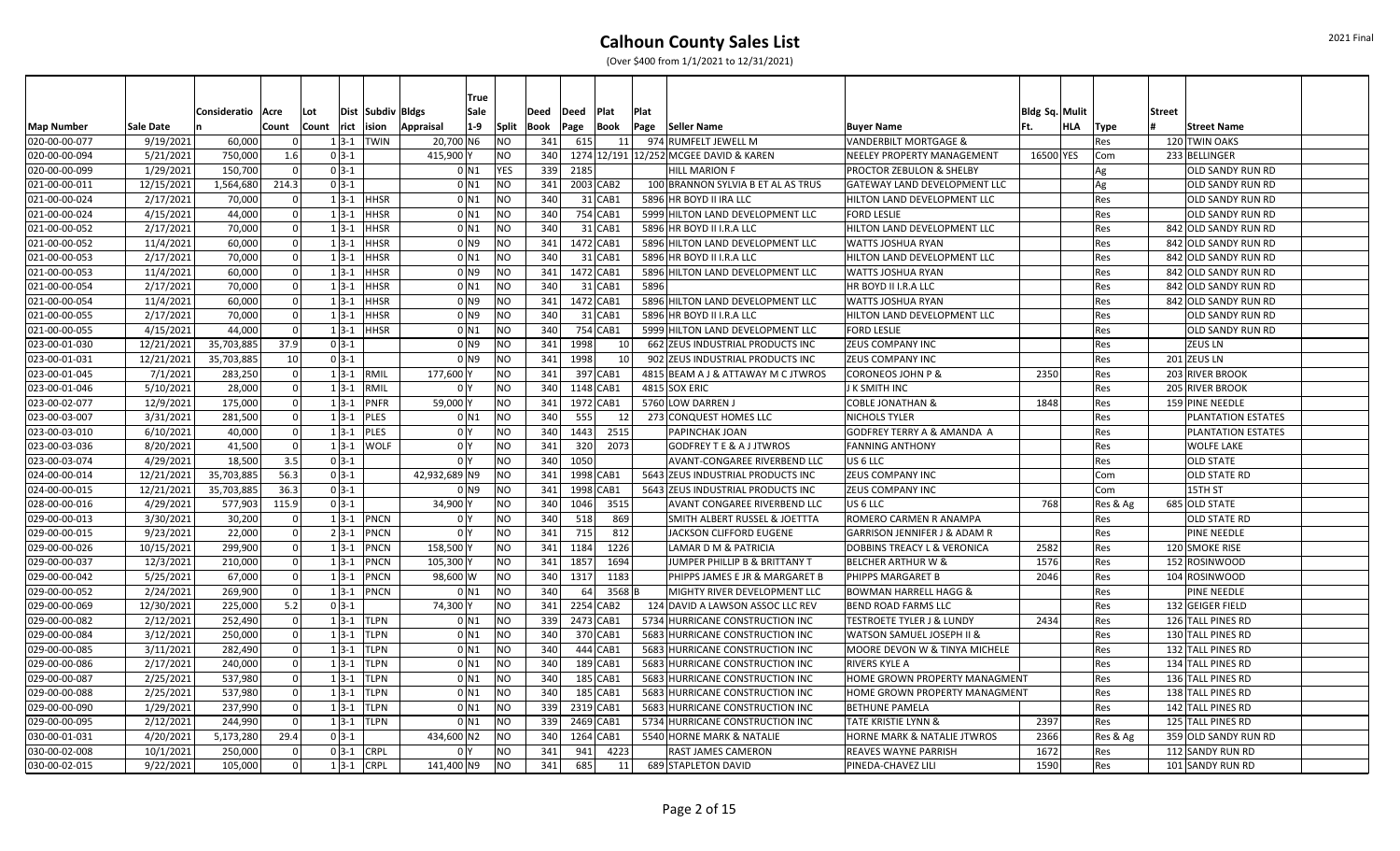|                   |                  | Consideratio   Acre |          | Lot      |                       | Dist Subdiv Bldgs | <b>True</b><br>Sale |                | Deed | Deed          | Plat      | Plat |                                        |                                         | Bldg Sq. Mulit |     |            | <b>Street</b>             |  |
|-------------------|------------------|---------------------|----------|----------|-----------------------|-------------------|---------------------|----------------|------|---------------|-----------|------|----------------------------------------|-----------------------------------------|----------------|-----|------------|---------------------------|--|
| <b>Map Number</b> | <b>Sale Date</b> |                     | Count    | Count    | rict ision            | Appraisal         | $1-9$               | Split          | Book | Page          | Book      |      | Page Seller Name                       | <b>Buyer Name</b>                       | Ft.            | HLA | Type       | <b>Street Name</b>        |  |
| 020-00-00-077     | 9/19/2021        | 60,000              |          | $1 3-1 $ |                       | <b>TWIN</b>       | 20,700 N6           | NO             | 341  | 615           |           | 11   | 974 RUMFELT JEWELL M                   | <b>VANDERBILT MORTGAGE &amp;</b>        |                |     | Res        | 120 TWIN OAKS             |  |
| 020-00-00-094     | 5/21/2021        | 750,000             | 1.6      | $0 3-1$  |                       |                   | 415,900             | N <sub>O</sub> | 340  |               |           |      | 1274 12/191 12/252 MCGEE DAVID & KAREN | NEELEY PROPERTY MANAGEMENT              | 16500 YES      |     | Com        | 233 BELLINGER             |  |
| 020-00-00-099     | 1/29/2021        | 150,700             | - Ol     | $0 3-1$  |                       |                   | 0 <sub>N1</sub>     | <b>YES</b>     | 339  | 2185          |           |      | <b>HILL MARION F</b>                   | <b>PROCTOR ZEBULON &amp; SHELBY</b>     |                |     | Ag         | <b>OLD SANDY RUN RD</b>   |  |
| 021-00-00-011     | 12/15/2021       | 1,564,680           | 214.3    | $0 3-1$  |                       |                   | $0$ N1              | N <sub>O</sub> | 341  |               | 2003 CAB2 |      | 100 BRANNON SYLVIA B ET AL AS TRUS     | <b>GATEWAY LAND DEVELOPMENT LLC</b>     |                |     | Ag         | <b>OLD SANDY RUN RD</b>   |  |
| 021-00-00-024     | 2/17/2021        | 70,000              | $\Omega$ |          | $1 3-1 $ HHSR         |                   | 0 <sub>N1</sub>     | N <sub>O</sub> | 340  |               | $31$ CAB1 |      | 5896 HR BOYD II IRA LLC                | HILTON LAND DEVELOPMENT LLC             |                |     | Res        | <b>OLD SANDY RUN RD</b>   |  |
| 021-00-00-024     | 4/15/2021        | 44,000              | $\Omega$ | $1 3-1$  |                       | <b>HHSR</b>       | $0$ N1              | N <sub>O</sub> | 340  |               | 754 CAB1  |      | 5999 HILTON LAND DEVELOPMENT LLC       | <b>FORD LESLIE</b>                      |                |     | Res        | <b>OLD SANDY RUN RD</b>   |  |
| 021-00-00-052     | 2/17/2021        | 70,000              |          | $1 3-1 $ |                       | <b>HHSR</b>       | 0 <sub>N1</sub>     | N <sub>O</sub> | 340  |               | $31$ CAB1 |      | 5896 HR BOYD II I.R.A LLC              | HILTON LAND DEVELOPMENT LLC             |                |     | Res        | 842 OLD SANDY RUN RD      |  |
| 021-00-00-052     | 11/4/2021        | 60,000              |          | $1 3-1 $ |                       | <b>HHSR</b>       | $01$ N <sub>9</sub> | N <sub>O</sub> | 341  |               | 1472 CAB1 |      | 5896 HILTON LAND DEVELOPMENT LLC       | <b>WATTS JOSHUA RYAN</b>                |                |     | Res        | 842 OLD SANDY RUN RD      |  |
| 021-00-00-053     | 2/17/2021        | 70,000              |          | $1 3-1 $ |                       | HHSR              | 0 <sub>N1</sub>     | NO             | 340  |               | $31$ CAB1 |      | 5896 HR BOYD II I.R.A LLC              | HILTON LAND DEVELOPMENT LLC             |                |     | Res        | 842 OLD SANDY RUN RD      |  |
| 021-00-00-053     | 11/4/2021        | 60,000              |          | $1 3-1 $ |                       | <b>HHSR</b>       | 0 <sub>N9</sub>     | NO             | 341  |               | 1472 CAB1 |      | 5896 HILTON LAND DEVELOPMENT LLC       | <b>WATTS JOSHUA RYAN</b>                |                |     | Res        | 842 OLD SANDY RUN RD      |  |
| 021-00-00-054     | 2/17/2021        | 70,000              | - 0 l    |          | $1 3-1 $ HHSR         |                   | $0$ N1              | NO             | 340  |               | $31$ CAB1 | 5896 |                                        | HR BOYD II I.R.A LLC                    |                |     | Res        | 842 OLD SANDY RUN RD      |  |
| 021-00-00-054     | 11/4/2021        | 60,000              | - 0 l    |          | $1 \vert 3 - 1 \vert$ | <b>HHSR</b>       | $01$ N <sub>9</sub> | NO             | 341  | 1472 CAB1     |           |      | 5896 HILTON LAND DEVELOPMENT LLC       | <b>WATTS JOSHUA RYAN</b>                |                |     | Res        | 842 OLD SANDY RUN RD      |  |
| 021-00-00-055     | 2/17/2021        | 70,000              | - 0 l    | $1 3-1 $ |                       | HHSR              | $01$ N <sub>9</sub> | NO             | 340  |               | $31$ CAB1 |      | 5896 HR BOYD II I.R.A LLC              | HILTON LAND DEVELOPMENT LLC             |                |     | Res        | OLD SANDY RUN RD          |  |
| 021-00-00-055     | 4/15/2021        | 44,000              | $\Omega$ |          | $1 \vert 3 - 1 \vert$ | <b>HHSR</b>       | 0 <sub>N1</sub>     | NO             | 340  |               | 754 CAB1  |      | 5999 HILTON LAND DEVELOPMENT LLC       | <b>FORD LESLIE</b>                      |                |     | Res        | <b>OLD SANDY RUN RD</b>   |  |
| 023-00-01-030     | 12/21/2021       | 35,703,885          | 37.9     | $0 3-1$  |                       |                   | $01$ N <sub>9</sub> | NO             | 341  | 1998          |           | 10 l | 662 ZEUS INDUSTRIAL PRODUCTS INC       | <b>ZEUS COMPANY INC</b>                 |                |     | Res        | <b>ZEUS LN</b>            |  |
| 023-00-01-031     | 12/21/2021       | 35,703,885          | 10       | $0 3-1$  |                       |                   | $01$ N <sub>9</sub> | N <sub>O</sub> | 341  | 1998          |           | 10 l | 902 ZEUS INDUSTRIAL PRODUCTS INC       | <b>ZEUS COMPANY INC</b>                 |                |     | Res        | 201 ZEUS LN               |  |
| 023-00-01-045     | 7/1/2021         | 283,250             | $\Omega$ |          | $1 3-1 $              | RMIL              | 177,600             | <b>NO</b>      | 341  |               | 397 CAB1  |      | 4815 BEAM A J & ATTAWAY M C JTWROS     | CORONEOS JOHN P &                       | 2350           |     | Res        | 203 RIVER BROOK           |  |
| 023-00-01-046     | 5/10/2021        | 28,000              |          | $1 3-1 $ |                       | RMIL              | 0 <sup>1</sup>      | <b>NO</b>      | 340  |               | 1148 CAB1 |      | 4815 SOX ERIC                          | J K SMITH INC                           |                |     | Res        | 205 RIVER BROOK           |  |
| 023-00-02-077     | 12/9/2021        | 175,000             | $\Omega$ | $1 3-1 $ |                       | <b>PNFR</b>       | 59,000              | N <sub>O</sub> | 341  |               | 1972 CAB1 |      | 5760 LOW DARREN J                      | <b>COBLE JONATHAN &amp;</b>             | 1848           |     | Res        | 159 PINE NEEDLE           |  |
| 023-00-03-007     | 3/31/2021        | 281,500             | $\Omega$ |          | $1 3-1 $ PLES         |                   | $0$ N1              | N <sub>O</sub> | 340  | 555           |           | 12   | 273 CONQUEST HOMES LLC                 | <b>NICHOLS TYLER</b>                    |                |     | Res        | <b>PLANTATION ESTATES</b> |  |
| 023-00-03-010     | 6/10/2021        | 40,000              | -ol      | $1 3-1 $ |                       | PLES              | 0 <sup>Y</sup>      | N <sub>O</sub> | 340  | 1443          | 2515      |      | PAPINCHAK JOAN                         | <b>GODFREY TERRY A &amp; AMANDA A</b>   |                |     | Res        | PLANTATION ESTATES        |  |
| 023-00-03-036     | 8/20/2021        | 41,500              | n l      | $1 3-1 $ |                       | <b>WOLF</b>       | 0 <sup>I</sup> Y    | N <sub>O</sub> | 341  | 320           | 2073      |      | <b>GODFREY T E &amp; A J JTWROS</b>    | <b>FANNING ANTHONY</b>                  |                |     | Res        | <b>WOLFE LAKE</b>         |  |
| 023-00-03-074     | 4/29/2021        | 18,500              | 3.5      | $0 3-1$  |                       |                   | 0 <sup>I</sup> Y    | N <sub>O</sub> | 340  | 1050          |           |      | AVANT-CONGAREE RIVERBEND LLC           | US <sub>6</sub> LLC                     |                |     | Res        | <b>OLD STATE</b>          |  |
| 024-00-00-014     | 12/21/2021       | 35,703,885          | 56.3     | $0 3-1$  |                       |                   | 42,932,689 N9       | N <sub>O</sub> | 341  |               | 1998 CAB1 |      | 5643 ZEUS INDUSTRIAL PRODUCTS INC      | <b>ZEUS COMPANY INC</b>                 |                |     | Com        | <b>OLD STATE RD</b>       |  |
| 024-00-00-015     | 12/21/2021       | 35,703,885          | 36.3     | $0 3-1$  |                       |                   | $01$ N <sub>9</sub> | <b>NO</b>      | 341  |               | 1998 CAB1 |      | 5643 ZEUS INDUSTRIAL PRODUCTS INC      | <b>ZEUS COMPANY INC</b>                 |                |     | Com        | 15TH ST                   |  |
| 028-00-00-016     | 4/29/2021        | 577,903             | 115.9    | $0 3-1$  |                       |                   | 34,900              | <b>NO</b>      | 340  | 1046          | 3515      |      | AVANT CONGAREE RIVERBEND LLC           | US 6 LLC                                | 768            |     | Res & Ag   | 685 OLD STATE             |  |
| 029-00-00-013     | 3/30/2021        | 30,200              |          |          | $1 3-1 $ PNCN         |                   | 0 I Y               | <b>NO</b>      | 340  | 518           | 869       |      | SMITH ALBERT RUSSEL & JOETTTA          | ROMERO CARMEN R ANAMPA                  |                |     | Res        | OLD STATE RD              |  |
| 029-00-00-015     | 9/23/2021        | 22,000              |          |          | $2 3-1 $              | <b>PNCN</b>       | 0 <sup>I</sup> Y    | NO             | 341  | 715           | 812       |      | JACKSON CLIFFORD EUGENE                | <b>GARRISON JENNIFER J &amp; ADAM R</b> |                |     | Res        | <b>PINE NEEDLE</b>        |  |
| 029-00-00-026     | 10/15/2021       | 299,900             | - 0 l    |          | $1 \vert 3 - 1 \vert$ | <b>PNCN</b>       | 158,500             | NO             | 341  | 1184          | 1226      |      | LAMAR D M & PATRICIA                   | <b>DOBBINS TREACY L &amp; VERONICA</b>  | 2582           |     | Res        | 120 SMOKE RISE            |  |
| 029-00-00-037     | 12/3/2021        | 210,000             | - 0 l    | $1 3-1 $ |                       | PNCN              | 105,300             | NO             | 341  | 1857          | 1694      |      | JUMPER PHILLIP B & BRITTANY T          | <b>BELCHER ARTHUR W &amp;</b>           | 1576           |     | Res        | 152 ROSINWOOD             |  |
| 029-00-00-042     | 5/25/2021        | 67,000              | n l      | $1 3-1 $ |                       | <b>PNCN</b>       | 98,600 W            | <b>NO</b>      | 340  | 1317          | 1183      |      | PHIPPS JAMES E JR & MARGARET B         | <b>PHIPPS MARGARET B</b>                | 2046           |     | Res        | 104 ROSINWOOD             |  |
| 029-00-00-052     | 2/24/2021        | 269,900             | - 0 l    | $1 3-1 $ |                       | PNCN              | 0 N1                | NO             | 340  | 64            | 3568 B    |      | MIGHTY RIVER DEVELOPMENT LLC           | <b>BOWMAN HARRELL HAGG &amp;</b>        |                |     | Res        | <b>PINE NEEDLE</b>        |  |
| 029-00-00-069     | 12/30/2021       | 225,000             | 5.2      | $0 3-1$  |                       |                   | 74,300              | NO             |      | 341 2254 CAB2 |           |      | 124 DAVID A LAWSON ASSOC LLC REV       | <b>BEND ROAD FARMS LLC</b>              |                |     | Res        | 132 GEIGER FIELD          |  |
| 029-00-00-082     | 2/12/2021        | 252,490             | - Ol     |          | $1 3-1 $              | <b>TLPN</b>       | $0$ N1              | N <sub>O</sub> | 339  | 2473 CAB1     |           |      | 5734 HURRICANE CONSTRUCTION INC        | <b>TESTROETE TYLER J &amp; LUNDY</b>    | 2434           |     | Res        | 126 TALL PINES RD         |  |
| 029-00-00-084     | 3/12/2021        | 250,000             |          | $1 3-1 $ |                       | <b>TLPN</b>       | 0 <sub>N1</sub>     | N <sub>O</sub> | 340  |               | 370 CAB1  |      | 5683 HURRICANE CONSTRUCTION INC        | WATSON SAMUEL JOSEPH II &               |                |     | Res        | 130 TALL PINES RD         |  |
| 029-00-00-085     | 3/11/2021        | 282,490             |          | $1 3-1 $ |                       | <b>TLPN</b>       | 0 <sub>N1</sub>     | N <sub>O</sub> | 340  |               | 444 CAB1  |      | 5683 HURRICANE CONSTRUCTION INC        | MOORE DEVON W & TINYA MICHELE           |                |     | Res        | 132 TALL PINES RD         |  |
| 029-00-00-086     | 2/17/2021        | 240,000             | $\Omega$ | $1 3-1 $ |                       | <b>TLPN</b>       | 0 <sub>N1</sub>     | N <sub>O</sub> | 340  |               | 189 CAB1  |      | 5683 HURRICANE CONSTRUCTION INC        | <b>RIVERS KYLE A</b>                    |                |     | Res        | 134 TALL PINES RD         |  |
| 029-00-00-087     | 2/25/2021        | 537,980             | - Ol     | $1 3-1 $ |                       | <b>TLPN</b>       | 0 <sub>N1</sub>     | N <sub>O</sub> | 340  |               | 185 CAB1  |      | 5683 HURRICANE CONSTRUCTION INC        | <b>HOME GROWN PROPERTY MANAGMENT</b>    |                |     | Res        | 136 TALL PINES RD         |  |
| 029-00-00-088     | 2/25/2021        | 537,980             | $\Omega$ | $1 3-1$  |                       | <b>TLPN</b>       | $0$ N1              | N <sub>O</sub> | 340  |               | 185 CAB1  |      | 5683 HURRICANE CONSTRUCTION INC        | <b>HOME GROWN PROPERTY MANAGMENT</b>    |                |     | Res        | 138 TALL PINES RD         |  |
| 029-00-00-090     | 1/29/2021        | 237,990             | - 0 l    | $1 3-1 $ |                       | <b>TLPN</b>       | $0$ N <sub>1</sub>  | N <sub>O</sub> | 339  | 2319 CAB1     |           |      | 5683 HURRICANE CONSTRUCTION INC        | <b>BETHUNE PAMELA</b>                   |                |     | Res        | 142 TALL PINES RD         |  |
| 029-00-00-095     | 2/12/2021        | 244,990             | n l      | $1 3-1 $ |                       | <b>TLPN</b>       | 0 <sub>N1</sub>     | NO             | 339  | 2469 CAB1     |           |      | 5734 HURRICANE CONSTRUCTION INC        | <b>TATE KRISTIE LYNN &amp;</b>          | 2397           |     | Res        | 125 TALL PINES RD         |  |
| 030-00-01-031     | 4/20/2021        | 5,173,280           | 29.4     | $0 3-1$  |                       |                   | 434,600 N2          | NO             | 340  |               | 1264 CAB1 |      | 5540 HORNE MARK & NATALIE              | <b>HORNE MARK &amp; NATALIE JTWROS</b>  | 2366           |     | Res & Ag   | 359 OLD SANDY RUN RD      |  |
| 030-00-02-008     | 10/1/2021        | 250.000             |          | $0 3-1$  |                       | <b>CRPL</b>       | 0 I Y               | <b>NO</b>      | 341  | 941           | 4223      |      | RAST JAMES CAMERON                     | <b>REAVES WAYNE PARRISH</b>             | 1672           |     | Res        | 112 SANDY RUN RD          |  |
| 030-00-02-015     | 9/22/2021        | 105.000             | $\Omega$ | $1 3-1$  |                       | CRPL              | 141,400 N9          | <b>NO</b>      | 341  | 685           |           | 11   | 689 STAPLETON DAVID                    | PINEDA-CHAVEZ LILI                      | 1590           |     | <b>Res</b> | 101 SANDY RUN RD          |  |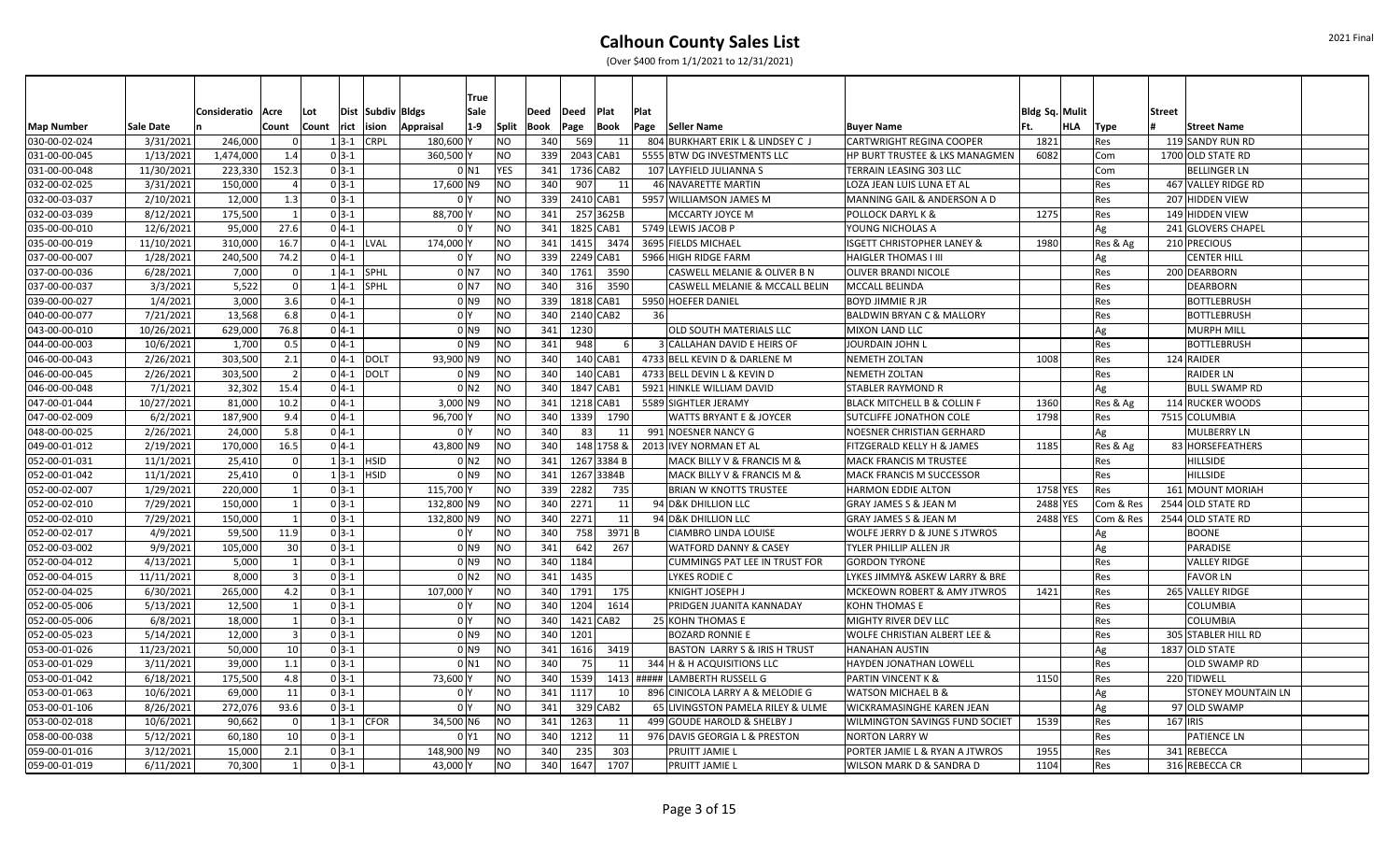|                   |            |                     |                 |          |               |                   | True                      |                |      |            |             |      |                                          |                                         |                       |     |           |                           |
|-------------------|------------|---------------------|-----------------|----------|---------------|-------------------|---------------------------|----------------|------|------------|-------------|------|------------------------------------------|-----------------------------------------|-----------------------|-----|-----------|---------------------------|
|                   |            | Consideratio   Acre |                 | Lot      |               | Dist Subdiv Bldgs | Sale                      |                | Deed | Deed       | Plat        | Plat |                                          |                                         | <b>Bldg Sq. Mulit</b> |     |           | <b>Street</b>             |
| <b>Map Number</b> | Sale Date  |                     | Count           | Count    | rict ision    | Appraisal         | $1-9$                     | <b>Split</b>   | Book | Page       | Book        |      | Page Seller Name                         | <b>Buyer Name</b>                       | Ft.                   | HLA | Type      | <b>Street Name</b>        |
| 030-00-02-024     | 3/31/2021  | 246,000             |                 | $1 3-1 $ |               | <b>CRPL</b>       | 180,600                   | NO             | 340  | 569        | <b>11</b>   |      | 804 BURKHART ERIK L & LINDSEY C J        | <b>CARTWRIGHT REGINA COOPER</b>         | 1821                  |     | Res       | 119 SANDY RUN RD          |
| 031-00-00-045     | 1/13/2021  | 1,474,000           | 1.4             | $0 3-1$  |               |                   | 360,500                   | N <sub>O</sub> | 339  | 2043 CAB1  |             |      | 5555 BTW DG INVESTMENTS LLC              | HP BURT TRUSTEE & LKS MANAGMEN          | 6082                  |     | Com       | 1700 OLD STATE RD         |
| 031-00-00-048     | 11/30/2021 | 223,330             | 152.3           | $0 3-1 $ |               |                   | $0$ N1                    | <b>YES</b>     | 341  | 1736 CAB2  |             |      | 107 LAYFIELD JULIANNA S                  | TERRAIN LEASING 303 LLC                 |                       |     | Com       | <b>BELLINGER LN</b>       |
| 032-00-02-025     | 3/31/2021  | 150,000             | $\overline{4}$  | $0 3-1 $ |               |                   | 17,600 N9                 | <b>NO</b>      | 340  | 907        | 11          |      | 46 NAVARETTE MARTIN                      | LOZA JEAN LUIS LUNA ET AL               |                       |     | Res       | 467 VALLEY RIDGE RD       |
| 032-00-03-037     | 2/10/2021  | 12,000              | 1.3             | $0 3-1 $ |               |                   | 0 I Y                     | <b>NO</b>      | 339  | 2410 CAB1  |             |      | 5957 WILLIAMSON JAMES M                  | MANNING GAIL & ANDERSON A D             |                       |     | Res       | 207 HIDDEN VIEW           |
| 032-00-03-039     | 8/12/2021  | 175,500             | $\overline{1}$  | $0 3-1 $ |               |                   | 88,700                    | <b>NO</b>      | 341  |            | 257 3625B   |      | MCCARTY JOYCE M                          | <b>POLLOCK DARYL K &amp;</b>            | 1275                  |     | Res       | 149 HIDDEN VIEW           |
| 035-00-00-010     | 12/6/2021  | 95,000              | 27.6            | $0 4-1 $ |               |                   | 0 I Y                     | N <sub>O</sub> | 341  | 1825 CAB1  |             |      | 5749 LEWIS JACOB P                       | YOUNG NICHOLAS A                        |                       |     | Ag        | 241 GLOVERS CHAPEL        |
| 035-00-00-019     | 11/10/2021 | 310,000             | 16.7            |          | $0$ 4-1 LVAL  |                   | 174,000                   | <b>NO</b>      | 341  |            | 1415 3474   |      | 3695 FIELDS MICHAEL                      | <b>ISGETT CHRISTOPHER LANEY &amp;</b>   | 1980                  |     | Res & Ag  | 210 PRECIOUS              |
| 037-00-00-007     | 1/28/2021  | 240,500             | 74.2            | $0 4-1$  |               |                   | 0 <sup>N</sup>            | N <sub>O</sub> | 339  | 2249 CAB1  |             |      | 5966 HIGH RIDGE FARM                     | <b>HAIGLER THOMAS I III</b>             |                       |     | Ag        | CENTER HILL               |
| 037-00-00-036     | 6/28/2021  | 7,000               |                 |          | $1 4-1 $ SPHL |                   | $0$ N7                    | <b>NO</b>      | 340  |            | 1761 3590   |      | CASWELL MELANIE & OLIVER B N             | OLIVER BRANDI NICOLE                    |                       |     | Res       | 200 DEARBORN              |
| 037-00-00-037     | 3/3/2021   | 5,522               |                 |          | $1 4-1 $ SPHL |                   | 0 N7                      | N <sub>O</sub> | 340  |            | 316 3590    |      | CASWELL MELANIE & MCCALL BELIN           | MCCALL BELINDA                          |                       |     | Res       | <b>DEARBORN</b>           |
| 039-00-00-027     | 1/4/2021   | 3,000               | 3.6             | $0 4-1 $ |               |                   | $01$ N <sub>9</sub>       | NO             | 339  | 1818 CAB1  |             |      | 5950 HOEFER DANIEL                       | <b>BOYD JIMMIE R JR</b>                 |                       |     | Res       | <b>BOTTLEBRUSH</b>        |
| 040-00-00-077     | 7/21/2021  | 13,568              | 6.8             | $0 4-1 $ |               |                   | 0 <sup>1</sup>            | <b>NO</b>      | 340  | 2140 CAB2  |             | 36   |                                          | <b>BALDWIN BRYAN C &amp; MALLORY</b>    |                       |     | Res       | <b>BOTTLEBRUSH</b>        |
| 043-00-00-010     | 10/26/2021 | 629,000             | 76.8            | $0 4-1$  |               |                   | 0 N 9                     | N <sub>O</sub> | 341  | 1230       |             |      | OLD SOUTH MATERIALS LLC                  | <b>MIXON LAND LLC</b>                   |                       |     | Ag        | <b>MURPH MILL</b>         |
| 044-00-00-003     | 10/6/2021  | 1,700               | 0.5             | $0 4-1 $ |               |                   | 0 N9                      | <b>NO</b>      | 341  | 948        |             |      | 3 CALLAHAN DAVID E HEIRS OF              | JOURDAIN JOHN L                         |                       |     | Res       | <b>BOTTLEBRUSH</b>        |
| 046-00-00-043     | 2/26/2021  | 303,500             | 2.1             |          | $0 4-1 $ DOLT |                   | 93,900 N9                 | N <sub>O</sub> | 340  |            | $140$ CAB1  |      | 4733 BELL KEVIN D & DARLENE M            | <b>NEMETH ZOLTAN</b>                    | 1008                  |     | Res       | 124 RAIDER                |
| 046-00-00-045     | 2/26/2021  | 303,500             | $\overline{2}$  | $0 4-1 $ |               | DOLT              | 0 N9                      | NO             | 340  |            | $140$ CAB1  |      | 4733 BELL DEVIN L & KEVIN D              | <b>NEMETH ZOLTAN</b>                    |                       |     | Res       | <b>RAIDER LN</b>          |
| 046-00-00-048     | 7/1/2021   | 32,302              | 15.4            | $0 4-1$  |               |                   | $01$ N <sub>2</sub>       | lno            | 340  | 1847 CAB1  |             |      | 5921 HINKLE WILLIAM DAVID                | <b>STABLER RAYMOND R</b>                |                       |     | Ag        | <b>BULL SWAMP RD</b>      |
| 047-00-01-044     | 10/27/2021 | 81,000              | 10.2            | $0 4-1$  |               |                   | 3,000 N9                  | <b>NO</b>      | 341  | 1218 CAB1  |             |      | 5589 SIGHTLER JERAMY                     | BLACK MITCHELL B & COLLIN F             | 1360                  |     | Res & Ag  | 114 RUCKER WOODS          |
| 047-00-02-009     | 6/2/2021   | 187,900             | 9.4             | $0 4-1 $ |               |                   | 96,700                    | <b>NO</b>      | 340  |            | 1339 1790   |      | <b>WATTS BRYANT E &amp; JOYCER</b>       | <b>SUTCLIFFE JONATHON COLE</b>          | 1798                  |     | Res       | 7515 COLUMBIA             |
| 048-00-00-025     | 2/26/2021  | 24,000              | 5.8             | $0 4-1 $ |               |                   | 0 I Y                     | NO             | 340  | 83         | 11          |      | 991 NOESNER NANCY G                      | NOESNER CHRISTIAN GERHARD               |                       |     | Ag        | <b>MULBERRY LN</b>        |
| 049-00-01-012     | 2/19/2021  | 170,000             | 16.5            | $0 4-1 $ |               |                   | 43,800 N9                 | N <sub>O</sub> | 340  |            | 148 1758 &  |      | 2013 IVEY NORMAN ET AL                   | FITZGERALD KELLY H & JAMES              | 1185                  |     | Res & Ag  | 83 HORSEFEATHERS          |
| 052-00-01-031     | 11/1/2021  | 25,410              | -ol             | $1 3-1 $ |               | <b>HSID</b>       | 0 N2                      | <b>NO</b>      | 341  |            | 1267 3384 B |      | MACK BILLY V & FRANCIS M &               | <b>MACK FRANCIS M TRUSTEE</b>           |                       |     | Res       | <b>HILLSIDE</b>           |
| 052-00-01-042     | 11/1/2021  | 25,410              | $\Omega$        | $1 3-1 $ |               | <b>HSID</b>       | $01$ N <sub>9</sub>       | <b>NO</b>      | 341  | 1267 3384B |             |      | MACK BILLY V & FRANCIS M &               | MACK FRANCIS M SUCCESSOR                |                       |     | Res       | HILLSIDE                  |
| 052-00-02-007     | 1/29/2021  | 220,000             | $\mathbf{1}$    | $0 3-1$  |               |                   | 115,700                   | <b>NO</b>      | 339  | 2282       | 735         |      | <b>BRIAN W KNOTTS TRUSTEE</b>            | <b>HARMON EDDIE ALTON</b>               | 1758 YES              |     | Res       | 161 MOUNT MORIAH          |
| 052-00-02-010     | 7/29/2021  | 150,000             | $\mathbf{1}$    | $0 3-1 $ |               |                   | 132,800<br>N <sub>9</sub> | <b>NO</b>      | 340  | 2271       | 11          |      | 94 D&K DHILLION LLC                      | <b>GRAY JAMES S &amp; JEAN M</b>        | 2488 YES              |     | Com & Res | 2544 OLD STATE RD         |
| 052-00-02-010     | 7/29/2021  | 150,000             | 1               | $0 3-1 $ |               |                   | 132,800 N9                | N <sub>O</sub> | 340  | 2271       | 11          |      | 94 D&K DHILLION LLC                      | <b>GRAY JAMES S &amp; JEAN M</b>        | 2488 YES              |     | Com & Res | 2544 OLD STATE RD         |
| 052-00-02-017     | 4/9/2021   | 59,500              | 11.9            | $0 3-1 $ |               |                   | 0 I Y                     | N <sub>O</sub> | 340  | 758        | $3971$ B    |      | <b>CIAMBRO LINDA LOUISE</b>              | WOLFE JERRY D & JUNE S JTWROS           |                       |     | ۹g        | <b>BOONE</b>              |
| 052-00-03-002     | 9/9/2021   | 105,000             | 30              | $0 3-1 $ |               |                   | $01$ N <sub>9</sub>       | <b>NO</b>      | 341  | 642        | 267         |      | <b>WATFORD DANNY &amp; CASEY</b>         | TYLER PHILLIP ALLEN JR                  |                       |     | Ag        | <b>PARADISE</b>           |
| 052-00-04-012     | 4/13/2021  | 5,000               | $\mathbf{1}$    | $0 3-1 $ |               |                   | $01$ N <sub>9</sub>       | N <sub>O</sub> | 340  | 1184       |             |      | <b>CUMMINGS PAT LEE IN TRUST FOR</b>     | <b>GORDON TYRONE</b>                    |                       |     | Res       | <b>VALLEY RIDGE</b>       |
| 052-00-04-015     | 11/11/2021 | 8,000               | $\vert$ 3       | $0 3-1 $ |               |                   | 0 N2                      | N <sub>O</sub> | 341  | 1435       |             |      | LYKES RODIE C                            | LYKES JIMMY& ASKEW LARRY & BRE          |                       |     | Res       | <b>FAVOR LN</b>           |
| 052-00-04-025     | 6/30/2021  | 265,000             | 4.2             | $0 3-1 $ |               |                   | 107,000                   | <b>NO</b>      | 340  | 1791       | 175         |      | KNIGHT JOSEPH.                           | <b>MCKEOWN ROBERT &amp; AMY JTWROS</b>  | 1421                  |     | Res       | 265 VALLEY RIDGE          |
| 052-00-05-006     | 5/13/2021  | 12,500              |                 | $0 3-1 $ |               |                   | 0 <sup>1</sup>            | <b>NO</b>      | 340  | 1204       | 1614        |      | PRIDGEN JUANITA KANNADAY                 | <b>KOHN THOMAS E</b>                    |                       |     | Res       | COLUMBIA                  |
| 052-00-05-006     | 6/8/2021   | 18,000              | $\mathbf{1}$    | $0 3-1 $ |               |                   | 0 <sup>1</sup>            | N <sub>O</sub> | 340  | 1421 CAB2  |             |      | 25 KOHN THOMAS E                         | MIGHTY RIVER DEV LLC                    |                       |     | Res       | <b>COLUMBIA</b>           |
| 052-00-05-023     | 5/14/2021  | 12,000              | $\vert$ 3       | $0 3-1 $ |               |                   | $01$ N <sub>9</sub>       | <b>NO</b>      | 340  | 1201       |             |      | <b>BOZARD RONNIE E</b>                   | <b>WOLFE CHRISTIAN ALBERT LEE &amp;</b> |                       |     | Res       | 305 STABLER HILL RD       |
| 053-00-01-026     | 11/23/2021 | 50,000              | 10 <sup>1</sup> | $0 3-1 $ |               |                   | $01$ N <sub>9</sub>       | N <sub>O</sub> | 341  | 1616       | 3419        |      | <b>BASTON LARRY S &amp; IRIS H TRUST</b> | <b>HANAHAN AUSTIN</b>                   |                       |     | Ag        | 1837 OLD STATE            |
| 053-00-01-029     | 3/11/2021  | 39,000              | 1.1             | $0 3-1 $ |               |                   | $0$ N <sub>1</sub>        | <b>NO</b>      | 340  | 75         | 11          |      | 344 H & H ACQUISITIONS LLC               | HAYDEN JONATHAN LOWELL                  |                       |     | Res       | <b>OLD SWAMP RD</b>       |
| 053-00-01-042     | 6/18/2021  | 175,500             | 4.8             | $0 3-1 $ |               |                   | 73,600                    | <b>NO</b>      | 340  | 1539       |             |      | 1413 ##### LAMBERTH RUSSELL G            | <b>PARTIN VINCENT K &amp;</b>           | 1150                  |     | Res       | 220 TIDWELL               |
| 053-00-01-063     | 10/6/2021  | 69,000              | 11              | $0 3-1 $ |               |                   | 0 <sup>1</sup>            | <b>NO</b>      | 341  | 1117       | 10 l        |      | 896 CINICOLA LARRY A & MELODIE G         | <b>WATSON MICHAEL B &amp;</b>           |                       |     | Ag        | <b>STONEY MOUNTAIN LN</b> |
| 053-00-01-106     | 8/26/2021  | 272,076             | 93.6            | $0 3-1 $ |               |                   | 0 <sup>1</sup>            | <b>NO</b>      | 341  |            | 329 CAB2    |      | 65 LIVINGSTON PAMELA RILEY & ULME        | <b>WICKRAMASINGHE KAREN JEAN</b>        |                       |     | Ag        | 97 OLD SWAMP              |
| 053-00-02-018     | 10/6/2021  | 90,662              | -ol             |          | $1 3-1 $ CFOR |                   | 34,500 N6                 | NO             | 341  | 1263       | 11          |      | 499 GOUDE HAROLD & SHELBY J              | WILMINGTON SAVINGS FUND SOCIET          | 1539                  |     | Res       | 167 IRIS                  |
| 058-00-00-038     | 5/12/2021  | 60,180              | 10              | $0 3-1$  |               |                   | 0 Y 1                     | <b>NO</b>      | 340  | 1212       | 11          |      | 976 DAVIS GEORGIA L & PRESTON            | <b>NORTON LARRY W</b>                   |                       |     | Res       | <b>PATIENCE LN</b>        |
| 059-00-01-016     | 3/12/2021  | 15,000              | 2.1             | $0 3-1$  |               |                   | 148,900 N9                | NO.            | 340  | 235        | 303         |      | PRUITT JAMIE L                           | PORTER JAMIE L & RYAN A JTWROS          | 1955                  |     | Res       | 341 REBECCA               |
| 059-00-01-019     | 6/11/2021  | 70,300              | $\mathbf{1}$    | $0 3-1 $ |               |                   | 43,000                    | NO.            | 340  | 1647       | 1707        |      | PRUITT JAMIE L                           | WILSON MARK D & SANDRA D                | 1104                  |     | Res       | 316 REBECCA CR            |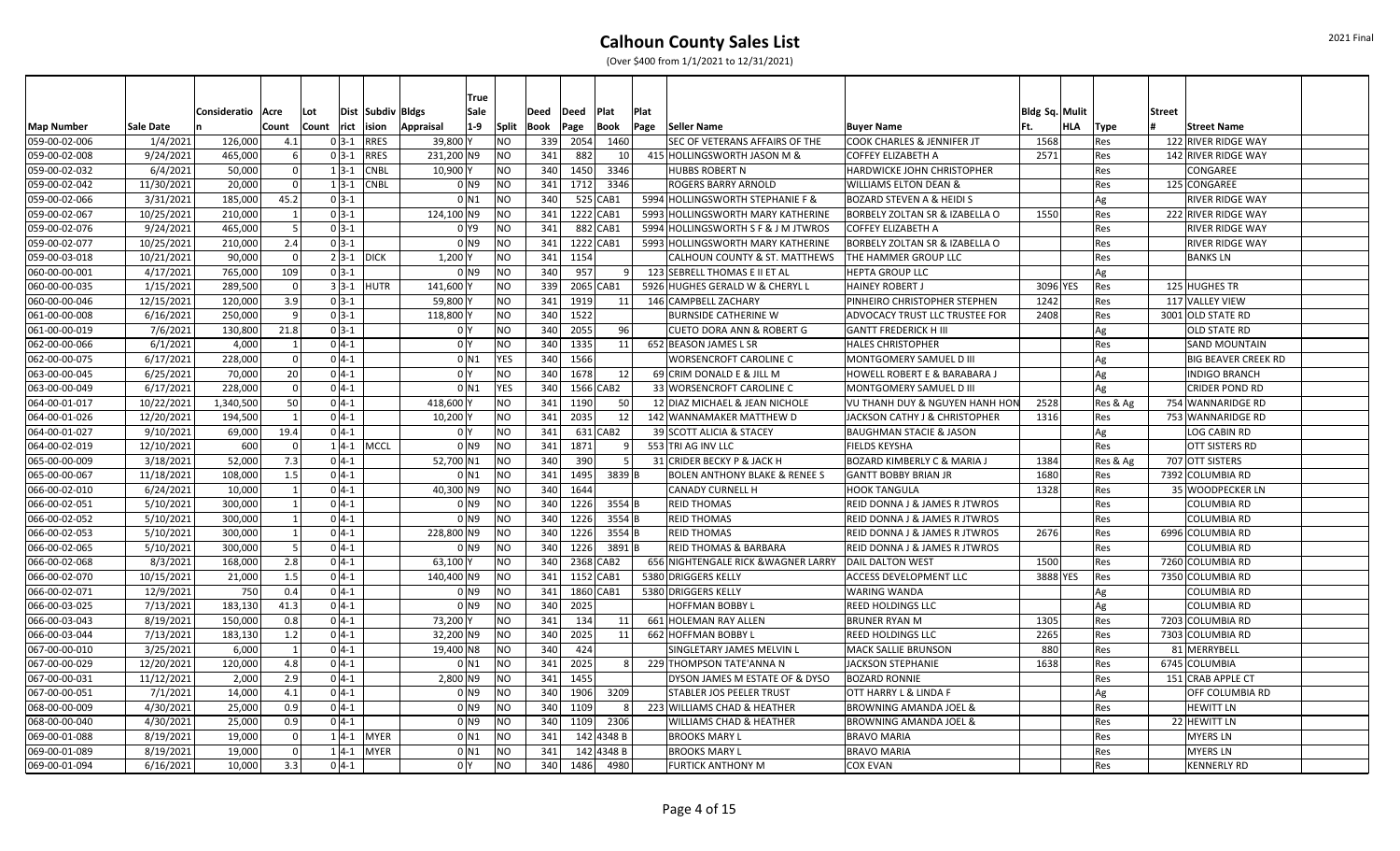|                   |                  |              |                |       |               | <b>True</b>                        |                |      |          |             |      |                                          |                                           |                |          |                            |  |
|-------------------|------------------|--------------|----------------|-------|---------------|------------------------------------|----------------|------|----------|-------------|------|------------------------------------------|-------------------------------------------|----------------|----------|----------------------------|--|
|                   |                  | Consideratio | Acre           | Lot   |               | Dist Subdiv Bldgs<br>Sale          |                | Deed | Deed     | Plat        | Plat |                                          |                                           | Bldg Sq. Mulit |          | <b>Street</b>              |  |
| <b>Map Number</b> | <b>Sale Date</b> |              | Count          | Count | rict          | $1-9$<br>Appraisal<br>ision        | Split          | Book | Page     | <b>Book</b> | Page | Seller Name                              | <b>Buyer Name</b>                         | HLA<br>lFt.    | Type     | <b>Street Name</b>         |  |
| 059-00-02-006     | 1/4/2021         | 126,000      | 4.1            |       | $0 3-1$       | <b>RRES</b><br>39,800 Y            | N <sub>O</sub> | 339  | 2054     | 1460        |      | SEC OF VETERANS AFFAIRS OF THE           | <b>COOK CHARLES &amp; JENNIFER JT</b>     | 1568           | Res      | 122 RIVER RIDGE WAY        |  |
| 059-00-02-008     | 9/24/2021        | 465,000      |                |       | $0 3-1 $      | 231,200 N9<br><b>RRES</b>          | N <sub>O</sub> | 341  | 882      |             | 10 l | 415 HOLLINGSWORTH JASON M &              | <b>COFFEY ELIZABETH A</b>                 | 2571           | Res      | 142 RIVER RIDGE WAY        |  |
| 059-00-02-032     | 6/4/2021         | 50,000       | - Ol           |       | $1 3-1$       | <b>CNBL</b><br>10,900              | N <sub>O</sub> | 340  | 1450     | 3346        |      | <b>HUBBS ROBERT N</b>                    | <b>HARDWICKE JOHN CHRISTOPHER</b>         |                | Res      | CONGAREE                   |  |
| 059-00-02-042     | 11/30/2021       | 20,000       | $\Omega$       |       | $1 3-1 $      | <b>CNBL</b><br>$01$ N <sub>9</sub> | NO             | 341  | 1712     | 3346        |      | ROGERS BARRY ARNOLD                      | <b>WILLIAMS ELTON DEAN &amp;</b>          |                | Res      | 125 CONGAREE               |  |
| 059-00-02-066     | 3/31/2021        | 185,000      | 45.2           |       | $0 3-1$       | $0$ N1                             | N <sub>O</sub> | 340  |          | 525 CAB1    |      | 5994 HOLLINGSWORTH STEPHANIE F &         | <b>BOZARD STEVEN A &amp; HEIDI S</b>      |                | Ag       | <b>RIVER RIDGE WAY</b>     |  |
| 059-00-02-067     | 10/25/2021       | 210,000      | $\overline{1}$ |       | $0 3-1$       | 124,100 N9                         | <b>NO</b>      | 341  |          | 1222 CAB1   |      | 5993 HOLLINGSWORTH MARY KATHERINE        | BORBELY ZOLTAN SR & IZABELLA O            | 1550           | Res      | 222 RIVER RIDGE WAY        |  |
| 059-00-02-076     | 9/24/2021        | 465,000      | 5              |       | $0 3-1$       | 0 Y9                               | N <sub>O</sub> | 341  |          | 882 CAB1    |      | 5994 HOLLINGSWORTH S F & J M JTWROS      | <b>COFFEY ELIZABETH A</b>                 |                | Res      | <b>RIVER RIDGE WAY</b>     |  |
| 059-00-02-077     | 10/25/2021       | 210,000      | 2.4            |       | $0 3-1$       | $01$ N <sub>9</sub>                | NO             | 341  |          | 1222 CAB1   |      | 5993 HOLLINGSWORTH MARY KATHERINE        | BORBELY ZOLTAN SR & IZABELLA O            |                | Res      | <b>RIVER RIDGE WAY</b>     |  |
| 059-00-03-018     | 10/21/2021       | 90,000       | $\Omega$       |       | $2 3-1 $ DICK | 1,200                              | <b>NO</b>      | 341  | 1154     |             |      | CALHOUN COUNTY & ST. MATTHEWS            | THE HAMMER GROUP LLC                      |                | Res      | <b>BANKS LN</b>            |  |
| 060-00-00-001     | 4/17/2021        | 765,000      | 109            |       | $0 3-1$       | 0 <sub>N9</sub>                    | NO             | 340  | 957      |             | 91   | 123 SEBRELL THOMAS E II ET AL            | <b>HEPTA GROUP LLC</b>                    |                | Ag       |                            |  |
| 060-00-00-035     | 1/15/2021        | 289,500      | $\Omega$       |       | $3 3-1 $ HUTR | 141,600                            | N <sub>O</sub> | 339  |          | 2065 CAB1   |      | 5926 HUGHES GERALD W & CHERYL L          | <b>HAINEY ROBERT J</b>                    | 3096 YES       | Res      | 125 HUGHES TR              |  |
| 060-00-00-046     | 12/15/2021       | 120,000      | 3.9            |       | $0 3-1$       | 59,800                             | N <sub>O</sub> | 341  | 1919     |             | 11   | 146 CAMPBELL ZACHARY                     | PINHEIRO CHRISTOPHER STEPHEN              | 1242           | Res      | 117 VALLEY VIEW            |  |
| 061-00-00-008     | 6/16/2021        | 250.000      | -91            |       | $0 3-1$       | 118,800                            | NO             |      | 340 1522 |             |      | <b>BURNSIDE CATHERINE W</b>              | <b>ADVOCACY TRUST LLC TRUSTEE FOR</b>     | 2408           | Res      | 3001 OLD STATE RD          |  |
| 061-00-00-019     | 7/6/2021         | 130,800      | 21.8           |       | $0 3-1$       | 0 <sup>1</sup>                     | NO             | 340  | 2055     |             | 96   | <b>CUETO DORA ANN &amp; ROBERT G</b>     | <b>GANTT FREDERICK H III</b>              |                | Ag       | <b>OLD STATE RD</b>        |  |
| 062-00-00-066     | 6/1/2021         | 4,000        |                |       | $0 4-1$       | 0 Y                                | NO             | 340  | 1335     |             | 11   | 652 BEASON JAMES L SR                    | <b>HALES CHRISTOPHER</b>                  |                | Res      | <b>SAND MOUNTAIN</b>       |  |
| 062-00-00-075     | 6/17/2021        | 228,000      | $\Omega$       |       | $0 4-1$       | $0$ N1                             | <b>YES</b>     | 340  | 1566     |             |      | <b>WORSENCROFT CAROLINE C</b>            | MONTGOMERY SAMUEL D III                   |                | Ag       | <b>BIG BEAVER CREEK RD</b> |  |
| 063-00-00-045     | 6/25/2021        | 70,000       | 20             |       | $0 4-1$       | 0 <sup>1</sup>                     | NO             | 340  | 1678     |             | 12   | 69 CRIM DONALD E & JILL M                | <b>HOWELL ROBERT E &amp; BARABARA J</b>   |                | Ag       | <b>INDIGO BRANCH</b>       |  |
| 063-00-00-049     | 6/17/2021        | 228,000      | $\Omega$       |       | $0 4-1$       | 0 N1                               | <b>YES</b>     | 340  |          | 1566 CAB2   |      | 33 WORSENCROFT CAROLINE C                | <b>MONTGOMERY SAMUEL D III</b>            |                | Ag       | <b>CRIDER POND RD</b>      |  |
| 064-00-01-017     | 10/22/2021       | 1,340,500    | 50             |       | $0 4-1$       | 418,600                            | <b>NO</b>      | 341  | 1190     | -50         |      | 12 DIAZ MICHAEL & JEAN NICHOLE           | <b>VU THANH DUY &amp; NGUYEN HANH HON</b> | 2528           | Res & Ag | 754 WANNARIDGE RD          |  |
| 064-00-01-026     | 12/20/2021       | 194,500      |                |       | $0 4-1$       | 10,200                             | NO             | 341  | 2035     |             | 12   | 142 WANNAMAKER MATTHEW D                 | JACKSON CATHY J & CHRISTOPHER             | 1316           | Res      | 753 WANNARIDGE RD          |  |
| 064-00-01-027     | 9/10/2021        | 69,000       | 19.4           |       | $0 4-1$       | 0 I Y                              | NO             | 341  |          | $631$ CAB2  |      | 39 SCOTT ALICIA & STACEY                 | <b>BAUGHMAN STACIE &amp; JASON</b>        |                | Ag       | LOG CABIN RD               |  |
| 064-00-02-019     | 12/10/2021       | 600          | - 01           |       | $1 4-1 $ MCCL | $01$ N <sub>9</sub>                | N <sub>O</sub> | 341  | 1871     |             | 9    | 553 TRI AG INV LLC                       | <b>FIELDS KEYSHA</b>                      |                | Res      | <b>OTT SISTERS RD</b>      |  |
| 065-00-00-009     | 3/18/2021        | 52,000       | 7.3            |       | $0 4-1 $      | 52,700 N1                          | N <sub>O</sub> | 340  | 390      |             | -5 I | 31 CRIDER BECKY P & JACK H               | <b>BOZARD KIMBERLY C &amp; MARIA J</b>    | 1384           | Res & Ag | 707 OTT SISTERS            |  |
| 065-00-00-067     | 11/18/2021       | 108,000      | 1.5            |       | $0 4-1$       | 0 N 1                              | NO             | 341  | 1495     | 3839 B      |      | <b>BOLEN ANTHONY BLAKE &amp; RENEE S</b> | <b>GANTT BOBBY BRIAN JR</b>               | 1680           | Res      | 7392 COLUMBIA RD           |  |
| 066-00-02-010     | 6/24/2021        | 10,000       | $\overline{1}$ |       | $0 4-1$       | 40,300 N9                          | N <sub>O</sub> | 340  | 1644     |             |      | <b>CANADY CURNELL H</b>                  | <b>HOOK TANGULA</b>                       | 1328           | Res      | 35 WOODPECKER LN           |  |
| 066-00-02-051     | 5/10/2021        | 300.000      |                |       | $0 4-1$       | $01$ N <sub>9</sub>                | NO             | 340  | 1226     | $3554$ B    |      | <b>REID THOMAS</b>                       | <b>REID DONNA J &amp; JAMES R JTWROS</b>  |                | Res      | <b>COLUMBIA RD</b>         |  |
| 066-00-02-052     | 5/10/2021        | 300,000      | $\mathbf{1}$   |       | $0 4-1$       | $0$ N9                             | <b>NO</b>      | 340  | 1226     | $3554$ B    |      | <b>REID THOMAS</b>                       | <b>REID DONNA J &amp; JAMES R JTWROS</b>  |                | Res      | <b>COLUMBIA RD</b>         |  |
| 066-00-02-053     | 5/10/2021        | 300,000      |                |       | $0 4-1$       | 228,800 N9                         | lno            | 340  | 1226     | $3554$ B    |      | <b>REID THOMAS</b>                       | <b>REID DONNA J &amp; JAMES R JTWROS</b>  | 2676           | Res      | 6996 COLUMBIA RD           |  |
| 066-00-02-065     | 5/10/2021        | 300,000      | .5             |       | $0 4-1$       | 0 N 9                              | lno            | 340  | 1226     | 3891B       |      | <b>REID THOMAS &amp; BARBARA</b>         | REID DONNA J & JAMES R JTWROS             |                | Res      | COLUMBIA RD                |  |
| 066-00-02-068     | 8/3/2021         | 168,000      | 2.8            |       | $0 4-1$       | 63,100                             | N <sub>O</sub> | 340  |          | 2368 CAB2   |      | 656 NIGHTENGALE RICK & WAGNER LARRY      | <b>DAIL DALTON WEST</b>                   | 1500           | Res      | 7260 COLUMBIA RD           |  |
| 066-00-02-070     | 10/15/2021       | 21,000       | 1.5            |       | $0 4-1$       | 140.400 N9                         | NO             | 341  |          | 1152 CAB1   |      | 5380 DRIGGERS KELLY                      | <b>ACCESS DEVELOPMENT LLC</b>             | 3888 YES       | Res      | 7350 COLUMBIA RD           |  |
| 066-00-02-071     | 12/9/2021        | 750          | 0.4            |       | $0 4-1 $      | $01$ N9                            | NO             | 341  |          | 1860 CAB1   |      | 5380 DRIGGERS KELLY                      | <b>WARING WANDA</b>                       |                | Ag       | <b>COLUMBIA RD</b>         |  |
| 066-00-03-025     | 7/13/2021        | 183,130      | 41.3           |       | $0 4-1$       | $01$ N <sub>9</sub>                | NO             | 340  | 2025     |             |      | <b>HOFFMAN BOBBY L</b>                   | <b>REED HOLDINGS LLC</b>                  |                | Ag       | <b>COLUMBIA RD</b>         |  |
| 066-00-03-043     | 8/19/2021        | 150,000      | 0.8            |       | $0 4-1$       | 73,200 Y                           | N <sub>O</sub> | 341  | 134      |             | 11   | 661 HOLEMAN RAY ALLEN                    | <b>BRUNER RYAN M</b>                      | 1305           | Res      | 7203 COLUMBIA RD           |  |
| 066-00-03-044     | 7/13/2021        | 183,130      | 1.2            |       | $0 4-1$       | 32,200 N9                          | <b>NO</b>      | 340  | 2025     |             | 11   | 662 HOFFMAN BOBBY L                      | <b>REED HOLDINGS LLC</b>                  | 2265           | Res      | 7303 COLUMBIA RD           |  |
| 067-00-00-010     | 3/25/2021        | 6,000        |                |       | $0 4-1$       | 19,400 N <sub>8</sub>              | N <sub>O</sub> | 340  | 424      |             |      | SINGLETARY JAMES MELVIN L                | <b>MACK SALLIE BRUNSON</b>                | 880            | Res      | 81 MERRYBELL               |  |
| 067-00-00-029     | 12/20/2021       | 120,000      | 4.8            |       | $0 4-1$       | 0 <sub>N1</sub>                    | lno            | 341  | 2025     |             | 8    | 229 THOMPSON TATE'ANNA N                 | <b>JACKSON STEPHANIE</b>                  | 1638           | Res      | 6745 COLUMBIA              |  |
| 067-00-00-031     | 11/12/2021       | 2,000        | 2.9            |       | $0 4-1$       | $2,800$ N9                         | NO             | 341  | 1455     |             |      | DYSON JAMES M ESTATE OF & DYSO           | <b>BOZARD RONNIE</b>                      |                | Res      | 151 CRAB APPLE CT          |  |
| 067-00-00-051     | 7/1/2021         | 14,000       | 4.1            |       | $0 4-1$       | $01$ N <sub>9</sub>                | NO             | 340  | 1906     | 3209        |      | <b>STABLER JOS PEELER TRUST</b>          | <b>OTT HARRY L &amp; LINDA F</b>          |                | Ag       | OFF COLUMBIA RD            |  |
| 068-00-00-009     | 4/30/2021        | 25,000       | 0.9            |       | $0 4-1$       | $01$ N <sub>9</sub>                | NO             | 340  | 1109     |             | 8    | 223 WILLIAMS CHAD & HEATHER              | <b>BROWNING AMANDA JOEL &amp;</b>         |                | Res      | <b>HEWITT LN</b>           |  |
| 068-00-00-040     | 4/30/2021        | 25,000       | 0.9            |       | $0 4-1$       | 0 N9                               | N <sub>O</sub> | 340  | 1109     | 2306        |      | <b>WILLIAMS CHAD &amp; HEATHER</b>       | <b>BROWNING AMANDA JOEL &amp;</b>         |                | Res      | 22 HEWITT LN               |  |
| 069-00-01-088     | 8/19/2021        | 19,000       | - 0            |       | $1 4-1$ MYER  | 0 <sub>N1</sub>                    | NO             | 341  |          | 142 4348 B  |      | <b>BROOKS MARY L</b>                     | <b>BRAVO MARIA</b>                        |                | Res      | <b>MYERS LN</b>            |  |
| 069-00-01-089     | 8/19/2021        | 19,000       | - 0            |       | $1 4-1$       | <b>MYER</b><br>$0$ N1              | <b>NO</b>      | 341  |          | 142 4348 B  |      | <b>BROOKS MARY L</b>                     | <b>BRAVO MARIA</b>                        |                | Res      | <b>MYERS LN</b>            |  |
| 069-00-01-094     | 6/16/2021        | 10,000       | 3.3            |       | $0 4-1$       | 0 Y                                | <b>NO</b>      | 340  | 1486     | 4980        |      | <b>FURTICK ANTHONY M</b>                 | <b>COX EVAN</b>                           |                | Res      | <b>KENNERLY RD</b>         |  |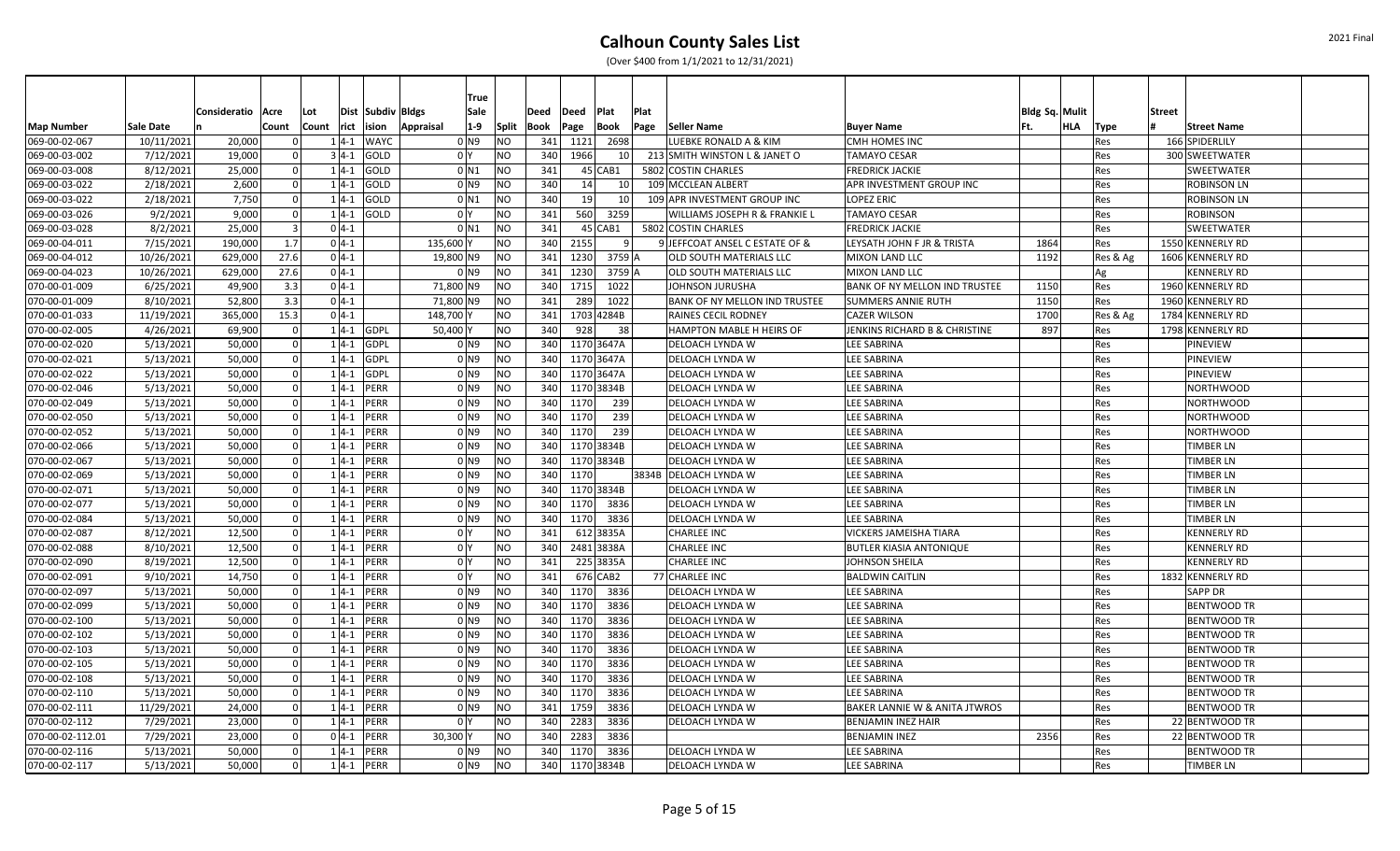|                   |            |              |       |          |               |                   |                  | <b>True</b>         |           |      |      |              |      |                                      |                                          |                       |     |          |                    |  |
|-------------------|------------|--------------|-------|----------|---------------|-------------------|------------------|---------------------|-----------|------|------|--------------|------|--------------------------------------|------------------------------------------|-----------------------|-----|----------|--------------------|--|
|                   |            | Consideratio | Acre  | Lot      |               | Dist Subdiv Bldgs |                  | Sale                |           | Deed | Deed | Plat         | Plat |                                      |                                          | <b>Bldg Sq. Mulit</b> |     |          | <b>Street</b>      |  |
| <b>Map Number</b> | Sale Date  |              | Count |          | rict<br>Count | ision             | <b>Appraisal</b> | $1-9$               | Split     | Book | Page | Book         | Page | Seller Name                          | <b>Buyer Name</b>                        | Ft.                   | HLA | Type     | <b>Street Name</b> |  |
| 069-00-02-067     | 10/11/2021 | 20,000       |       |          | $1 4-1$       | <b>WAYC</b>       |                  | 0 N9                | NO)       | 341  | 1121 | 2698         |      | LUEBKE RONALD A & KIM                | <b>CMH HOMES INC</b>                     |                       |     | Res      | 166 SPIDERLILY     |  |
| 069-00-03-002     | 7/12/2021  | 19,000       |       |          | $3 4-1 $      | GOLD              |                  | 0 <sup>Y</sup>      | NO.       | 340  | 1966 | 10           |      | 213 SMITH WINSTON L & JANET O        | <b>TAMAYO CESAR</b>                      |                       |     | Res      | 300 SWEETWATER     |  |
| 069-00-03-008     | 8/12/2021  | 25,000       |       | $\Omega$ | $1 4-1 $      | GOLD              |                  | $0$ N1              | NO.       | 341  |      | $45$ CAB1    |      | 5802 COSTIN CHARLES                  | <b>FREDRICK JACKIE</b>                   |                       |     | Res      | <b>SWEETWATER</b>  |  |
| 069-00-03-022     | 2/18/2021  | 2,600        |       | $\Omega$ | $1 4-1 $      | GOLD              |                  | 0 <sub>N9</sub>     | NO        | 340  | 14   | 10           |      | 109 MCCLEAN ALBERT                   | APR INVESTMENT GROUP INC                 |                       |     | Res      | <b>ROBINSON LN</b> |  |
| 069-00-03-022     | 2/18/2021  | 7,750        |       |          | $1 4-1$       | GOLD              |                  | 0 <sub>N1</sub>     | <b>NO</b> | 340  | 19   | 10           |      | 109 APR INVESTMENT GROUP INC         | <b>LOPEZ ERIC</b>                        |                       |     | Res      | <b>ROBINSON LN</b> |  |
| 069-00-03-026     | 9/2/2021   | 9,000        |       |          | $1 4-1 $      | GOLD              |                  | 0 <sup>1</sup>      | <b>NO</b> | 341  | 560  | 3259         |      | WILLIAMS JOSEPH R & FRANKIE L        | <b>TAMAYO CESAR</b>                      |                       |     | Res      | <b>ROBINSON</b>    |  |
| 069-00-03-028     | 8/2/2021   | 25,000       |       |          | $0 4-1$       |                   |                  | $0$ N1              | NO)       | 341  |      | $45$ CAB1    |      | 5802 COSTIN CHARLES                  | <b>FREDRICK JACKIE</b>                   |                       |     | Res      | <b>SWEETWATER</b>  |  |
| 069-00-04-011     | 7/15/2021  | 190,000      |       | 1.7      | $0 4-1 $      |                   | 135,600          |                     | <b>NO</b> | 340  | 2155 | $\mathbf{q}$ |      | 9 JEFFCOAT ANSEL C ESTATE OF &       | LEYSATH JOHN F JR & TRISTA               | 1864                  |     | Res      | 1550 KENNERLY RD   |  |
| 069-00-04-012     | 10/26/2021 | 629,000      |       | 27.6     | $0 4-1 $      |                   | 19,800 N9        |                     | <b>NO</b> | 341  | 1230 | 3759 A       |      | OLD SOUTH MATERIALS LLC              | <b>MIXON LAND LLC</b>                    | 1192                  |     | Res & Ag | 1606 KENNERLY RD   |  |
| 069-00-04-023     | 10/26/2021 | 629,000      |       | 27.6     | $0 4-1 $      |                   |                  | 0 <sub>N9</sub>     | <b>NO</b> | 341  | 1230 | 3759 A       |      | OLD SOUTH MATERIALS LLC              | <b>MIXON LAND LLC</b>                    |                       |     | Ag       | <b>KENNERLY RD</b> |  |
| 070-00-01-009     | 6/25/2021  | 49,900       |       | 3.3      | $0 4-1 $      |                   | 71,800 N9        |                     | <b>NO</b> | 340  | 1715 | 1022         |      | JOHNSON JURUSHA                      | BANK OF NY MELLON IND TRUSTEE            | 1150                  |     | Res      | 1960 KENNERLY RD   |  |
| 070-00-01-009     | 8/10/2021  | 52,800       |       | 3.3      | $0 4-1 $      |                   | 71,800 N9        |                     | <b>NO</b> | 341  | 289  | 1022         |      | <b>BANK OF NY MELLON IND TRUSTEE</b> | <b>SUMMERS ANNIE RUTH</b>                | 1150                  |     | Res      | 1960 KENNERLY RD   |  |
| 070-00-01-033     | 11/19/2021 | 365,000      |       | 15.3     | $0 4-1 $      |                   | 148,700 Y        |                     | NO        | 341  |      | 1703 4284B   |      | RAINES CECIL RODNEY                  | <b>CAZER WILSON</b>                      | 1700                  |     | Res & Ag | 1784 KENNERLY RD   |  |
| 070-00-02-005     | 4/26/2021  | 69,900       |       | $\Omega$ | $1 4-1$       | <b>GDPL</b>       | 50,400 Y         |                     | NO        | 340  | 928  | 38           |      | HAMPTON MABLE H HEIRS OF             | JENKINS RICHARD B & CHRISTINE            | 897                   |     | Res      | 1798 KENNERLY RD   |  |
| 070-00-02-020     | 5/13/2021  | 50,000       |       |          | $1 4-1$       | <b>GDPL</b>       |                  | 0 N 9               | <b>NO</b> | 340  |      | 1170 3647A   |      | DELOACH LYNDA W                      | <b>LEE SABRINA</b>                       |                       |     | Res      | <b>PINEVIEW</b>    |  |
| 070-00-02-021     | 5/13/2021  | 50,000       |       |          | $1 4-1$       | <b>GDPL</b>       |                  | 0 N 9               | NO)       | 340  |      | 1170 3647A   |      | DELOACH LYNDA W                      | <b>LEE SABRINA</b>                       |                       |     | Res      | <b>PINEVIEW</b>    |  |
| 070-00-02-022     | 5/13/2021  | 50,000       |       |          | $1 4-1$       | GDPL              |                  | 0 <sub>N9</sub>     | <b>NO</b> | 340  |      | 1170 3647A   |      | DELOACH LYNDA W                      | <b>LEE SABRINA</b>                       |                       |     | Res      | PINEVIEW           |  |
| 070-00-02-046     | 5/13/2021  | 50,000       |       |          | $1 4-1 $      | PERR              |                  | 0 N9                | <b>NO</b> | 340  |      | 1170 3834B   |      | DELOACH LYNDA W                      | <b>LEE SABRINA</b>                       |                       |     | Res      | <b>NORTHWOOD</b>   |  |
| 070-00-02-049     | 5/13/2021  | 50,000       |       |          | $1 4-1$       | <b>PERR</b>       |                  | 0 <sub>N9</sub>     | <b>NO</b> | 340  | 1170 | 239          |      | DELOACH LYNDA W                      | <b>LEE SABRINA</b>                       |                       |     | Res      | <b>NORTHWOOD</b>   |  |
| 070-00-02-050     | 5/13/2021  | 50,000       |       |          | $1 4-1 $      | PERR              |                  | 0 N 9               | NO)       | 340  | 1170 | 239          |      | DELOACH LYNDA W                      | <b>LEE SABRINA</b>                       |                       |     | Res      | <b>NORTHWOOD</b>   |  |
| 070-00-02-052     | 5/13/2021  | 50,000       |       | $\Omega$ | $1 4-1$       | PERR              |                  | 0 N9                | NO.       | 340  | 1170 | 239          |      | DELOACH LYNDA W                      | <b>LEE SABRINA</b>                       |                       |     | Res      | <b>NORTHWOOD</b>   |  |
| 070-00-02-066     | 5/13/2021  | 50,000       |       | $\Omega$ | $1 4-1 $      | PERR              |                  | 0 N9                | <b>NO</b> | 340  |      | 1170 3834B   |      | DELOACH LYNDA W                      | <b>LEE SABRINA</b>                       |                       |     | Res      | <b>TIMBER LN</b>   |  |
| 070-00-02-067     | 5/13/2021  | 50,000       |       | $\Omega$ | $1 4-1 $      | PERR              |                  | 0 N9                | <b>NO</b> | 340  |      | 1170 3834B   |      | DELOACH LYNDA W                      | <b>LEE SABRINA</b>                       |                       |     | Res      | <b>TIMBER LN</b>   |  |
| 070-00-02-069     | 5/13/2021  | 50,000       |       |          | $1 4-1$       | <b>PERR</b>       |                  | 0 N 9               | NO        | 340  | 1170 |              |      | 3834B   DELOACH LYNDA W              | <b>LEE SABRINA</b>                       |                       |     | Res      | <b>TIMBER LN</b>   |  |
| 070-00-02-071     | 5/13/2021  | 50,000       |       |          | $1 4-1$       | PERR              |                  | 0 <sub>N9</sub>     | <b>NO</b> | 340  |      | 1170 3834B   |      | DELOACH LYNDA W                      | <b>LEE SABRINA</b>                       |                       |     | Res      | TIMBER LN          |  |
| 070-00-02-077     | 5/13/2021  | 50,000       |       |          | $1 4-1$       | PERR              |                  | 0 <sub>N9</sub>     | <b>NO</b> | 340  | 1170 | 3836         |      | DELOACH LYNDA W                      | <b>LEE SABRINA</b>                       |                       |     | Res      | <b>TIMBER LN</b>   |  |
| 070-00-02-084     | 5/13/2021  | 50,000       |       |          | $1 4-1$       | PERR              |                  | 0 <sub>N9</sub>     | <b>NO</b> | 340  | 1170 | 3836         |      | DELOACH LYNDA W                      | <b>LEE SABRINA</b>                       |                       |     | Res      | TIMBER LN          |  |
| 070-00-02-087     | 8/12/2021  | 12,500       |       |          | $1 4-1$       | PERR              |                  | 0 <sup>Y</sup>      | NΟ        | 341  |      | 612 3835A    |      | <b>CHARLEE INC</b>                   | <b>VICKERS JAMEISHA TIARA</b>            |                       |     | Res      | <b>KENNERLY RD</b> |  |
| 070-00-02-088     | 8/10/2021  | 12,500       |       |          | $1 4-1$       | PERR              |                  | 0 <sup>1</sup>      | <b>NO</b> | 340  |      | 2481 3838A   |      | <b>CHARLEE INC</b>                   | <b>BUTLER KIASIA ANTONIQUE</b>           |                       |     | Res      | <b>KENNERLY RD</b> |  |
| 070-00-02-090     | 8/19/2021  | 12,500       |       |          | $1 4-1$       | <b>PERR</b>       |                  | 0 <sup>1</sup>      | NO        | 341  |      | 225 3835A    |      | <b>CHARLEE INC</b>                   | JOHNSON SHEILA                           |                       |     | Res      | <b>KENNERLY RD</b> |  |
| 070-00-02-091     | 9/10/2021  | 14,750       |       | $\Omega$ | $1 4-1$       | PERR              |                  | 0 <sup>1</sup>      | <b>NO</b> | 341  |      | 676 CAB2     |      | 77 CHARLEE INC                       | <b>BALDWIN CAITLIN</b>                   |                       |     | Res      | 1832 KENNERLY RD   |  |
| 070-00-02-097     | 5/13/2021  | 50,000       |       | $\Omega$ | $1 4-1$       | PERR              |                  | 0 <sub>N9</sub>     | <b>NO</b> | 340  | 1170 | 3836         |      | DELOACH LYNDA W                      | <b>LEE SABRINA</b>                       |                       |     | Res      | <b>SAPP DR</b>     |  |
| 070-00-02-099     | 5/13/2021  | 50,000       |       |          | $1 4-1$       | <b>PERR</b>       |                  | 0 <sub>N9</sub>     | NΟ        | 340  | 1170 | 3836         |      | DELOACH LYNDA W                      | <b>LEE SABRINA</b>                       |                       |     | Res      | <b>BENTWOOD TR</b> |  |
| 070-00-02-100     | 5/13/2021  | 50,000       |       |          | $1 4-1$       | PERR              |                  | 0 N 9               | NO)       | 340  | 1170 | 3836         |      | DELOACH LYNDA W                      | <b>LEE SABRINA</b>                       |                       |     | Res      | <b>BENTWOOD TR</b> |  |
| 070-00-02-102     | 5/13/2021  | 50,000       |       |          | $1 4-1$       | <b>PERR</b>       |                  | $01$ N <sub>9</sub> | <b>NO</b> | 340  | 1170 | 3836         |      | DELOACH LYNDA W                      | <b>LEE SABRINA</b>                       |                       |     | Res      | <b>BENTWOOD TR</b> |  |
| 070-00-02-103     | 5/13/2021  | 50,000       |       |          | $1 4-1$       | <b>PERR</b>       |                  | $01$ N <sub>9</sub> | <b>NO</b> | 340  | 1170 | 3836         |      | <b>DELOACH LYNDA W</b>               | <b>LEE SABRINA</b>                       |                       |     | Res      | <b>BENTWOOD TR</b> |  |
| 070-00-02-105     | 5/13/2021  | 50,000       |       |          | $1 4-1$       | PERR              |                  | 0 N9                | NO        | 340  | 1170 | 3836         |      | DELOACH LYNDA W                      | <b>LEE SABRINA</b>                       |                       |     | Res      | <b>BENTWOOD TR</b> |  |
| 070-00-02-108     | 5/13/2021  | 50,000       |       |          | $1 4-1$       | PERR              |                  | 0 N 9               | <b>NO</b> | 340  | 1170 | 3836         |      | DELOACH LYNDA W                      | <b>LEE SABRINA</b>                       |                       |     | Res      | <b>BENTWOOD TR</b> |  |
| 070-00-02-110     | 5/13/2021  | 50,000       |       | $\Omega$ | $1 4-1 $      | PERR              |                  | 0 <sub>N9</sub>     | <b>NO</b> | 340  | 1170 | 3836         |      | DELOACH LYNDA W                      | <b>LEE SABRINA</b>                       |                       |     | Res      | <b>BENTWOOD TR</b> |  |
| 070-00-02-111     | 11/29/2021 | 24,000       |       | $\Omega$ | $1 4-1$       | PERR              |                  | $01$ N <sub>9</sub> | <b>NO</b> | 341  | 1759 | 3836         |      | DELOACH LYNDA W                      | <b>BAKER LANNIE W &amp; ANITA JTWROS</b> |                       |     | Res      | <b>BENTWOOD TR</b> |  |
| 070-00-02-112     | 7/29/2021  | 23,000       |       | $\Omega$ | $1 4-1$       | <b>PERR</b>       |                  | 0 <sup>1</sup>      | <b>NO</b> | 340  | 2283 | 3836         |      | DELOACH LYNDA W                      | <b>BENJAMIN INEZ HAIR</b>                |                       |     | Res      | 22 BENTWOOD TR     |  |
| 070-00-02-112.01  | 7/29/2021  | 23,000       |       |          | $0 4-1 $      | PERR              | 30,300           |                     | NO        | 340  | 2283 | 3836         |      |                                      | <b>BENJAMIN INEZ</b>                     | 2356                  |     | Res      | 22 BENTWOOD TR     |  |
| 070-00-02-116     | 5/13/2021  | 50,000       |       |          | $1 4-1$       | PERR              |                  | 0 <sub>N9</sub>     | <b>NO</b> | 340  | 1170 | 3836         |      | DELOACH LYNDA W                      | <b>LEE SABRINA</b>                       |                       |     | Res      | <b>BENTWOOD TR</b> |  |
| 070-00-02-117     | 5/13/2021  | 50.000       |       |          | $1 4-1$       | <b>PERR</b>       |                  | $01$ N <sub>9</sub> | NO.       | 340  |      | 1170 3834B   |      | DELOACH LYNDA W                      | <b>LEE SABRINA</b>                       |                       |     | Res      | <b>TIMBER LN</b>   |  |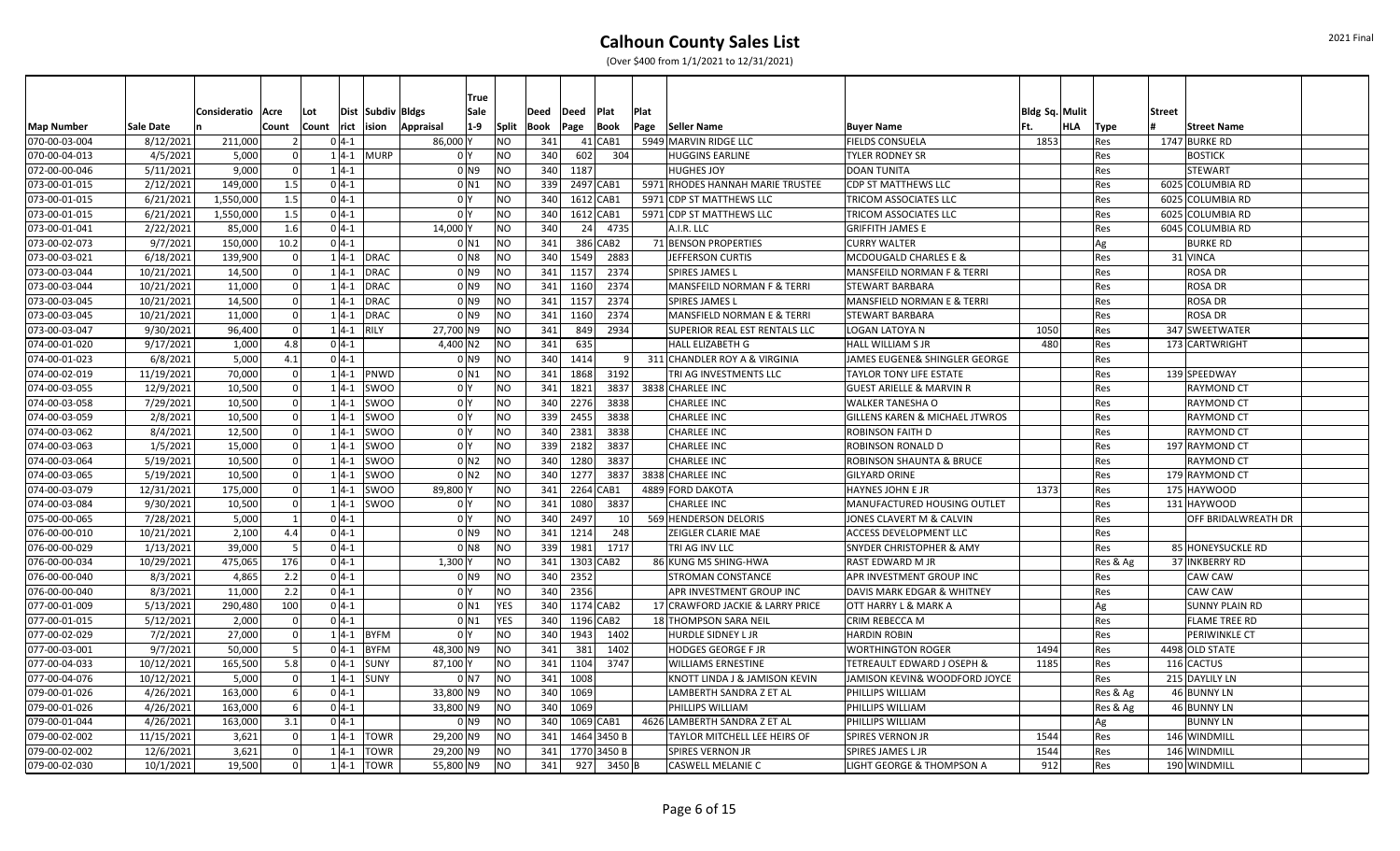|                   |                  |                     |          |                  |               |                   | <b>True</b>         |                |      |               |             |      |                                       |                                           |                       |     |          |                       |  |
|-------------------|------------------|---------------------|----------|------------------|---------------|-------------------|---------------------|----------------|------|---------------|-------------|------|---------------------------------------|-------------------------------------------|-----------------------|-----|----------|-----------------------|--|
|                   |                  | Consideratio   Acre |          | Lot              |               | Dist Subdiv Bldgs | Sale                |                | Deed | $\vert$ Deed  | Plat        | Plat |                                       |                                           | <b>Bldg Sq. Mulit</b> |     |          | <b>Street</b>         |  |
| <b>Map Number</b> | <b>Sale Date</b> |                     | Count    | Count rict ision |               | Appraisal         | $1-9$               | Split          | Book | Page          | Book        | Page | Seller Name                           | <b>Buyer Name</b>                         | lFt.                  | HLA | Type     | <b>Street Name</b>    |  |
| 070-00-03-004     | 8/12/2021        | 211,000             |          | $0 4-1$          |               |                   | 86,000 Y            | N <sub>O</sub> | 341  |               | $41$ CAB1   |      | 5949 MARVIN RIDGE LLC                 | <b>FIELDS CONSUELA</b>                    | 1853                  |     | Res      | 1747 BURKE RD         |  |
| 070-00-04-013     | 4/5/2021         | 5,000               |          |                  | $1 4-1 $ MURP |                   | 0 Y                 | N <sub>O</sub> | 340  | 602           | 304         |      | <b>HUGGINS EARLINE</b>                | <b>TYLER RODNEY SR</b>                    |                       |     | Res      | <b>BOSTICK</b>        |  |
| 072-00-00-046     | 5/11/2021        | 9,000               | - 0 l    | $1 4-1$          |               |                   | 0 <sub>N9</sub>     | NO             |      | 340 1187      |             |      | <b>HUGHES JOY</b>                     | <b>DOAN TUNITA</b>                        |                       |     | Res      | <b>STEWART</b>        |  |
| 073-00-01-015     | 2/12/2021        | 149,000             | 1.5      | $0 4-1$          |               |                   | 0 <sub>N1</sub>     | N <sub>O</sub> |      | 339 2497 CAB1 |             |      | 5971 RHODES HANNAH MARIE TRUSTEE      | <b>CDP ST MATTHEWS LLC</b>                |                       |     | Res      | 6025 COLUMBIA RD      |  |
| 073-00-01-015     | 6/21/2021        | 1,550,000           | 1.5      | $0 4-1$          |               |                   | 0 <sup>I</sup> Y    | N <sub>O</sub> | 340  | 1612 CAB1     |             |      | 5971 CDP ST MATTHEWS LLC              | <b>TRICOM ASSOCIATES LLC</b>              |                       |     | Res      | 6025 COLUMBIA RD      |  |
| 073-00-01-015     | 6/21/2021        | 1,550,000           | 1.5      | $0 4-1$          |               |                   | 0 I Y               | N <sub>O</sub> | 340  | 1612 CAB1     |             |      | 5971 CDP ST MATTHEWS LLC              | TRICOM ASSOCIATES LLC                     |                       |     | Res      | 6025 COLUMBIA RD      |  |
| 073-00-01-041     | 2/22/2021        | 85,000              | 1.6      |                  | $0 4-1 $      |                   | 14,000 Y            | <b>NO</b>      | 340  |               | 24 4735     |      | A.I.R. LLC                            | <b>GRIFFITH JAMES E</b>                   |                       |     | Res      | 6045 COLUMBIA RD      |  |
| 073-00-02-073     | 9/7/2021         | 150,000             | 10.2     |                  | $0 4-1$       |                   | 0 <sub>N1</sub>     | <b>NO</b>      | 341  |               | 386 CAB2    |      | 71 BENSON PROPERTIES                  | <b>CURRY WALTER</b>                       |                       |     | Ag       | <b>BURKE RD</b>       |  |
| 073-00-03-021     | 6/18/2021        | 139,900             |          |                  | $1 4-1 $ DRAC |                   | 0 N 8               | <b>INO</b>     | 340  | 1549          | 2883        |      | JEFFERSON CURTIS                      | <b>MCDOUGALD CHARLES E &amp;</b>          |                       |     | Res      | 31 VINCA              |  |
| 073-00-03-044     | 10/21/2021       | 14,500              |          |                  | $1 4-1$       | <b>DRAC</b>       | $01$ N9             | N <sub>O</sub> | 341  | 1157          | 2374        |      | <b>SPIRES JAMES L</b>                 | MANSFEILD NORMAN F & TERRI                |                       |     | Res      | <b>ROSA DR</b>        |  |
| 073-00-03-044     | 10/21/2021       | 11,000              |          |                  | $1 4-1 $ DRAC |                   | 0 N 9               | <b>INO</b>     | 341  | 1160          | 2374        |      | <b>MANSFEILD NORMAN F &amp; TERRI</b> | <b>STEWART BARBARA</b>                    |                       |     | Res      | <b>ROSA DR</b>        |  |
| 073-00-03-045     | 10/21/2021       | 14,500              |          |                  | $1 4-1$       | <b>DRAC</b>       | 0 N 9               | N <sub>O</sub> |      | 341 1157      | 2374        |      | <b>SPIRES JAMES L</b>                 | <b>MANSFIELD NORMAN E &amp; TERRI</b>     |                       |     | Res      | <b>ROSA DR</b>        |  |
| 073-00-03-045     | 10/21/2021       | 11.000              | - Ol     |                  | $1 4-1 $ DRAC |                   | $01$ N <sub>9</sub> | <b>NO</b>      | 341  | 1160          | 2374        |      | MANSFIELD NORMAN E & TERRI            | <b>STEWART BARBARA</b>                    |                       |     | Res      | <b>ROSA DR</b>        |  |
| 073-00-03-047     | 9/30/2021        | 96,400              | $\Omega$ |                  | $1 4-1$       | RILY              | 27,700 N9           | NO             | 341  | 849           | 2934        |      | <b>SUPERIOR REAL EST RENTALS LLC</b>  | <b>LOGAN LATOYA N</b>                     | 1050                  |     | Res      | 347 SWEETWATER        |  |
| 074-00-01-020     | 9/17/2021        | 1,000               | 4.8      | $0 4-1$          |               |                   | 4,400 N2            | N <sub>O</sub> | 341  | 635           |             |      | HALL ELIZABETH G                      | <b>HALL WILLIAM S JR</b>                  | 480                   |     | Res      | 173 CARTWRIGHT        |  |
| 074-00-01-023     | 6/8/2021         | 5,000               | 4.1      | $0 4-1$          |               |                   | $01$ N <sub>9</sub> | NO             | 340  | 1414          |             | 91   | 311 CHANDLER ROY A & VIRGINIA         | JAMES EUGENE& SHINGLER GEORGE             |                       |     | Res      |                       |  |
| 074-00-02-019     | 11/19/2021       | 70,000              | $\Omega$ |                  | $1 4-1 $ PNWD |                   | $0$ N1              | NO             | 341  | 1868          | 3192        |      | TRI AG INVESTMENTS LLC                | <b>TAYLOR TONY LIFE ESTATE</b>            |                       |     | Res      | 139 SPEEDWAY          |  |
| 074-00-03-055     | 12/9/2021        | 10,500              |          |                  | $1 4-1 $ SWOO |                   | 0 Y                 | N <sub>O</sub> | 341  | 1821          | 3837        |      | 3838 CHARLEE INC                      | <b>GUEST ARIELLE &amp; MARVIN R</b>       |                       |     | Res      | <b>RAYMOND CT</b>     |  |
| 074-00-03-058     | 7/29/2021        | 10,500              |          |                  | $1 4-1 $      | <b>SWOO</b>       | 0 Y                 | NO             | 340  | 2276          | 3838        |      | CHARLEE INC                           | <b>WALKER TANESHA O</b>                   |                       |     | Res      | <b>RAYMOND CT</b>     |  |
| 074-00-03-059     | 2/8/2021         | 10,500              |          |                  |               | $1 4-1 $ SWOO     | 0 Y                 | N <sub>O</sub> |      | 339 2455      | 3838        |      | <b>CHARLEE INC</b>                    | <b>GILLENS KAREN &amp; MICHAEL JTWROS</b> |                       |     | Res      | <b>RAYMOND CT</b>     |  |
| 074-00-03-062     | 8/4/2021         | 12,500              | $\Omega$ |                  |               | $1 4-1 $ SWOO     | 0 Y                 | N <sub>O</sub> |      | 340 2381      | 3838        |      | <b>CHARLEE INC</b>                    | <b>ROBINSON FAITH D</b>                   |                       |     | Res      | <b>RAYMOND CT</b>     |  |
| 074-00-03-063     | 1/5/2021         | 15,000              | -ol      |                  |               | $1 4-1 $ SWOO     | 0 Y                 | N <sub>O</sub> |      | 339 2182      | 3837        |      | <b>CHARLEE INC</b>                    | <b>ROBINSON RONALD D</b>                  |                       |     | Res      | 197 RAYMOND CT        |  |
| 074-00-03-064     | 5/19/2021        | 10,500              | $\Omega$ |                  | $1 4-1 $      | <b>SWOO</b>       | 0 <sub>N2</sub>     | N <sub>O</sub> | 340  | 1280          | 3837        |      | <b>CHARLEE INC</b>                    | <b>ROBINSON SHAUNTA &amp; BRUCE</b>       |                       |     | Res      | <b>RAYMOND CT</b>     |  |
| 074-00-03-065     | 5/19/2021        | 10,500              |          |                  | $1 4-1$       | <b>SWOO</b>       | 0 <sub>N2</sub>     | NO             | 340  | 1277          | 3837        |      | 3838 CHARLEE INC                      | <b>GILYARD ORINE</b>                      |                       |     | Res      | 179 RAYMOND CT        |  |
| 074-00-03-079     | 12/31/2021       | 175,000             |          |                  | $1 4-1 $      | SWOO              | 89,800 Y            | N <sub>O</sub> | 341  | 2264 CAB1     |             |      | 4889 FORD DAKOTA                      | <b>HAYNES JOHN E JR</b>                   | 1373                  |     | Res      | 175 HAYWOOD           |  |
| 074-00-03-084     | 9/30/2021        | 10,500              | - Ol     |                  | $1 4-1 $      | <b>SWOO</b>       | 0 <sup>I</sup> Y    | NO             | 341  | 1080          | 3837        |      | <b>CHARLEE INC</b>                    | MANUFACTURED HOUSING OUTLET               |                       |     | Res      | 131 HAYWOOD           |  |
| 075-00-00-065     | 7/28/2021        | 5,000               |          | $0 4-1$          |               |                   | 0 Y                 | N <sub>O</sub> | 340  | 2497          |             | 10 l | 569 HENDERSON DELORIS                 | JONES CLAVERT M & CALVIN                  |                       |     | Res      | OFF BRIDALWREATH DR   |  |
| 076-00-00-010     | 10/21/2021       | 2,100               | 4.4      | $0 4-1$          |               |                   | 0 N9                | N <sub>O</sub> | 341  | 1214          | 248         |      | ZEIGLER CLARIE MAE                    | <b>ACCESS DEVELOPMENT LLC</b>             |                       |     | Res      |                       |  |
| 076-00-00-029     | 1/13/2021        | 39,000              |          | $0 4-1$          |               |                   | $01$ N <sub>8</sub> | N <sub>O</sub> | 339  | 1981          | 1717        |      | TRI AG INV LLC                        | <b>SNYDER CHRISTOPHER &amp; AMY</b>       |                       |     | Res      | 85 HONEYSUCKLE RD     |  |
| 076-00-00-034     | 10/29/2021       | 475,065             | 176      | $0 4-1$          |               |                   | 1,300               | N <sub>O</sub> | 341  | 1303 CAB2     |             |      | 86 KUNG MS SHING-HWA                  | <b>RAST EDWARD M JR</b>                   |                       |     | Res & Ag | 37 INKBERRY RD        |  |
| 076-00-00-040     | 8/3/2021         | 4,865               | 2.2      |                  | $0 4-1$       |                   | 0 <sub>N9</sub>     | NO             |      | 340 2352      |             |      | <b>STROMAN CONSTANCE</b>              | <b>APR INVESTMENT GROUP INC</b>           |                       |     | Res      | CAW CAW               |  |
| 076-00-00-040     | 8/3/2021         | 11,000              | 2.2      |                  | $0 4-1 $      |                   | 0 Y                 | N <sub>O</sub> |      | 340 2356      |             |      | APR INVESTMENT GROUP INC              | DAVIS MARK EDGAR & WHITNEY                |                       |     | Res      | <b>CAW CAW</b>        |  |
| 077-00-01-009     | 5/13/2021        | 290,480             | 100      |                  | $0 4-1 $      |                   | 0 N1                | <b>YES</b>     |      | 340 1174 CAB2 |             |      | 17 CRAWFORD JACKIE & LARRY PRICE      | <b>OTT HARRY L &amp; MARK A</b>           |                       |     | Ag       | <b>SUNNY PLAIN RD</b> |  |
| 077-00-01-015     | 5/12/2021        | 2,000               | - 0 l    | $0 4-1$          |               |                   | $0$ N1              | <b>YES</b>     |      | 340 1196 CAB2 |             |      | 18 THOMPSON SARA NEIL                 | CRIM REBECCA M                            |                       |     | Res      | <b>FLAME TREE RD</b>  |  |
| 077-00-02-029     | 7/2/2021         | 27,000              | - Ol     |                  | $1 4-1 $ BYFM |                   | 0 <sup>I</sup> Y    | <b>NO</b>      | 340  | 1943          | 1402        |      | HURDLE SIDNEY L JR                    | <b>HARDIN ROBIN</b>                       |                       |     | Res      | PERIWINKLE CT         |  |
| 077-00-03-001     | 9/7/2021         | 50,000              |          |                  | $0 4-1 $ BYFM |                   | 48,300 N9           | N <sub>O</sub> | 341  | 381           | 1402        |      | <b>HODGES GEORGE F JR</b>             | <b>WORTHINGTON ROGER</b>                  | 1494                  |     | Res      | 4498 OLD STATE        |  |
| 077-00-04-033     | 10/12/2021       | 165,500             | 5.8      |                  | $0$  4-1 SUNY |                   | 87,100              | <b>NO</b>      | 341  | 1104          | 3747        |      | <b>WILLIAMS ERNESTINE</b>             | TETREAULT EDWARD J OSEPH &                | 1185                  |     | Res      | 116 CACTUS            |  |
| 077-00-04-076     | 10/12/2021       | 5,000               |          |                  | $1 4-1$ SUNY  |                   | $01$ N7             | N <sub>O</sub> | 341  | 1008          |             |      | KNOTT LINDA J & JAMISON KEVIN         | JAMISON KEVIN& WOODFORD JOYCE             |                       |     | Res      | 215 DAYLILY LN        |  |
| 079-00-01-026     | 4/26/2021        | 163,000             | 6        | $0 4-1$          |               |                   | 33,800 N9           | N <sub>O</sub> | 340  | 1069          |             |      | LAMBERTH SANDRA Z ET AL               | PHILLIPS WILLIAM                          |                       |     | Res & Ag | 46 BUNNY LN           |  |
| 079-00-01-026     | 4/26/2021        | 163,000             | - 6 I    | $0 4-1$          |               |                   | 33,800 N9           | NO             | 340  | 1069          |             |      | PHILLIPS WILLIAM                      | <b>PHILLIPS WILLIAM</b>                   |                       |     | Res & Ag | 46 BUNNY LN           |  |
| 079-00-01-044     | 4/26/2021        | 163,000             | 3.1      | $0 4-1$          |               |                   | 0 N 9               | N <sub>O</sub> | 340  |               | 1069 CAB1   |      | 4626 LAMBERTH SANDRA Z ET AL          | <b>PHILLIPS WILLIAM</b>                   |                       |     | Ag       | <b>BUNNY LN</b>       |  |
| 079-00-02-002     | 11/15/2021       | 3,621               |          |                  | $1 4-1$       | <b>TOWR</b>       | 29,200 N9           | NO)            | 341  |               | 1464 3450 B |      | TAYLOR MITCHELL LEE HEIRS OF          | <b>SPIRES VERNON JR</b>                   | 1544                  |     | Res      | 146 WINDMILL          |  |
| 079-00-02-002     | 12/6/2021        | 3,621               |          |                  | $1 4-1$       | <b>TOWR</b>       | 29,200 N9           | NO             | 341  |               | 1770 3450 B |      | <b>SPIRES VERNON JR</b>               | <b>SPIRES JAMES L JR</b>                  | 1544                  |     | Res      | 146 WINDMILL          |  |
| 079-00-02-030     | 10/1/2021        | 19.500              | $\Omega$ |                  | $1 4-1$       | <b>TOWR</b>       | 55,800 N9           | NO             | 341  | 927           | 3450 E      |      | <b>CASWELL MELANIE C</b>              | <b>LIGHT GEORGE &amp; THOMPSON A</b>      | 912                   |     | Res      | 190 WINDMILL          |  |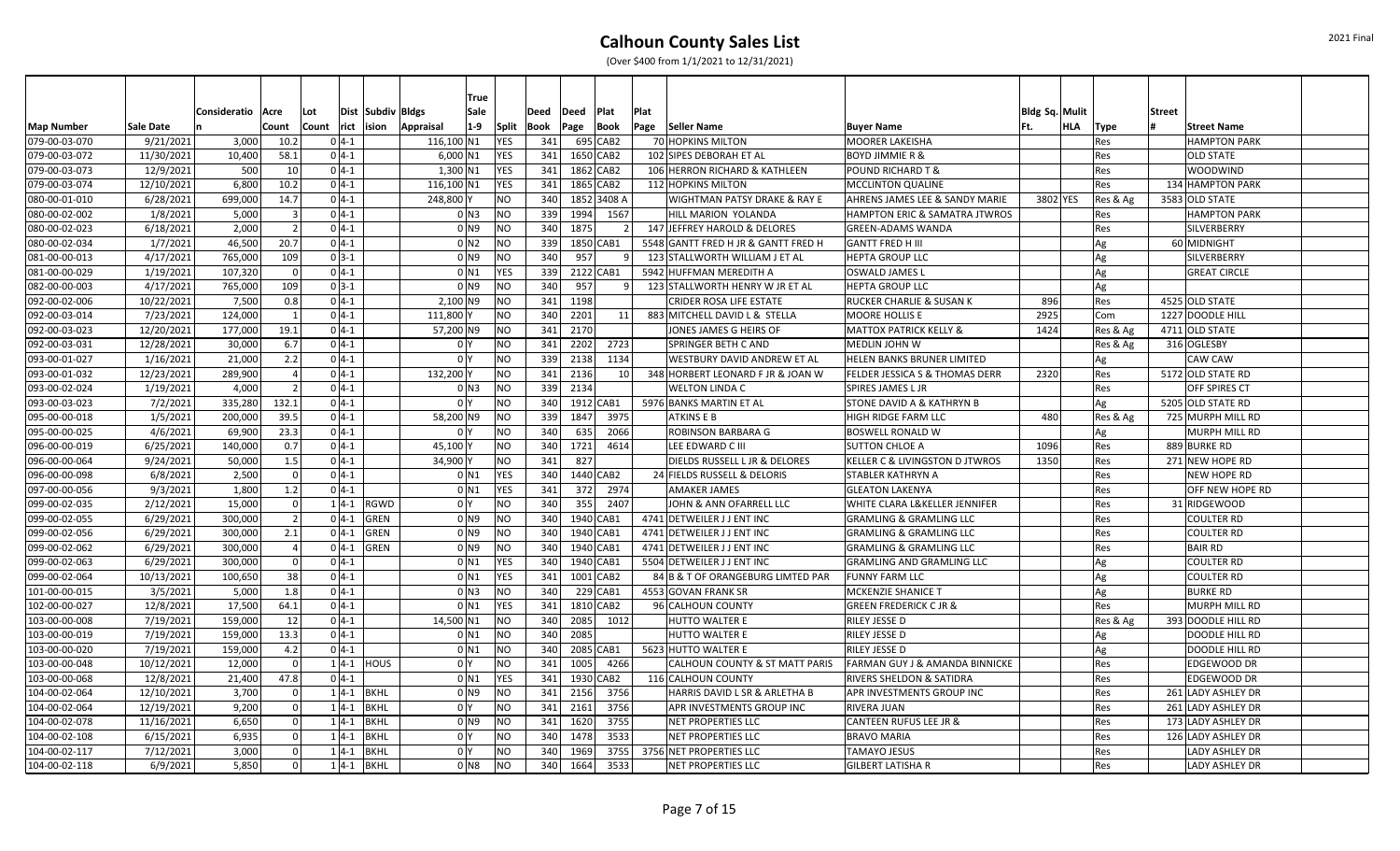|                   |                  |              |                |                  | <b>True</b>                       |                |      |               |             |                 |                                         |                                           |                |     |          |                       |  |
|-------------------|------------------|--------------|----------------|------------------|-----------------------------------|----------------|------|---------------|-------------|-----------------|-----------------------------------------|-------------------------------------------|----------------|-----|----------|-----------------------|--|
|                   |                  | Consideratio | Acre           | Lot              | Dist Subdiv Bldgs<br>Sale         |                | Deed | $\vert$ Deed  | Plat        | Plat            |                                         |                                           | Bldg Sq. Mulit |     |          | <b>Street</b>         |  |
| <b>Map Number</b> | <b>Sale Date</b> |              | Count          | Count rict ision | $1-9$<br>Appraisal                | Split          | Book | Page          | Book        | Page            | Seller Name                             | <b>Buyer Name</b>                         | lFt.           | HLA | Type     | <b>Street Name</b>    |  |
| 079-00-03-070     | 9/21/2021        | 3,000        | 10.2           | $0 4-1$          | 116,100 N1                        | <b>YES</b>     | 341  |               | 695 CAB2    |                 | 70 HOPKINS MILTON                       | <b>MOORER LAKEISHA</b>                    |                |     | Res      | <b>HAMPTON PARK</b>   |  |
| 079-00-03-072     | 11/30/2021       | 10,400       | 58.1           | $0 4-1$          | $6,000$ N1                        | <b>YES</b>     | 341  |               | 1650 CAB2   |                 | 102 SIPES DEBORAH ET AL                 | <b>BOYD JIMMIE R &amp;</b>                |                |     | Res      | <b>OLD STATE</b>      |  |
| 079-00-03-073     | 12/9/2021        | 500          | 10             | $0 4-1$          | $1,300$ N1                        | <b>YES</b>     | 341  |               | 1862 CAB2   |                 | 106 HERRON RICHARD & KATHLEEN           | <b>POUND RICHARD T &amp;</b>              |                |     | Res      | <b>WOODWIND</b>       |  |
| 079-00-03-074     | 12/10/2021       | 6,800        | 10.2           | $0 4-1$          | 116,100 N1                        | <b>YES</b>     | 341  |               | 1865 CAB2   |                 | 112 HOPKINS MILTON                      | <b>MCCLINTON QUALINE</b>                  |                |     | Res      | 134 HAMPTON PARK      |  |
| 080-00-01-010     | 6/28/2021        | 699,000      | 14.7           | $0 4-1$          | 248,800                           | N <sub>O</sub> | 340  |               | 1852 3408 A |                 | <b>WIGHTMAN PATSY DRAKE &amp; RAY E</b> | AHRENS JAMES LEE & SANDY MARIE            | 3802 YES       |     | Res & Ag | 3583 OLD STATE        |  |
| 080-00-02-002     | 1/8/2021         | 5,000        | -3             | $0 4-1$          | $0$ N3                            | NO             | 339  | 1994          | 1567        |                 | HILL MARION YOLANDA                     | <b>HAMPTON ERIC &amp; SAMATRA JTWROS</b>  |                |     | Res      | <b>HAMPTON PARK</b>   |  |
| 080-00-02-023     | 6/18/2021        | 2,000        | $\overline{2}$ | $0 4-1$          | 0 <sub>N9</sub>                   | N <sub>O</sub> | 340  | 1875          |             | 2 <sup>1</sup>  | 147 JEFFREY HAROLD & DELORES            | <b>GREEN-ADAMS WANDA</b>                  |                |     | Res      | SILVERBERRY           |  |
| 080-00-02-034     | 1/7/2021         | 46,500       | 20.7           | $0 4-1$          | 0 <sub>N2</sub>                   | NO             | 339  |               | 1850 CAB1   |                 | 5548 GANTT FRED H JR & GANTT FRED H     | <b>GANTT FRED H III</b>                   |                |     | Ag       | 60 MIDNIGHT           |  |
| 081-00-00-013     | 4/17/2021        | 765,000      | 109            | $0 3-1$          | $01$ N <sub>9</sub>               | N <sub>O</sub> | 340  | 957           |             | 9               | 123 STALLWORTH WILLIAM J ET AL          | <b>HEPTA GROUP LLC</b>                    |                |     | Ag       | SILVERBERRY           |  |
| 081-00-00-029     | 1/19/2021        | 107,320      |                | $0 4-1$          | 0 N1                              | <b>YES</b>     | 339  |               | 2122 CAB1   |                 | 5942 HUFFMAN MEREDITH A                 | <b>OSWALD JAMES L</b>                     |                |     | Ag       | <b>GREAT CIRCLE</b>   |  |
| 082-00-00-003     | 4/17/2021        | 765,000      | 109            | $0 3-1$          | 0 <sub>N9</sub>                   | N <sub>O</sub> | 340  | 957           |             |                 | 123 STALLWORTH HENRY W JR ET AL         | <b>HEPTA GROUP LLC</b>                    |                |     | Ag       |                       |  |
| 092-00-02-006     | 10/22/2021       | 7,500        | 0.8            | $0 4-1$          | 2,100 N9                          | N <sub>O</sub> | 341  | 1198          |             |                 | CRIDER ROSA LIFE ESTATE                 | <b>RUCKER CHARLIE &amp; SUSAN K</b>       | 896            |     | Res      | 4525 OLD STATE        |  |
| 092-00-03-014     | 7/23/2021        | 124,000      | $\overline{1}$ | $0 4-1$          | 111,800                           | N <sub>O</sub> | 340  | 2201          |             | 11              | 883 MITCHELL DAVID L & STELLA           | <b>MOORE HOLLIS E</b>                     | 2925           |     | Com      | 1227 DOODLE HILI      |  |
| 092-00-03-023     | 12/20/2021       | 177,000      | 19.1           | $0 4-1$          | 57,200 N9                         | N <sub>O</sub> |      | 341 2170      |             |                 | JONES JAMES G HEIRS OF                  | <b>MATTOX PATRICK KELLY &amp;</b>         | 1424           |     | Res & Ag | 4711 OLD STATE        |  |
| 092-00-03-031     | 12/28/2021       | 30,000       | 6.7            | $0 4-1$          | 0 <sup>1</sup>                    | N <sub>O</sub> | 341  | 2202          | 2723        |                 | <b>SPRINGER BETH C AND</b>              | MEDLIN JOHN W                             |                |     | Res & Ag | 316 OGLESBY           |  |
| 093-00-01-027     | 1/16/2021        | 21,000       | 2.2            | $0 4-1$          | 0 <sup>I</sup> Y                  | N <sub>O</sub> | 339  | 2138          | 1134        |                 | WESTBURY DAVID ANDREW ET AL             | HELEN BANKS BRUNER LIMITED                |                |     | Ag       | CAW CAW               |  |
| 093-00-01-032     | 12/23/2021       | 289,900      |                | $0 4-1$          | 132,200                           | NO             |      | 341 2136      |             | 10 <sup>1</sup> | 348 HORBERT LEONARD F JR & JOAN W       | FELDER JESSICA S & THOMAS DERR            | 2320           |     | Res      | 5172 OLD STATE RD     |  |
| 093-00-02-024     | 1/19/2021        | 4,000        | $\overline{2}$ | $0 4-1$          | 0 N3                              | N <sub>O</sub> |      | 339 2134      |             |                 | <b>WELTON LINDA C</b>                   | <b>SPIRES JAMES L JR</b>                  |                |     | Res      | OFF SPIRES CT         |  |
| 093-00-03-023     | 7/2/2021         | 335,280      | 132.1          | $0 4-1$          | 0 <sup>1</sup>                    | <b>NO</b>      | 340  |               | 1912 CAB1   |                 | 5976 BANKS MARTIN ET AL                 | <b>STONE DAVID A &amp; KATHRYN B</b>      |                |     | Ag       | 5205 OLD STATE RD     |  |
| 095-00-00-018     | 1/5/2021         | 200,000      | 39.5           | $0 4-1$          | 58,200 N9                         | N <sub>O</sub> | 339  | 1847          | 3975        |                 | <b>ATKINS E B</b>                       | <b>HIGH RIDGE FARM LLC</b>                | 480            |     | Res & Ag | 725 MURPH MILL RD     |  |
| 095-00-00-025     | 4/6/2021         | 69,900       | 23.3           | $0 4-1$          | 0 <sup>1</sup>                    | N <sub>O</sub> | 340  | 635           | 2066        |                 | ROBINSON BARBARA G                      | <b>BOSWELL RONALD W</b>                   |                |     | Ag       | <b>MURPH MILL RD</b>  |  |
| 096-00-00-019     | 6/25/2021        | 140,000      | 0.7            | $0 4-1$          | 45,100                            | N <sub>O</sub> | 340  | 1721          | 4614        |                 | LEE EDWARD C III                        | <b>SUTTON CHLOE A</b>                     | 1096           |     | Res      | 889 BURKE RD          |  |
| 096-00-00-064     | 9/24/2021        | 50,000       | 1.5            | $0 4-1$          | 34,900\                           | N <sub>O</sub> | 341  | 827           |             |                 | DIELDS RUSSELL L JR & DELORES           | <b>KELLER C &amp; LIVINGSTON D JTWROS</b> | 1350           |     | Res      | 271 NEW HOPE RD       |  |
| 096-00-00-098     | 6/8/2021         | 2,500        | - 0            | $0 4-1 $         | $0$ N1                            | <b>YES</b>     | 340  |               | 1440 CAB2   |                 | 24 FIELDS RUSSELL & DELORIS             | <b>STABLER KATHRYN A</b>                  |                |     | Res      | NEW HOPE RD           |  |
| 097-00-00-056     | 9/3/2021         | 1,800        | 1.2            | $0 4-1$          | 0 <sub>N1</sub>                   | <b>YES</b>     | 341  | 372           | 2974        |                 | AMAKER JAMES                            | <b>GLEATON LAKENYA</b>                    |                |     | Res      | OFF NEW HOPE RD       |  |
| 099-00-02-035     | 2/12/2021        | 15,000       | $\Omega$       | $1 4-1$          | RGWD<br>0 <sup>o</sup>            | NO             | 340  | 355           | 2407        |                 | JOHN & ANN OFARRELL LLC                 | <b>WHITE CLARA L&amp;KELLER JENNIFER</b>  |                |     | Res      | 31 RIDGEWOOD          |  |
| 099-00-02-055     | 6/29/2021        | 300,000      | $\overline{2}$ | $0 4-1$          | <b>GREN</b><br>0 <sub>N9</sub>    | N <sub>O</sub> | 340  |               | 1940 CAB1   |                 | 4741 DETWEILER J J ENT INC              | <b>GRAMLING &amp; GRAMLING LLC</b>        |                |     | Res      | <b>COULTER RD</b>     |  |
| 099-00-02-056     | 6/29/2021        | 300,000      | 2.1            | $0 4-1$          | GREN<br>$0$ N <sub>9</sub>        | N <sub>O</sub> | 340  |               | 1940 CAB1   |                 | 4741 DETWEILER J J ENT INC              | <b>GRAMLING &amp; GRAMLING LLC</b>        |                |     | Res      | <b>COULTER RD</b>     |  |
| 099-00-02-062     | 6/29/2021        | 300,000      |                | $0 4-1 $         | <b>GREN</b><br>0 <sub>N9</sub>    | N <sub>O</sub> | 340  |               | 1940 CAB1   |                 | 4741 DETWEILER J J ENT INC              | <b>GRAMLING &amp; GRAMLING LLC</b>        |                |     | Res      | <b>BAIR RD</b>        |  |
| 099-00-02-063     | 6/29/2021        | 300,000      |                | $0 4-1$          | 0 <sub>N1</sub>                   | <b>YES</b>     | 340  |               | 1940 CAB1   |                 | 5504 DETWEILER J J ENT INC              | <b>GRAMLING AND GRAMLING LLC</b>          |                |     | Ag       | <b>COULTER RD</b>     |  |
| 099-00-02-064     | 10/13/2021       | 100,650      | 38             | $0 4-1$          | 0 <sub>N1</sub>                   | <b>YES</b>     | 341  |               | 1001 CAB2   |                 | 84 B & T OF ORANGEBURG LIMTED PAR       | <b>FUNNY FARM LLC</b>                     |                |     | Ag       | <b>COULTER RD</b>     |  |
| 101-00-00-015     | 3/5/2021         | 5,000        | 1.8            | $0 4-1$          | $0$ N3                            | N <sub>O</sub> | 340  |               | 229 CAB1    |                 | 4553 GOVAN FRANK SR                     | <b>MCKENZIE SHANICE T</b>                 |                |     | Ag       | <b>BURKE RD</b>       |  |
| 102-00-00-027     | 12/8/2021        | 17,500       | 64.1           | $0 4-1$          | 0 <sub>N1</sub>                   | <b>YES</b>     | 341  |               | 1810 CAB2   |                 | 96 CALHOUN COUNTY                       | <b>GREEN FREDERICK C JR &amp;</b>         |                |     | Res      | <b>MURPH MILL RD</b>  |  |
| 103-00-00-008     | 7/19/2021        | 159,000      | 12             | $0 4-1$          | 14,500 N1                         | N <sub>O</sub> | 340  | 2085          | 1012        |                 | <b>HUTTO WALTER E</b>                   | <b>RILEY JESSE D</b>                      |                |     | Res & Ag | 393 DOODLE HILL RD    |  |
| 103-00-00-019     | 7/19/2021        | 159,000      | 13.3           | $0 4-1 $         | $0$ N1                            | N <sub>O</sub> | 340  | 2085          |             |                 | HUTTO WALTER E                          | <b>RILEY JESSE D</b>                      |                |     | Ag       | <b>DOODLE HILL RD</b> |  |
| 103-00-00-020     | 7/19/2021        | 159,000      | 4.2            | $0 4-1$          | 0 <sub>N1</sub>                   | NO             |      | 340 2085 CAB1 |             |                 | 5623 HUTTO WALTER E                     | <b>RILEY JESSE D</b>                      |                |     | Ag       | <b>DOODLE HILL RD</b> |  |
| 103-00-00-048     | 10/12/2021       | 12,000       | $\Omega$       |                  | $1 4-1 $ HOUS<br>0 Y              | NO             | 341  | 1005          | 4266        |                 | CALHOUN COUNTY & ST MATT PARIS          | <b>FARMAN GUY J &amp; AMANDA BINNICKE</b> |                |     | Res      | <b>EDGEWOOD DR</b>    |  |
| 103-00-00-068     | 12/8/2021        | 21,400       | 47.8           | $0 4-1$          | $0$ N1                            | <b>YES</b>     | 341  |               | 1930 CAB2   |                 | 116 CALHOUN COUNTY                      | RIVERS SHELDON & SATIDRA                  |                |     | Res      | EDGEWOOD DR           |  |
| 104-00-02-064     | 12/10/2021       | 3,700        |                | $1 4-1 $         | $0$ N <sub>9</sub><br><b>BKHL</b> | NO             | 341  | 2156          | 3756        |                 | HARRIS DAVID L SR & ARLETHA B           | <b>APR INVESTMENTS GROUP INC</b>          |                |     | Res      | 261 LADY ASHLEY DR    |  |
| 104-00-02-064     | 12/19/2021       | 9,200        |                | $1 4-1 $ BKHL    | 0 Y                               | N <sub>O</sub> | 341  | 2161          | 3756        |                 | APR INVESTMENTS GROUP INC               | <b>RIVERA JUAN</b>                        |                |     | Res      | 261 LADY ASHLEY DR    |  |
| 104-00-02-078     | 11/16/2021       | 6,650        | $\Omega$       | $1 4-1$          | <b>BKHL</b><br>0 <sub>N9</sub>    | N <sub>O</sub> | 341  | 1620          | 3755        |                 | NET PROPERTIES LLC                      | <b>CANTEEN RUFUS LEE JR &amp;</b>         |                |     | Res      | 173 LADY ASHLEY DR    |  |
| 104-00-02-108     | 6/15/2021        | 6,935        |                | $1 4-1$          | 0 <sup>1</sup><br><b>BKHL</b>     | N <sub>O</sub> | 340  | 1478          | 3533        |                 | <b>NET PROPERTIES LLC</b>               | <b>BRAVO MARIA</b>                        |                |     | Res      | 126 LADY ASHLEY DR    |  |
| 104-00-02-117     | 7/12/2021        | 3,000        |                | $1 4-1$          | 0 <sup>1</sup><br><b>BKHL</b>     | N <sub>O</sub> | 340  | 1969          | 3755        |                 | 3756 NET PROPERTIES LLC                 | <b>TAMAYO JESUS</b>                       |                |     | Res      | LADY ASHLEY DR        |  |
| 104-00-02-118     | 6/9/2021         | 5,850        | $\Omega$       | $1 4-1$          | <b>BKHL</b><br>$0$ N <sub>8</sub> | NO             | 340  | 1664          | 3533        |                 | NET PROPERTIES LLC                      | <b>GILBERT LATISHA R</b>                  |                |     | Res      | LADY ASHLEY DR        |  |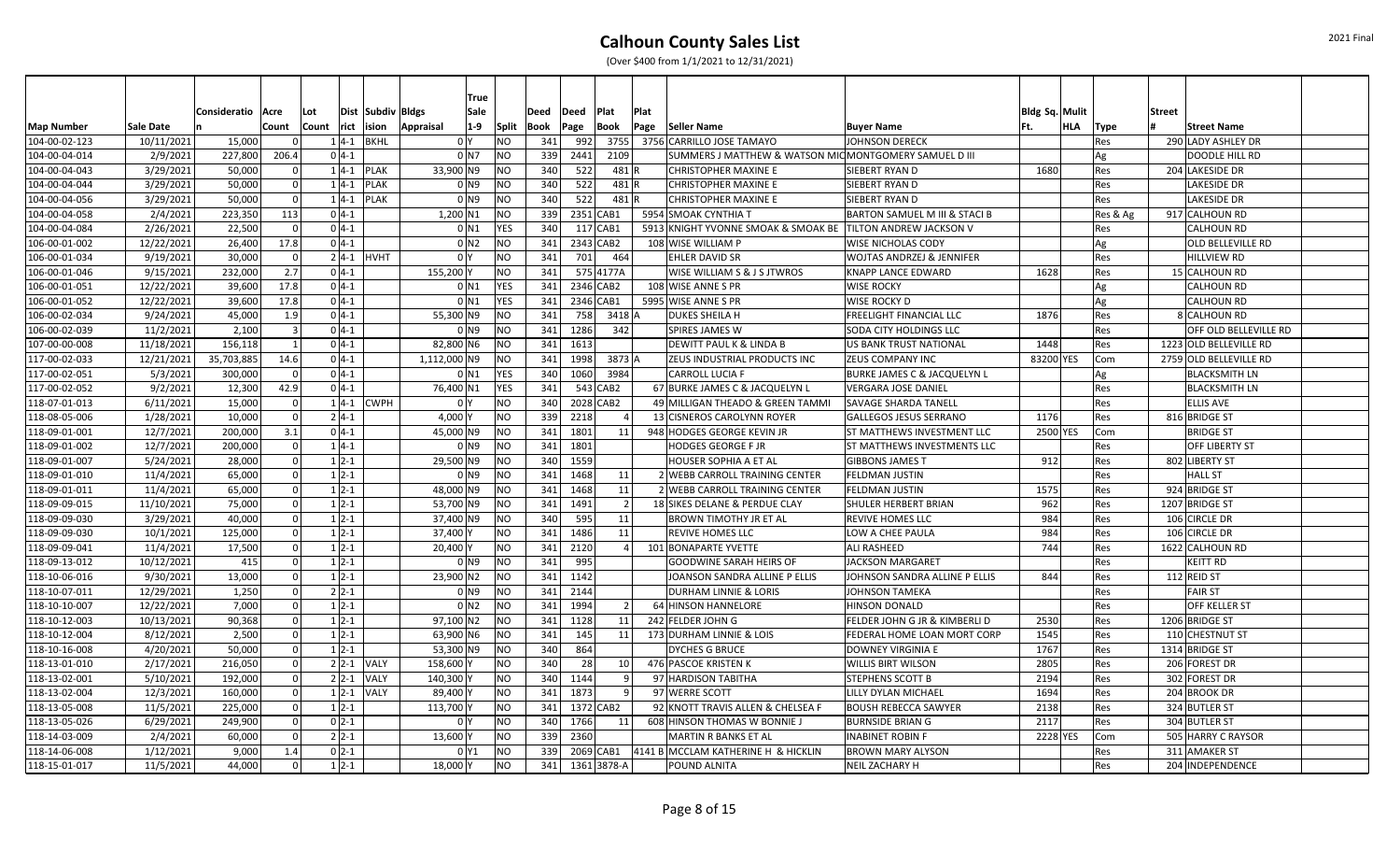|                   |            |              |              |       |          |                   |                    | <b>True</b>  |      |             |             |                 |                                     |                                     |                                                        |                |     |          |        |                          |
|-------------------|------------|--------------|--------------|-------|----------|-------------------|--------------------|--------------|------|-------------|-------------|-----------------|-------------------------------------|-------------------------------------|--------------------------------------------------------|----------------|-----|----------|--------|--------------------------|
|                   |            | Consideratio | Acre         | Lot   |          | Dist Subdiv Bldgs |                    | Sale         | Deed | Deed        | Plat        |                 | Plat                                |                                     |                                                        | Bldg Sq. Mulit |     |          | Street |                          |
| <b>Map Number</b> | Sale Date  |              | Count        | Count |          | rict ision        | $1-9$<br>Appraisal | <b>Split</b> | Book | Page        | <b>Book</b> |                 | Page<br>Seller Name                 |                                     | <b>Buyer Name</b>                                      | Ft.            | HLA | Type     |        | <b>Street Name</b>       |
| 104-00-02-123     | 10/11/2021 | 15,000       |              |       | $1 4-1$  | <b>BKHL</b>       | 0 <sup>I</sup> Y   | NO)          | 341  | 992         |             | 3755            | 3756 CARRILLO JOSE TAMAYO           |                                     | <b>JOHNSON DERECK</b>                                  |                |     | Res      |        | 290 LADY ASHLEY DR       |
| 104-00-04-014     | 2/9/2021   | 227,800      | 206.4        |       | $0 4-1$  |                   | 0 <sub>1</sub>     | <b>NO</b>    | 339  | 2441        |             | 2109            |                                     |                                     | SUMMERS J MATTHEW & WATSON MIC MONTGOMERY SAMUEL D III |                |     | Ag       |        | <b>DOODLE HILL RD</b>    |
| 104-00-04-043     | 3/29/2021  | 50,000       |              |       |          | $1 4-1 $ PLAK     | 33,900 N9          | NO)          | 340  | 522         |             | 481R            | <b>CHRISTOPHER MAXINE E</b>         |                                     | SIEBERT RYAN D                                         | 1680           |     | Res      |        | 204 LAKESIDE DR          |
| 104-00-04-044     | 3/29/2021  | 50,000       |              |       | $1 4-1$  | <b>PLAK</b>       | 0 N9               | NO.          | 340  | 522         |             | 481R            | <b>CHRISTOPHER MAXINE E</b>         |                                     | SIEBERT RYAN D                                         |                |     | Res      |        | LAKESIDE DR              |
| 104-00-04-056     | 3/29/2021  | 50,000       | $\Omega$     |       | $1 4-1$  | <b>PLAK</b>       | 0 N9               | <b>NO</b>    | 340  | 522         |             | 481R            | <b>CHRISTOPHER MAXINE E</b>         |                                     | SIEBERT RYAN D                                         |                |     | Res      |        | LAKESIDE DR              |
| 104-00-04-058     | 2/4/2021   | 223,350      | 113          |       | $0 4-1$  |                   | $1,200$ N1         | <b>NO</b>    | 339  | 2351 CAB1   |             |                 | 5954 SMOAK CYNTHIA T                |                                     | BARTON SAMUEL M III & STACI B                          |                |     | Res & Ag |        | 917 CALHOUN RD           |
| 104-00-04-084     | 2/26/2021  | 22,500       |              |       | $0 4-1$  |                   | 0 N1               | <b>YES</b>   | 340  |             | 117 CAB1    |                 |                                     | 5913 KNIGHT YVONNE SMOAK & SMOAK BE | <b>TILTON ANDREW JACKSON V</b>                         |                |     | Res      |        | <b>CALHOUN RD</b>        |
| 106-00-01-002     | 12/22/2021 | 26,400       | 17.8         |       | $0 4-1$  |                   | 0 <sub>N2</sub>    | <b>NO</b>    | 341  | 2343 CAB2   |             |                 | 108 WISE WILLIAM P                  |                                     | WISE NICHOLAS CODY                                     |                |     | Ag       |        | <b>OLD BELLEVILLE RD</b> |
| 106-00-01-034     | 9/19/2021  | 30,000       |              |       |          | $2 4-1 $ HVHT     | 0 <sup>1</sup>     | NO           | 341  | 701         |             | 464             | <b>EHLER DAVID SR</b>               |                                     | <b>WOJTAS ANDRZEJ &amp; JENNIFER</b>                   |                |     | Res      |        | <b>HILLVIEW RD</b>       |
| 106-00-01-046     | 9/15/2021  | 232,000      | 2.7          |       | $0 4-1$  |                   | 155,200 Y          | ΝO           | 341  |             | 575 4177A   |                 |                                     | WISE WILLIAM S & J S JTWROS         | KNAPP LANCE EDWARD                                     | 1628           |     | Res      |        | 15 CALHOUN RD            |
| 106-00-01-051     | 12/22/2021 | 39,600       | 17.8         |       | $0 4-1$  |                   | 0 N1               | <b>YES</b>   | 341  | 2346 CAB2   |             |                 | 108 WISE ANNE S PR                  |                                     | <b>WISE ROCKY</b>                                      |                |     | Ag       |        | CALHOUN RD               |
| 106-00-01-052     | 12/22/2021 | 39,600       | 17.8         |       | $0 4-1 $ |                   | $0$ N1             | <b>YES</b>   | 341  | 2346 CAB1   |             |                 | 5995 WISE ANNE S PR                 |                                     | WISE ROCKY D                                           |                |     | Ag       |        | <b>CALHOUN RD</b>        |
| 106-00-02-034     | 9/24/2021  | 45,000       | 1.9          |       | $0 4-1 $ |                   | 55,300 N9          | NO           | 341  | 758         |             | 3418 A          | <b>DUKES SHEILA H</b>               |                                     | FREELIGHT FINANCIAL LLC                                | 1876           |     | Res      |        | 8 CALHOUN RD             |
| 106-00-02-039     | 11/2/2021  | 2,100        | $\mathbf{R}$ |       | $0 4-1 $ |                   | 0 N9               | NO           | 341  | 1286        |             | 342             | SPIRES JAMES W                      |                                     | SODA CITY HOLDINGS LLC                                 |                |     | Res      |        | OFF OLD BELLEVILLE RD    |
| 107-00-00-008     | 11/18/2021 | 156,118      |              |       | $0 4-1 $ |                   | 82,800 N6          | NO           |      | 341 1613    |             |                 | <b>DEWITT PAUL K &amp; LINDA B</b>  |                                     | <b>US BANK TRUST NATIONAL</b>                          | 1448           |     | Res      |        | 1223 OLD BELLEVILLE RD   |
| 117-00-02-033     | 12/21/2021 | 35,703,885   | 14.6         |       | $0 4-1 $ |                   | 1,112,000 N9       | <b>NO</b>    | 341  | 1998        |             | 3873 A          |                                     | ZEUS INDUSTRIAL PRODUCTS INC        | ZEUS COMPANY INC                                       | 83200 YES      |     | Com      |        | 2759 OLD BELLEVILLE RD   |
| 117-00-02-051     | 5/3/2021   | 300,000      | - 0          |       | $0 4-1 $ |                   | 0 N1               | <b>YES</b>   | 340  | 1060        |             | 3984            | <b>CARROLL LUCIA F</b>              |                                     | <b>BURKE JAMES C &amp; JACQUELYN L</b>                 |                |     | Ag       |        | <b>BLACKSMITH LN</b>     |
| 117-00-02-052     | 9/2/2021   | 12,300       | 42.9         |       | $0 4-1$  |                   | 76,400 N1          | <b>YES</b>   | 341  |             | 543 CAB2    |                 | 67 BURKE JAMES C & JACQUELYN L      |                                     | <b>VERGARA JOSE DANIEL</b>                             |                |     | Res      |        | <b>BLACKSMITH LN</b>     |
| 118-07-01-013     | 6/11/2021  | 15,000       |              |       |          | $1 4-1 $ CWPH     | 0 <sup>1</sup>     | NO           | 340  | 2028 CAB2   |             |                 |                                     | 49 MILLIGAN THEADO & GREEN TAMMI    | <b>SAVAGE SHARDA TANELL</b>                            |                |     | Res      |        | <b>ELLIS AVE</b>         |
| 118-08-05-006     | 1/28/2021  | 10,000       |              |       | $2 4-1 $ |                   | 4,000 Y            | NO           | 339  | 2218        |             |                 | 13 CISNEROS CAROLYNN ROYER          |                                     | <b>GALLEGOS JESUS SERRANO</b>                          | 1176           |     | Res      |        | 816 BRIDGE ST            |
| 118-09-01-001     | 12/7/2021  | 200,000      | 3.1          |       | $0 4-1 $ |                   | 45,000 N9          | NO.          | 341  | 1801        |             | 11              | 948 HODGES GEORGE KEVIN JR          |                                     | <b>ST MATTHEWS INVESTMENT LLC</b>                      | 2500 YES       |     | Com      |        | <b>BRIDGE ST</b>         |
| 118-09-01-002     | 12/7/2021  | 200,000      | $\Omega$     |       | $1 4-1 $ |                   | 0 N9               | NO.          | 341  | 1801        |             |                 | <b>HODGES GEORGE F JR</b>           |                                     | <b>ST MATTHEWS INVESTMENTS LLC</b>                     |                |     | Res      |        | OFF LIBERTY ST           |
| 118-09-01-007     | 5/24/2021  | 28,000       | $\Omega$     |       | $1 2-1$  |                   | 29,500 N9          | <b>NO</b>    | 340  | 1559        |             |                 | HOUSER SOPHIA A ET AL               |                                     | <b>GIBBONS JAMES T</b>                                 | 912            |     | Res      |        | 802 LIBERTY ST           |
| 118-09-01-010     | 11/4/2021  | 65,000       |              |       | $1 2-1$  |                   | 0 <sub>N9</sub>    | NO           | 341  | 1468        |             | 11              |                                     | 2 WEBB CARROLL TRAINING CENTER      | FELDMAN JUSTIN                                         |                |     | Res      |        | <b>HALL ST</b>           |
| 118-09-01-011     | 11/4/2021  | 65,000       |              |       | $1 2-1$  |                   | 48,000 N9          | NO           | 341  | 1468        |             | 11              |                                     | 2 WEBB CARROLL TRAINING CENTER      | <b>FELDMAN JUSTIN</b>                                  | 1575           |     | Res      |        | 924 BRIDGE ST            |
| 118-09-09-015     | 11/10/2021 | 75,000       | $\Omega$     |       | $1 2-1$  |                   | 53,700 N9          | <b>NO</b>    | 341  | 1491        |             | $\overline{2}$  | 18 SIKES DELANE & PERDUE CLAY       |                                     | <b>SHULER HERBERT BRIAN</b>                            | 962            |     | Res      |        | 1207 BRIDGE ST           |
| 118-09-09-030     | 3/29/2021  | 40,000       | $\Omega$     |       | $1 2-1$  |                   | 37,400 N9          | <b>NO</b>    | 340  | 595         |             | 11              | <b>BROWN TIMOTHY JR ET AL</b>       |                                     | <b>REVIVE HOMES LLC</b>                                | 984            |     | Res      |        | 106 CIRCLE DR            |
| 118-09-09-030     | 10/1/2021  | 125,000      |              |       | $1 2-1$  |                   | 37,400 Y           | NO           | 341  | 1486        |             | 11              | <b>REVIVE HOMES LLC</b>             |                                     | LOW A CHEE PAULA                                       | 984            |     | Res      |        | 106 CIRCLE DR            |
| 118-09-09-041     | 11/4/2021  | 17,500       |              |       | $1 2-1$  |                   | 20,400             | NO           | 341  | 2120        |             |                 | 101 BONAPARTE YVETTE                |                                     | <b>ALI RASHEED</b>                                     | 744            |     | Res      |        | 1622 CALHOUN RD          |
| 118-09-13-012     | 10/12/2021 | 415          |              |       | $1 2-1$  |                   | 0 N9               | <b>NO</b>    | 341  | 995         |             |                 | <b>GOODWINE SARAH HEIRS OF</b>      |                                     | <b>JACKSON MARGARET</b>                                |                |     | Res      |        | <b>KEITT RD</b>          |
| 118-10-06-016     | 9/30/2021  | 13,000       | n            |       | $1 2-1$  |                   | 23,900 N2          | <b>NO</b>    | 341  | 1142        |             |                 |                                     | JOANSON SANDRA ALLINE P ELLIS       | JOHNSON SANDRA ALLINE P ELLIS                          | 844            |     | Res      |        | 112 REID ST              |
| 118-10-07-011     | 12/29/2021 | 1,250        | $\Omega$     |       | $2 2-1$  |                   | 0 N9               | <b>NO</b>    | 341  | 2144        |             |                 | <b>DURHAM LINNIE &amp; LORIS</b>    |                                     | <b>JOHNSON TAMEKA</b>                                  |                |     | Res      |        | <b>FAIR ST</b>           |
| 118-10-10-007     | 12/22/2021 | 7,000        |              |       | $1 2-1$  |                   | 0 <sub>N2</sub>    | NO           | 341  | 1994        |             | 2 <sup>1</sup>  | 64 HINSON HANNELORE                 |                                     | <b>HINSON DONALD</b>                                   |                |     | Res      |        | OFF KELLER ST            |
| 118-10-12-003     | 10/13/2021 | 90,368       |              |       | $1 2-1$  |                   | 97,100 N2          | <b>NO</b>    | 341  | 1128        |             | 11              | 242 FELDER JOHN G                   |                                     | FELDER JOHN G JR & KIMBERLI D                          | 2530           |     | Res      |        | 1206 BRIDGE ST           |
| 118-10-12-004     | 8/12/2021  | 2,500        | $\Omega$     |       | $1 2-1$  |                   | 63,900 N6          | <b>NO</b>    | 341  | 145         |             | 11              | 173 DURHAM LINNIE & LOIS            |                                     | FEDERAL HOME LOAN MORT CORP                            | 1545           |     | Res      |        | 110 CHESTNUT ST          |
| 118-10-16-008     | 4/20/2021  | 50,000       |              |       | $1 2-1$  |                   | 53,300 N9          | <b>NO</b>    | 340  | 864         |             |                 | <b>DYCHES G BRUCE</b>               |                                     | <b>DOWNEY VIRGINIA E</b>                               | 1767           |     | Res      |        | 1314 BRIDGE ST           |
| 118-13-01-010     | 2/17/2021  | 216,050      |              |       |          | $2 2-1 $ VALY     | 158,600 \          | NO           | 340  | 28          |             | 10 <sup>1</sup> | 476 PASCOE KRISTEN K                |                                     | <b>WILLIS BIRT WILSON</b>                              | 2805           |     | Res      |        | 206 FOREST DR            |
| 118-13-02-001     | 5/10/2021  | 192,000      |              |       |          | $2 2-1 $ VALY     | 140,300            | NO           | 340  | 1144        |             |                 | 97 HARDISON TABITHA                 |                                     | STEPHENS SCOTT B                                       | 2194           |     | Res      |        | 302 FOREST DR            |
| 118-13-02-004     | 12/3/2021  | 160,000      |              |       |          | $1 2-1$ VALY      | 89,400 }           | <b>NO</b>    | 341  | 1873        |             | $\mathsf q$     | 97 WERRE SCOTT                      |                                     | LILLY DYLAN MICHAEL                                    | 1694           |     | Res      |        | 204 BROOK DR             |
| 118-13-05-008     | 11/5/2021  | 225,000      | $\Omega$     |       | $1 2-1$  |                   | 113,700            | NO           | 341  | 1372 CAB2   |             |                 |                                     | 92 KNOTT TRAVIS ALLEN & CHELSEA F   | <b>BOUSH REBECCA SAWYER</b>                            | 2138           |     | Res      |        | 324 BUTLER ST            |
| 118-13-05-026     | 6/29/2021  | 249,900      | -ol          |       | $0 2-1$  |                   | 0 <sup>Y</sup>     | <b>NO</b>    | 340  | 1766        |             | 11              | 608 HINSON THOMAS W BONNIE J        |                                     | <b>BURNSIDE BRIAN G</b>                                | 2117           |     | Res      |        | 304 BUTLER ST            |
| 118-14-03-009     | 2/4/2021   | 60,000       | - 0          |       | $2 2-1 $ |                   | 13,600             | <b>NO</b>    | 339  | 2360        |             |                 | MARTIN R BANKS ET AL                |                                     | <b>INABINET ROBIN F</b>                                | 2228 YES       |     | Com      |        | 505 HARRY C RAYSOR       |
| 118-14-06-008     | 1/12/2021  | 9,000        | 1.4          |       | $0 2-1$  |                   | 0 Y1               | NO           | 339  | 2069 CAB1   |             |                 | 4141 B MCCLAM KATHERINE H & HICKLIN |                                     | <b>BROWN MARY ALYSON</b>                               |                |     | Res      |        | 311 AMAKER ST            |
| 118-15-01-017     | 11/5/2021  | 44,000       | $\Omega$     |       | $1 2-1$  |                   | 18,000 Y           | NO           | 341  | 1361 3878-A |             |                 | POUND ALNITA                        |                                     | NEIL ZACHARY H                                         |                |     | Res      |        | 204 INDEPENDENCE         |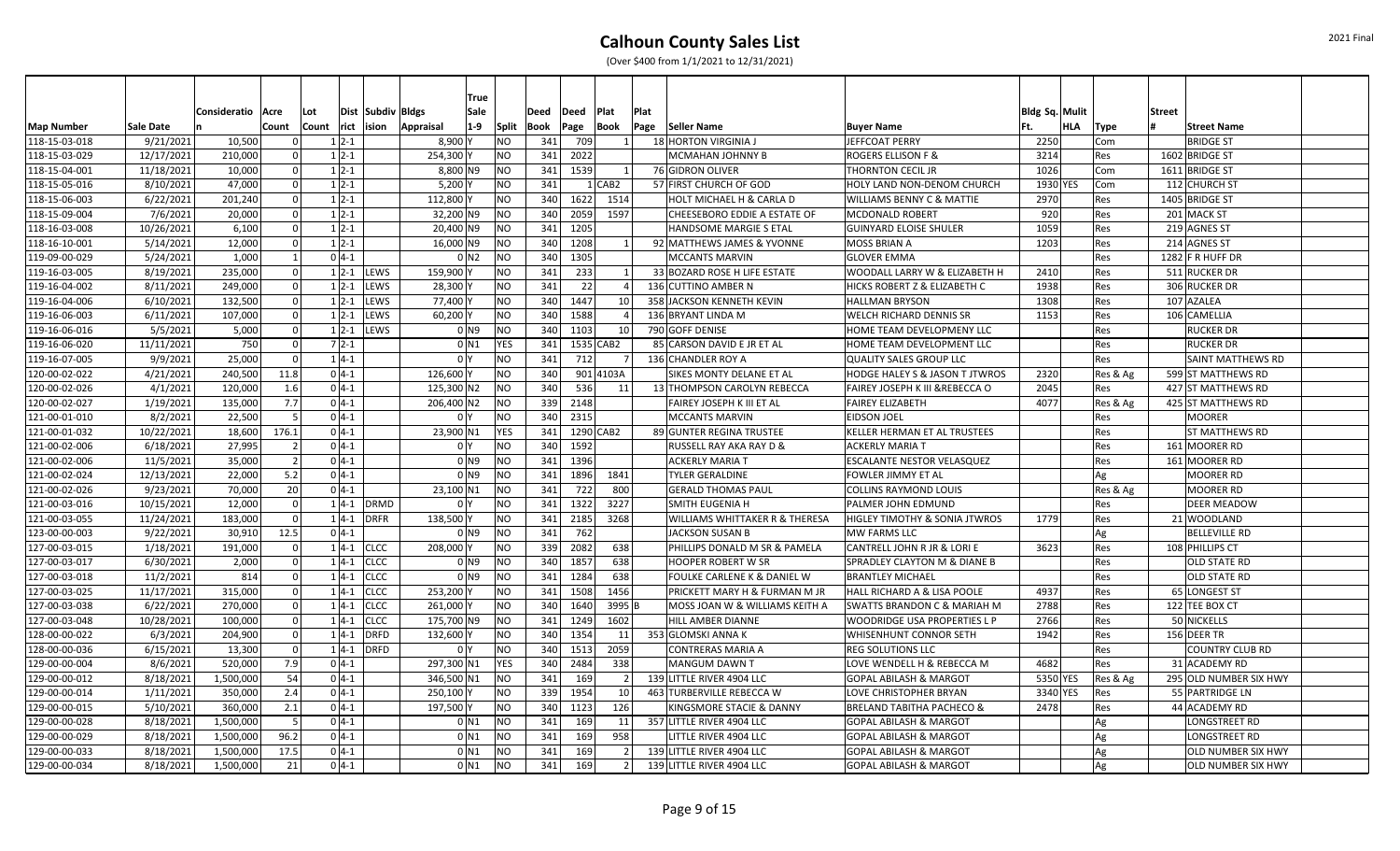|                   |                  |                     |                |                  |               | <b>True</b>               |                |                       |           |          |                 |                                           |                                           |                |          |                           |  |
|-------------------|------------------|---------------------|----------------|------------------|---------------|---------------------------|----------------|-----------------------|-----------|----------|-----------------|-------------------------------------------|-------------------------------------------|----------------|----------|---------------------------|--|
|                   |                  | Consideratio   Acre |                | Lot              |               | Dist Subdiv Bldgs<br>Sale |                | Deed                  | Deed      | Plat     | Plat            |                                           |                                           | Bldg Sq. Mulit |          | <b>Street</b>             |  |
| <b>Map Number</b> | <b>Sale Date</b> |                     | Count          | Count rict ision |               | $1-9$<br>Appraisal        |                | Split<br>Book         | Page      | Book     |                 | Page Seller Name                          | <b>Buyer Name</b>                         | HLA<br>lFt.    | Type     | <b>Street Name</b>        |  |
| 118-15-03-018     | 9/21/2021        | 10,500              |                | $1 2-1$          |               | $8,900$ Y                 | N <sub>O</sub> | 341                   | 709       |          | $1\vert$        | 18 HORTON VIRGINIA J                      | JEFFCOAT PERRY                            | 2250           | Com      | <b>BRIDGE ST</b>          |  |
| 118-15-03-029     | 12/17/2021       | 210,000             |                | $1 2-1$          |               | 254,300                   | N <sub>O</sub> | 341                   | 2022      |          |                 | MCMAHAN JOHNNY B                          | <b>ROGERS ELLISON F &amp;</b>             | 3214           | Res      | 1602 BRIDGE ST            |  |
| 118-15-04-001     | 11/18/2021       | 10,000              | $\Omega$       | $1 2-1$          |               | $8,800$ N9                | N <sub>O</sub> | 341                   | 1539      |          | $1\vert$        | 76 GIDRON OLIVER                          | THORNTON CECIL JR                         | 1026           | Com      | 1611 BRIDGE ST            |  |
| 118-15-05-016     | 8/10/2021        | 47,000              | $\Omega$       | $1 2-1$          |               | 5,200                     | NO             | 341                   |           | $1$ CAB2 |                 | 57 FIRST CHURCH OF GOD                    | HOLY LAND NON-DENOM CHURCH                | 1930 YES       | Com      | 112 CHURCH ST             |  |
| 118-15-06-003     | 6/22/2021        | 201,240             | $\Omega$       | $1 2-1$          |               | 112,800                   |                | N <sub>O</sub><br>340 | 1622      |          | 1514            | HOLT MICHAEL H & CARLA D                  | <b>WILLIAMS BENNY C &amp; MATTIE</b>      | 2970           | Res      | 1405 BRIDGE ST            |  |
| 118-15-09-004     | 7/6/2021         | 20,000              | $\Omega$       | $1 2-1$          |               | 32,200 N9                 | NO             | 340                   | 2059      |          | 1597            | CHEESEBORO EDDIE A ESTATE OF              | <b>MCDONALD ROBERT</b>                    | 920            | Res      | 201 MACK ST               |  |
| 118-16-03-008     | 10/26/2021       | 6,100               | $\Omega$       | $1 2-1$          |               | 20,400 N9                 | N <sub>O</sub> | 341                   | 1205      |          |                 | HANDSOME MARGIE S ETAL                    | <b>GUINYARD ELOISE SHULER</b>             | 1059           | Res      | 219 AGNES ST              |  |
| 118-16-10-001     | 5/14/2021        | 12,000              |                | $1 2-1$          |               | 16,000 N9                 | N <sub>O</sub> | 340                   | 1208      |          | $1\vert$        | 92 MATTHEWS JAMES & YVONNE                | <b>MOSS BRIAN A</b>                       | 1203           | Res      | 214 AGNES ST              |  |
| 119-09-00-029     | 5/24/2021        | 1,000               |                | $0 4-1$          |               | 0 <sub>N2</sub>           | N <sub>O</sub> | 340                   | 1305      |          |                 | <b>MCCANTS MARVIN</b>                     | <b>GLOVER EMMA</b>                        |                | Res      | 1282 $F$ R HUFF DR        |  |
| 119-16-03-005     | 8/19/2021        | 235,000             |                |                  | $1 2-1 $ LEWS | 159,900                   | N <sub>O</sub> | 341                   | 233       |          | $1\vert$        | 33 BOZARD ROSE H LIFE ESTATE              | WOODALL LARRY W & ELIZABETH H             | 2410           | Res      | 511 RUCKER DR             |  |
| 119-16-04-002     | 8/11/2021        | 249,000             |                |                  | $1 2-1 $ LEWS | 28,300                    | N <sub>O</sub> | 341                   | 22        |          | 4 <sup>1</sup>  | 136 CUTTINO AMBER N                       | <b>HICKS ROBERT Z &amp; ELIZABETH C</b>   | 1938           | Res      | 306 RUCKER DR             |  |
| 119-16-04-006     | 6/10/2021        | 132,500             | - Ol           | $1 2-1$          | <b>LEWS</b>   | 77,400                    |                | N <sub>O</sub><br>340 | 1447      |          | 10 <sup>1</sup> | 358 JACKSON KENNETH KEVIN                 | <b>HALLMAN BRYSON</b>                     | 1308           | Res      | 107 AZALEA                |  |
| 119-16-06-003     | 6/11/2021        | 107,000             | $\Omega$       | $1 2-1$          | <b>LEWS</b>   | 60,200                    | NO             | 340                   | 1588      |          | $\vert$         | 136 BRYANT LINDA M                        | <b>WELCH RICHARD DENNIS SR</b>            | 1153           | Res      | 106 CAMELLIA              |  |
| 119-16-06-016     | 5/5/2021         | 5,000               | -ol            | $1 2-1$          |               | LEWS<br>0 N 9             |                | N <sub>O</sub><br>340 | 1103      |          | 10 l            | 790 GOFF DENISE                           | HOME TEAM DEVELOPMENY LLC                 |                | Res      | <b>RUCKER DR</b>          |  |
| 119-16-06-020     | 11/11/2021       | 750                 | $\Omega$       | $7 2-1$          |               | $0$ N1                    |                | 341<br><b>YES</b>     | 1535 CAB2 |          |                 | 85 CARSON DAVID E JR ET AL                | HOME TEAM DEVELOPMENT LLC                 |                | Res      | <b>RUCKER DR</b>          |  |
| 119-16-07-005     | 9/9/2021         | 25,000              | n l            | $1 4-1$          |               | 0 <sup>I</sup> Y          | N <sub>O</sub> | 341                   | 712       |          | 7 <sup>1</sup>  | 136 CHANDLER ROY A                        | QUALITY SALES GROUP LLC                   |                | Res      | <b>SAINT MATTHEWS RD</b>  |  |
| 120-00-02-022     | 4/21/2021        | 240,500             | 11.8           | $0 4-1$          |               | 126,600                   | N <sub>O</sub> | 340                   | 901 4103A |          |                 | SIKES MONTY DELANE ET AL                  | <b>HODGE HALEY S &amp; JASON T JTWROS</b> | 2320           | Res & Ag | 599 ST MATTHEWS RD        |  |
| 120-00-02-026     | 4/1/2021         | 120,000             | 1.6            | $0 4-1$          |               | 125,300 N2                | N <sub>O</sub> | 340                   | 536       |          | 11              | 13 THOMPSON CAROLYN REBECCA               | FAIREY JOSEPH K III & REBECCA O           | 2045           | Res      | 427 ST MATTHEWS RD        |  |
| 120-00-02-027     | 1/19/2021        | 135,000             | 7.7            | $0 4-1$          |               | 206,400 N2                | N <sub>O</sub> | 339                   | 2148      |          |                 | FAIREY JOSEPH K III ET AL                 | <b>FAIREY ELIZABETH</b>                   | 4077           | Res & Ag | 425 ST MATTHEWS RD        |  |
| 121-00-01-010     | 8/2/2021         | 22,500              | -5             | $0 4-1$          |               | 0 <sup>I</sup> Y          | N <sub>O</sub> | 340                   | 2315      |          |                 | <b>MCCANTS MARVIN</b>                     | <b>EIDSON JOEL</b>                        |                | Res      | <b>MOORER</b>             |  |
| 121-00-01-032     | 10/22/2021       | 18,600              | 176.1          | $0 4-1$          |               | 23,900 N1                 | <b>YES</b>     | 341                   | 1290 CAB2 |          |                 | 89 GUNTER REGINA TRUSTEE                  | <b>KELLER HERMAN ET AL TRUSTEES</b>       |                | Res      | <b>ST MATTHEWS RD</b>     |  |
| 121-00-02-006     | 6/18/2021        | 27,995              | 21             | $0 4-1$          |               | 0 <sup>1</sup>            | N <sub>O</sub> | 340                   | 1592      |          |                 | RUSSELL RAY AKA RAY D &                   | <b>ACKERLY MARIA T</b>                    |                | Res      | 161 MOORER RD             |  |
| 121-00-02-006     | 11/5/2021        | 35,000              | $\overline{2}$ | $0 4-1$          |               | 0 <sub>N9</sub>           | N <sub>O</sub> | 341                   | 1396      |          |                 | <b>ACKERLY MARIA T</b>                    | <b>ESCALANTE NESTOR VELASQUEZ</b>         |                | Res      | 161 MOORER RD             |  |
| 121-00-02-024     | 12/13/2021       | 22,000              | 5.2            | $0 4-1$          |               | 0 <sub>N9</sub>           | N <sub>O</sub> | 341                   | 1896      |          | 1841            | <b>TYLER GERALDINE</b>                    | <b>FOWLER JIMMY ET AL</b>                 |                | Ag       | <b>MOORER RD</b>          |  |
| 121-00-02-026     | 9/23/2021        | 70,000              | 20             | $0 4-1$          |               | 23,100 N1                 | N <sub>O</sub> | 341                   | 722       |          | 800             | <b>GERALD THOMAS PAUL</b>                 | <b>COLLINS RAYMOND LOUIS</b>              |                | Res & Ag | <b>MOORER RD</b>          |  |
| 121-00-03-016     | 10/15/2021       | 12,000              | $\Omega$       |                  | $1 4-1 $ DRMD | 0 <sup>1</sup>            | N <sub>O</sub> | 341                   | 1322      |          | 3227            | <b>SMITH EUGENIA H</b>                    | <b>PALMER JOHN EDMUND</b>                 |                | Res      | <b>DEER MEADOW</b>        |  |
| 121-00-03-055     | 11/24/2021       | 183,000             | $\Omega$       | $1 4-1$          |               | 138,500<br><b>DRFR</b>    | N <sub>O</sub> | 341                   | 2185      |          | 3268            | <b>WILLIAMS WHITTAKER R &amp; THERESA</b> | <b>HIGLEY TIMOTHY &amp; SONIA JTWROS</b>  | 1779           | Res      | 21 WOODLAND               |  |
| 123-00-00-003     | 9/22/2021        | 30,910              | 12.5           | $0 4-1$          |               | 0 N9                      | N <sub>O</sub> | 341                   | 762       |          |                 | JACKSON SUSAN B                           | MW FARMS LLC                              |                | Ag       | <b>BELLEVILLE RD</b>      |  |
| 127-00-03-015     | 1/18/2021        | 191,000             |                |                  | $1 4-1 $ CLCC | 208,000                   | N <sub>O</sub> | 339                   | 2082      |          | 638             | PHILLIPS DONALD M SR & PAMELA             | CANTRELL JOHN R JR & LORI E               | 3623           | Res      | 108 PHILLIPS CT           |  |
| 127-00-03-017     | 6/30/2021        | 2,000               | $\Omega$       | $1 4-1$          | <b>CLCC</b>   | 0 N 9                     | NO             | 340                   | 1857      |          | 638             | <b>HOOPER ROBERT W SR</b>                 | SPRADLEY CLAYTON M & DIANE B              |                | Res      | OLD STATE RD              |  |
| 127-00-03-018     | 11/2/2021        | 814                 | - Ol           |                  | $1 4-1 $ CLCC | 0 N 9                     | N <sub>O</sub> |                       | 341 1284  |          | 638             | FOULKE CARLENE K & DANIEL W               | <b>BRANTLEY MICHAEL</b>                   |                | Res      | <b>OLD STATE RD</b>       |  |
| 127-00-03-025     | 11/17/2021       | 315,000             | n l            | $1 4-1$          | <b>CLCC</b>   | 253,200 Y                 | N <sub>O</sub> |                       | 341 1508  |          | 1456            | PRICKETT MARY H & FURMAN M JR             | HALL RICHARD A & LISA POOLE               | 4937           | Res      | 65 LONGEST ST             |  |
| 127-00-03-038     | 6/22/2021        | 270,000             | $\Omega$       | $1 4-1$          | <b>CLCC</b>   | 261,000                   | N <sub>O</sub> |                       | 340 1640  |          | 3995 B          | MOSS JOAN W & WILLIAMS KEITH A            | <b>SWATTS BRANDON C &amp; MARIAH M</b>    | 2788           | Res      | 122 TEE BOX CT            |  |
| 127-00-03-048     | 10/28/2021       | 100,000             | 0l             | $1 4-1$          |               | <b>CLCC</b><br>175,700 N9 | NO             |                       | 341 1249  |          | 1602            | HILL AMBER DIANNE                         | <b>WOODRIDGE USA PROPERTIES L P</b>       | 2766           | Res      | 50 NICKELLS               |  |
| 128-00-00-022     | 6/3/2021         | 204,900             | $\Omega$       | $1 4-1$          |               | <b>DRFD</b><br>132,600    | N <sub>O</sub> |                       | 340 1354  |          | 11              | 353 GLOMSKI ANNA K                        | <b>WHISENHUNT CONNOR SETH</b>             | 1942           | Res      | 156 DEER TR               |  |
| 128-00-00-036     | 6/15/2021        | 13,300              | - Ol           |                  | $1 4-1 $ DRFD | 0 I Y                     | <b>NO</b>      | 340                   | 1513      |          | 2059            | CONTRERAS MARIA A                         | <b>REG SOLUTIONS LLC</b>                  |                | Res      | <b>COUNTRY CLUB RD</b>    |  |
| 129-00-00-004     | 8/6/2021         | 520,000             | 7.9            | $0 4-1$          |               | 297,300 N1                |                | <b>YES</b><br>340     | 2484      |          | 338             | <b>MANGUM DAWN T</b>                      | LOVE WENDELL H & REBECCA M                | 4682           | Res      | 31 ACADEMY RD             |  |
| 129-00-00-012     | 8/18/2021        | 1,500,000           | 54             | $0 4-1$          |               | 346,500 N1                | N <sub>O</sub> | 341                   | 169       |          | 2 <sup>1</sup>  | 139 LITTLE RIVER 4904 LLC                 | <b>GOPAL ABILASH &amp; MARGOT</b>         | 5350 YES       | Res & Ag | 295 OLD NUMBER SIX HWY    |  |
| 129-00-00-014     | 1/11/2021        | 350,000             | 2.4            | $0 4-1$          |               | 250,100                   |                | N <sub>O</sub><br>339 | 1954      |          | 10 l            | 463 TURBERVILLE REBECCA W                 | LOVE CHRISTOPHER BRYAN                    | 3340 YES       | Res      | 55 PARTRIDGE LN           |  |
| 129-00-00-015     | 5/10/2021        | 360,000             | 2.1            | $0 4-1$          |               | 197,500                   | NO             | 340                   | 1123      |          | <b>126</b>      | KINGSMORE STACIE & DANNY                  | <b>BRELAND TABITHA PACHECO &amp;</b>      | 2478           | Res      | 44 ACADEMY RD             |  |
| 129-00-00-028     | 8/18/2021        | 1,500,000           | -51            | $0 4-1 $         |               | $0$ N1                    | NO             | 341                   | 169       |          | 11              | 357 LITTLE RIVER 4904 LLC                 | <b>GOPAL ABILASH &amp; MARGOT</b>         |                | Ag       | LONGSTREET RD             |  |
| 129-00-00-029     | 8/18/2021        | 1,500,000           | 96.2           | $0 4-1$          |               | 0 N 1                     | NO             | 341                   | 169       |          | 958             | LITTLE RIVER 4904 LLC                     | <b>GOPAL ABILASH &amp; MARGOT</b>         |                | Ag       | LONGSTREET RD             |  |
| 129-00-00-033     | 8/18/2021        | 1,500,000           | 17.5           | $0 4-1$          |               | 0 N 1                     | <b>NO</b>      | 341                   | 169       |          | 2 <sup>1</sup>  | 139 LITTLE RIVER 4904 LLC                 | <b>GOPAL ABILASH &amp; MARGOT</b>         |                | Ag       | <b>OLD NUMBER SIX HWY</b> |  |
| 129-00-00-034     | 8/18/2021        | 1,500,000           | 21             | $0 4-1$          |               | $0$ N1                    | <b>NO</b>      | 341                   | 169       |          | 2 <sup>1</sup>  | 139 LITTLE RIVER 4904 LLC                 | <b>GOPAL ABILASH &amp; MARGOT</b>         |                | Ag       | <b>OLD NUMBER SIX HWY</b> |  |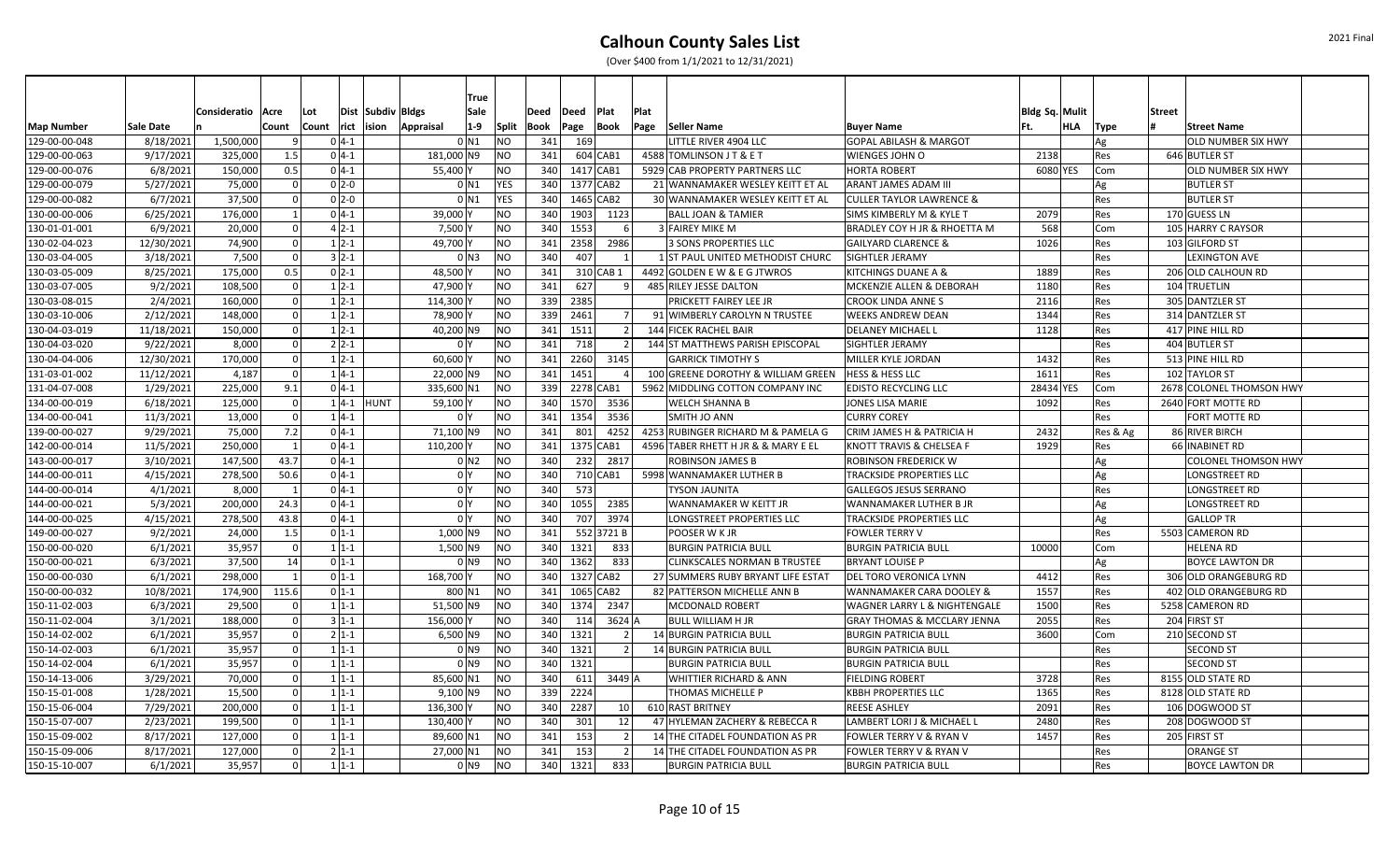|               |            |                     |                |          |            |                   |                     | <b>True</b> |                |      |           |                 |      |                                     |                                         |                       |          |                            |  |
|---------------|------------|---------------------|----------------|----------|------------|-------------------|---------------------|-------------|----------------|------|-----------|-----------------|------|-------------------------------------|-----------------------------------------|-----------------------|----------|----------------------------|--|
|               |            | Consideratio   Acre |                | Lot      |            | Dist Subdiv Bldgs |                     | Sale        |                | Deed | Deed      | Plat            | Plat |                                     |                                         | <b>Bldg Sq. Mulit</b> |          | <b>Street</b>              |  |
| Map Number    | Sale Date  |                     | Count          | Count    | rict ision |                   | Appraisal           | $1-9$       | <b>Split</b>   | Book | Page      | <b>Book</b>     | Page | Seller Name                         | <b>Buyer Name</b>                       | HLA<br>lFt.           | Type     | <b>Street Name</b>         |  |
| 129-00-00-048 | 8/18/2021  | 1,500,000           |                | $0 4-1$  |            |                   | 0 N1                |             | NO             | 341  | 169       |                 |      | LITTLE RIVER 4904 LLC               | <b>GOPAL ABILASH &amp; MARGOT</b>       |                       | Ag       | <b>OLD NUMBER SIX HWY</b>  |  |
| 129-00-00-063 | 9/17/2021  | 325,000             | 1.5            | $0 4-1 $ |            |                   | 181,000 N9          |             | <b>NO</b>      | 341  |           | 604 CAB1        |      | 4588 TOMLINSON J T & E T            | <b>WIENGES JOHN O</b>                   | 2138                  | Res      | 646 BUTLER ST              |  |
| 129-00-00-076 | 6/8/2021   | 150,000             | 0.5            | $0 4-1 $ |            |                   | 55,400              |             | <b>NO</b>      | 340  | 1417 CAB1 |                 |      | 5929 CAB PROPERTY PARTNERS LLC      | <b>HORTA ROBERT</b>                     | 6080 YES              | Com      | <b>OLD NUMBER SIX HWY</b>  |  |
| 129-00-00-079 | 5/27/2021  | 75,000              | 0              | $0 2-0$  |            |                   | $0$ N1              |             | <b>YES</b>     | 340  | 1377 CAB2 |                 |      | 21 WANNAMAKER WESLEY KEITT ET AL    | <b>ARANT JAMES ADAM III</b>             |                       | Ag       | <b>BUTLER ST</b>           |  |
| 129-00-00-082 | 6/7/2021   | 37,500              | $\Omega$       | $0 2-0$  |            |                   | $0$ N1              |             | YES            | 340  | 1465 CAB2 |                 |      | 30 WANNAMAKER WESLEY KEITT ET AL    | <b>CULLER TAYLOR LAWRENCE &amp;</b>     |                       | Res      | <b>BUTLER ST</b>           |  |
| 130-00-00-006 | 6/25/2021  | 176,000             | $\mathbf{1}$   | $0 4-1 $ |            |                   | 39,000              |             | NO             | 340  | 1903      | 1123            |      | <b>BALL JOAN &amp; TAMIER</b>       | SIMS KIMBERLY M & KYLE T                | 2079                  | Res      | 170 GUESS LN               |  |
| 130-01-01-001 | 6/9/2021   | 20,000              | $\Omega$       | $4 2-1 $ |            |                   | 7,500               |             | <b>NO</b>      | 340  | 1553      | 6               |      | 3 FAIREY MIKE M                     | <b>BRADLEY COY H JR &amp; RHOETTA M</b> | 568                   | Com      | 105 HARRY C RAYSOR         |  |
| 130-02-04-023 | 12/30/2021 | 74,900              | $\Omega$       | $1 2-1$  |            |                   | 49,700              |             | <b>NO</b>      | 341  | 2358      | 2986            |      | 3 SONS PROPERTIES LLC               | <b>GAILYARD CLARENCE &amp;</b>          | 1026                  | Res      | 103 GILFORD ST             |  |
| 130-03-04-005 | 3/18/2021  | 7,500               | $\Omega$       | $3 2-1$  |            |                   | 0 <sub>N3</sub>     |             | <b>NO</b>      | 340  | 407       | $\mathbf{1}$    |      | 1 ST PAUL UNITED METHODIST CHURC    | <b>SIGHTLER JERAMY</b>                  |                       | Res      | <b>LEXINGTON AVE</b>       |  |
| 130-03-05-009 | 8/25/2021  | 175,000             | 0.5            | $0 2-1$  |            |                   | 48,500              |             | NO             | 341  |           | 310 CAB 1       |      | 4492 GOLDEN E W & E G JTWROS        | KITCHINGS DUANE A &                     | 1889                  | Res      | 206 OLD CALHOUN RD         |  |
| 130-03-07-005 | 9/2/2021   | 108,500             | $\Omega$       | $1 2-1$  |            |                   | 47,900              |             | NO             | 341  | 627       |                 |      | 485 RILEY JESSE DALTON              | MCKENZIE ALLEN & DEBORAH                | 1180                  | Res      | 104 TRUETLIN               |  |
| 130-03-08-015 | 2/4/2021   | 160,000             | 0l             | $1 2-1$  |            |                   | 114,300             |             | <b>NO</b>      | 339  | 2385      |                 |      | PRICKETT FAIREY LEE JR              | <b>CROOK LINDA ANNE S</b>               | 2116                  | Res      | 305 DANTZLER ST            |  |
| 130-03-10-006 | 2/12/2021  | 148,000             | 0              | $1 2-1$  |            |                   | 78,900              |             | NO             | 339  | 2461      | 7 <sup>1</sup>  |      | 91 WIMBERLY CAROLYN N TRUSTEE       | <b>WEEKS ANDREW DEAN</b>                | 1344                  | Res      | 314 DANTZLER ST            |  |
| 130-04-03-019 | 11/18/2021 | 150,000             | 0              | $1 2-1$  |            |                   | 40,200 N9           |             | NO             | 341  | 1511      | 2 <sup>1</sup>  |      | 144 FICEK RACHEL BAIR               | <b>DELANEY MICHAEL L</b>                | 1128                  | Res      | 417 PINE HILL RD           |  |
| 130-04-03-020 | 9/22/2021  | 8,000               | $\Omega$       | $2 2-1 $ |            |                   | 0 I Y               |             | NO             | 341  | 718       |                 |      | 144 ST MATTHEWS PARISH EPISCOPAL    | SIGHTLER JERAMY                         |                       | Res      | 404 BUTLER ST              |  |
| 130-04-04-006 | 12/30/2021 | 170,000             | $\Omega$       | $1 2-1$  |            |                   | 60,600              |             | <b>NO</b>      | 341  | 2260      | 3145            |      | <b>GARRICK TIMOTHY S</b>            | MILLER KYLE JORDAN                      | 1432                  | Res      | 513 PINE HILL RD           |  |
| 131-03-01-002 | 11/12/2021 | 4,187               | 0l             | $1 4-1$  |            |                   | 22,000 N9           |             | <b>NO</b>      | 341  | 1451      |                 |      | 100 GREENE DOROTHY & WILLIAM GREEN  | <b>HESS &amp; HESS LLC</b>              | 1611                  | Res      | 102 TAYLOR ST              |  |
| 131-04-07-008 | 1/29/2021  | 225,000             | 9.1            | $0 4-1$  |            |                   | 335,600             |             | <b>NO</b>      | 339  | 2278 CAB1 |                 |      | 5962 MIDDLING COTTON COMPANY INC    | <b>EDISTO RECYCLING LLC</b>             | 28434 YES             | Com      | 2678 COLONEL THOMSON HWY   |  |
| 134-00-00-019 | 6/18/2021  | 125,000             | $\Omega$       | $1 4-1 $ |            | HUNT              | 59,100              |             | NO             | 340  | 1570      | 3536            |      | <b>WELCH SHANNA B</b>               | <b>JONES LISA MARIE</b>                 | 1092                  | Res      | 2640 FORT MOTTE RD         |  |
| 134-00-00-041 | 11/3/2021  | 13,000              | $\Omega$       | $1 4-1$  |            |                   | 0 Y                 |             | <b>NO</b>      | 341  | 1354      | 3536            |      | SMITH JO ANN                        | <b>CURRY COREY</b>                      |                       | Res      | FORT MOTTE RD              |  |
| 139-00-00-027 | 9/29/2021  | 75,000              | 7.2            | $0 4-1 $ |            |                   | 71,100 N9           |             | N <sub>O</sub> | 341  | 801       | 4252            |      | 4253 RUBINGER RICHARD M & PAMELA G  | CRIM JAMES H & PATRICIA H               | 2432                  | Res & Ag | 86 RIVER BIRCH             |  |
| 142-00-00-014 | 11/5/2021  | 250,000             | 1              | $0 4-1 $ |            |                   | 110,200             |             | <b>NO</b>      | 341  | 1375 CAB1 |                 |      | 4596 TABER RHETT H JR & & MARY E EL | <b>KNOTT TRAVIS &amp; CHELSEA F</b>     | 1929                  | Res      | 66 INABINET RD             |  |
| 143-00-00-017 | 3/10/2021  | 147,500             | 43.7           | $0 4-1 $ |            |                   | $0$ N2              |             | <b>NO</b>      | 340  | 232       | 2817            |      | ROBINSON JAMES B                    | <b>ROBINSON FREDERICK W</b>             |                       | Ag       | <b>COLONEL THOMSON HWY</b> |  |
| 144-00-00-011 | 4/15/2021  | 278,500             | 50.6           | $0 4-1 $ |            |                   | 0 Y                 |             | NO             | 340  |           | 710 CAB1        |      | 5998 WANNAMAKER LUTHER B            | <b>TRACKSIDE PROPERTIES LLC</b>         |                       | Ag       | LONGSTREET RD              |  |
| 144-00-00-014 | 4/1/2021   | 8,000               | $\overline{1}$ | $0 4-1 $ |            |                   | 0 <sup>Y</sup>      |             | <b>NO</b>      | 340  | 573       |                 |      | <b>TYSON JAUNITA</b>                | <b>GALLEGOS JESUS SERRANO</b>           |                       | Res      | LONGSTREET RD              |  |
| 144-00-00-021 | 5/3/2021   | 200,000             | 24.3           | $0 4-1 $ |            |                   | 0 <sup>1</sup>      |             | <b>NO</b>      | 340  | 1055      | 2385            |      | <b>WANNAMAKER W KEITT JR</b>        | <b>WANNAMAKER LUTHER B JR</b>           |                       | Ag       | <b>LONGSTREET RD</b>       |  |
| 144-00-00-025 | 4/15/2021  | 278,500             | 43.8           | $0 4-1 $ |            |                   | 0 <sup>Y</sup>      |             | <b>NO</b>      | 340  | 707       | 3974            |      | LONGSTREET PROPERTIES LLC           | <b>TRACKSIDE PROPERTIES LLC</b>         |                       | Ag       | <b>GALLOP TR</b>           |  |
| 149-00-00-027 | 9/2/2021   | 24,000              | 1.5            | $0 1-1 $ |            |                   | 1,000 N9            |             | <b>NO</b>      | 341  |           | 552 3721 B      |      | POOSER W K JR                       | <b>FOWLER TERRY V</b>                   |                       | Res      | 5503 CAMERON RD            |  |
| 150-00-00-020 | 6/1/2021   | 35,957              |                | $1 1-1$  |            |                   | 1,500 N9            |             | NO             | 340  | 1321      | 833             |      | <b>BURGIN PATRICIA BULL</b>         | <b>BURGIN PATRICIA BULL</b>             | 10000                 | Com      | <b>HELENA RD</b>           |  |
| 150-00-00-021 | 6/3/2021   | 37,500              | 14             | $0 1-1 $ |            |                   | 0 N9                |             | <b>NO</b>      | 340  | 1362      | 833             |      | <b>CLINKSCALES NORMAN B TRUSTEE</b> | <b>BRYANT LOUISE P</b>                  |                       | Ag       | <b>BOYCE LAWTON DR</b>     |  |
| 150-00-00-030 | 6/1/2021   | 298,000             | 1              | $0 1-1 $ |            |                   | 168,700             |             | <b>NO</b>      | 340  | 1327 CAB2 |                 |      | 27 SUMMERS RUBY BRYANT LIFE ESTAT   | DEL TORO VERONICA LYNN                  | 4412                  | Res      | 306 OLD ORANGEBURG RD      |  |
| 150-00-00-032 | 10/8/2021  | 174,900             | 115.6          | $0 1-1 $ |            |                   | 800 N1              |             | <b>NO</b>      | 341  | 1065 CAB2 |                 |      | 82 PATTERSON MICHELLE ANN B         | WANNAMAKER CARA DOOLEY &                | 1557                  | Res      | 402 OLD ORANGEBURG RD      |  |
| 150-11-02-003 | 6/3/2021   | 29,500              | $\Omega$       | $1 1-1$  |            |                   | 51,500 N9           |             | NO             | 340  | 1374      | 2347            |      | <b>MCDONALD ROBERT</b>              | WAGNER LARRY L & NIGHTENGALE            | 1500                  | Res      | 5258 CAMERON RD            |  |
| 150-11-02-004 | 3/1/2021   | 188,000             | $\Omega$       | $3 1-1$  |            |                   | 156,000             |             | NO             | 340  | 114       | 3624 A          |      | <b>BULL WILLIAM H JR</b>            | <b>GRAY THOMAS &amp; MCCLARY JENNA</b>  | 2055                  | Res      | 204 FIRST ST               |  |
| 150-14-02-002 | 6/1/2021   | 35,957              | 0l             | $2 1-1 $ |            |                   | $6,500$ N9          |             | NO             | 340  | 1321      | $\mathcal{L}$   |      | 14 BURGIN PATRICIA BULL             | <b>BURGIN PATRICIA BULL</b>             | 3600                  | Com      | 210 SECOND ST              |  |
| 150-14-02-003 | 6/1/2021   | 35,957              | $\Omega$       | $1 1-1$  |            |                   | $01$ N <sub>9</sub> |             | <b>NO</b>      | 340  | 1321      | $\overline{2}$  |      | 14 BURGIN PATRICIA BULL             | <b>BURGIN PATRICIA BULL</b>             |                       | Res      | <b>SECOND ST</b>           |  |
| 150-14-02-004 | 6/1/2021   | 35,957              |                | $1 1-1$  |            |                   | $01$ <sub>N9</sub>  |             | NO             | 340  | 1321      |                 |      | <b>BURGIN PATRICIA BULL</b>         | <b>BURGIN PATRICIA BULL</b>             |                       | Res      | <b>SECOND ST</b>           |  |
| 150-14-13-006 | 3/29/2021  | 70,000              |                | $1 1-1$  |            |                   | 85,600 N1           |             | NO             | 340  | 611       | 3449 A          |      | <b>WHITTIER RICHARD &amp; ANN</b>   | <b>FIELDING ROBERT</b>                  | 3728                  | Res      | 8155 OLD STATE RD          |  |
| 150-15-01-008 | 1/28/2021  | 15,500              | $\Omega$       | $1 1-1$  |            |                   | $9,100$ N9          |             | <b>NO</b>      | 339  | 2224      |                 |      | THOMAS MICHELLE P                   | <b>KBBH PROPERTIES LLC</b>              | 1365                  | Res      | 8128 OLD STATE RD          |  |
| 150-15-06-004 | 7/29/2021  | 200,000             | $\Omega$       | $1 1-1$  |            |                   | 136,300             |             | <b>NO</b>      | 340  | 2287      | 10 <sup>1</sup> |      | 610 RAST BRITNEY                    | <b>REESE ASHLEY</b>                     | 2091                  | Res      | 106 DOGWOOD ST             |  |
| 150-15-07-007 | 2/23/2021  | 199,500             | 0              | $1 1-1$  |            |                   | 130,400             |             | NO.            | 340  | 301       | 12              |      | 47 HYLEMAN ZACHERY & REBECCA R      | LAMBERT LORI J & MICHAEL L              | 2480                  | Res      | 208 DOGWOOD ST             |  |
| 150-15-09-002 | 8/17/2021  | 127,000             | $\Omega$       | $1 1-1$  |            |                   | 89,600 N1           |             | NO             | 341  | 153       | $\mathcal{L}$   |      | 14 THE CITADEL FOUNDATION AS PR     | FOWLER TERRY V & RYAN V                 | 1457                  | Res      | 205 FIRST ST               |  |
| 150-15-09-006 | 8/17/2021  | 127,000             | $\Omega$       | $2 1-1 $ |            |                   | 27,000 N1           |             | ΝO             | 341  | 153       |                 |      | 14 THE CITADEL FOUNDATION AS PR     | FOWLER TERRY V & RYAN V                 |                       | Res      | <b>ORANGE ST</b>           |  |
| 150-15-10-007 | 6/1/2021   | 35,957              | $\Omega$       | $1 1-1$  |            |                   | 0 N9                |             | NO             | 340  | 1321      | 833             |      | <b>BURGIN PATRICIA BULI</b>         | <b>BURGIN PATRICIA BULL</b>             |                       | Res      | <b>BOYCE LAWTON DR</b>     |  |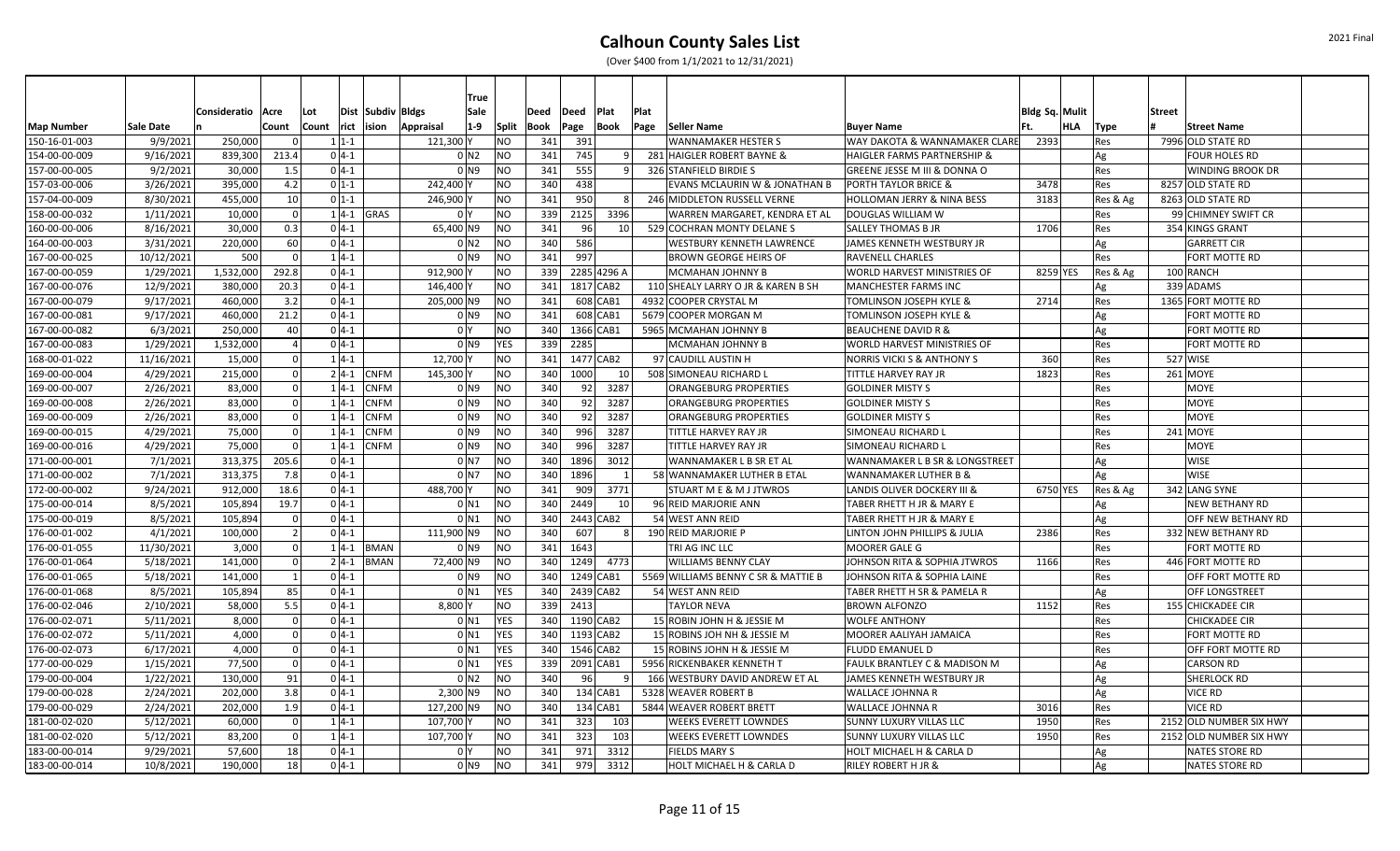|                   |                  |                     |                |                  |               | <b>True</b>               |                |      |               |            |                |      |                                     |                                         |                |          |                         |  |
|-------------------|------------------|---------------------|----------------|------------------|---------------|---------------------------|----------------|------|---------------|------------|----------------|------|-------------------------------------|-----------------------------------------|----------------|----------|-------------------------|--|
|                   |                  | Consideratio   Acre |                | Lot              |               | Dist Subdiv Bldgs<br>Sale |                | Deed | Deed          | Plat       | Plat           |      |                                     |                                         | Bldg Sq. Mulit |          | <b>Street</b>           |  |
| <b>Map Number</b> | <b>Sale Date</b> |                     | Count          | Count rict ision |               | $1-9$<br>Appraisal        | Split          | Book | Page          | Book       |                | Page | Seller Name                         | <b>Buyer Name</b>                       | HLA            | Type     | <b>Street Name</b>      |  |
| 150-16-01-003     | 9/9/2021         | 250,000             |                | $1 1-1$          |               | 121,300 Y                 | NO             | 341  | 391           |            |                |      | <b>WANNAMAKER HESTER S</b>          | WAY DAKOTA & WANNAMAKER CLARE           | 2393           | Res      | 7996 OLD STATE RD       |  |
| 154-00-00-009     | 9/16/2021        | 839,300             | 213.4          | $0 4-1$          |               | 0 <sub>N2</sub>           | N <sub>O</sub> | 341  | 745           |            | 9 <sup>1</sup> |      | 281 HAIGLER ROBERT BAYNE &          | <b>HAIGLER FARMS PARTNERSHIP &amp;</b>  |                | Ag       | <b>FOUR HOLES RD</b>    |  |
| 157-00-00-005     | 9/2/2021         | 30,000              | 1.5            | $0 4-1$          |               | $01$ N <sub>9</sub>       | N <sub>O</sub> | 341  | 555           |            | 9 <sup>1</sup> |      | 326 STANFIELD BIRDIE S              | <b>GREENE JESSE M III &amp; DONNA O</b> |                | Res      | <b>WINDING BROOK DR</b> |  |
| 157-03-00-006     | 3/26/2021        | 395,000             | 4.2            | $0 1-1$          |               | 242.400                   | <b>NO</b>      | 340  | 438           |            |                |      | EVANS MCLAURIN W & JONATHAN B       | <b>PORTH TAYLOR BRICE &amp;</b>         | 3478           | Res      | 8257 OLD STATE RD       |  |
| 157-04-00-009     | 8/30/2021        | 455,000             | 10             | $0 1-1$          |               | 246,900                   | N <sub>O</sub> | 341  | 950           |            | 8l             |      | 246 MIDDLETON RUSSELL VERNE         | HOLLOMAN JERRY & NINA BESS              | 3183           | Res & Ag | 8263 OLD STATE RD       |  |
| 158-00-00-032     | 1/11/2021        | 10,000              | $\Omega$       |                  | $1 4-1 $ GRAS | 0 <sup>I</sup> Y          | NO             | 339  | 2125          |            | 3396           |      | WARREN MARGARET, KENDRA ET AL       | DOUGLAS WILLIAM W                       |                | Res      | 99 CHIMNEY SWIFT CR     |  |
| 160-00-00-006     | 8/16/2021        | 30,000              | 0.3            | $0 4-1$          |               | 65,400 N9                 | N <sub>O</sub> | 341  | 96            |            | 10 l           |      | 529 COCHRAN MONTY DELANE S          | <b>SALLEY THOMAS B JR</b>               | 1706           | Res      | 354 KINGS GRANT         |  |
| 164-00-00-003     | 3/31/2021        | 220,000             | 60             | $0 4-1$          |               | $01$ N <sub>2</sub>       | N <sub>O</sub> | 340  | 586           |            |                |      | WESTBURY KENNETH LAWRENCE           | JAMES KENNETH WESTBURY JR               |                | Ag       | <b>GARRETT CIR</b>      |  |
| 167-00-00-025     | 10/12/2021       | 500                 | $\Omega$       | $1 4-1$          |               | $01$ N <sub>9</sub>       | N <sub>O</sub> | 341  | 997           |            |                |      | <b>BROWN GEORGE HEIRS OF</b>        | <b>RAVENELL CHARLES</b>                 |                | Res      | FORT MOTTE RD           |  |
| 167-00-00-059     | 1/29/2021        | 1,532,000           | 292.8          | $0 4-1$          |               | 912,900                   | <b>NO</b>      | 339  | 2285 4296 A   |            |                |      | MCMAHAN JOHNNY B                    | WORLD HARVEST MINISTRIES OF             | 8259 YES       | Res & Ag | 100 RANCH               |  |
| 167-00-00-076     | 12/9/2021        | 380,000             | 20.3           | $0 4-1$          |               | 146,400                   | N <sub>O</sub> | 341  | 1817 CAB2     |            |                |      | 110 SHEALY LARRY O JR & KAREN B SH  | <b>MANCHESTER FARMS INC</b>             |                | Ag       | 339 ADAMS               |  |
| 167-00-00-079     | 9/17/2021        | 460,000             | 3.2            | $0 4-1$          |               | 205,000 N9                | NO             | 341  |               | 608 CAB1   |                |      | 4932 COOPER CRYSTAL M               | <b>TOMLINSON JOSEPH KYLE &amp;</b>      | 2714           | Res      | 1365 FORT MOTTE RD      |  |
| 167-00-00-081     | 9/17/2021        | 460.000             | 21.2           | $0 4-1$          |               | 0 <sub>N9</sub>           | NO             | 341  |               | 608 CAB1   |                |      | 5679 COOPER MORGAN M                | <b>TOMLINSON JOSEPH KYLE &amp;</b>      |                | Ag       | FORT MOTTE RD           |  |
| 167-00-00-082     | 6/3/2021         | 250,000             | 40             | $0 4-1$          |               | 0 <sup>I</sup> Y          | N <sub>O</sub> | 340  | 1366 CAB1     |            |                |      | 5965 MCMAHAN JOHNNY B               | <b>BEAUCHENE DAVID R &amp;</b>          |                | Ag       | FORT MOTTE RD           |  |
| 167-00-00-083     | 1/29/2021        | 1,532,000           |                | $0 4-1$          |               | 0 N 9                     | <b>YES</b>     | 339  | 2285          |            |                |      | MCMAHAN JOHNNY B                    | WORLD HARVEST MINISTRIES OF             |                | Res      | FORT MOTTE RD           |  |
| 168-00-01-022     | 11/16/2021       | 15,000              | $\Omega$       | $1 4-1$          |               | 12,700                    | <b>NO</b>      | 341  | 1477 CAB2     |            |                |      | 97 CAUDILL AUSTIN H                 | <b>NORRIS VICKI S &amp; ANTHONY S</b>   | 360            | Res      | 527 WISE                |  |
| 169-00-00-004     | 4/29/2021        | 215,000             |                | $2 4-1 $         | <b>CNFM</b>   | 145,300                   | NO             | 340  | 1000          |            | 10 l           |      | 508 SIMONEAU RICHARD L              | TITTLE HARVEY RAY JR                    | 1823           | Res      | 261 MOYE                |  |
| 169-00-00-007     | 2/26/2021        | 83,000              |                | $1 4-1 $         | <b>CNFM</b>   | 0 N9                      | N <sub>O</sub> | 340  | 92            |            | 3287           |      | ORANGEBURG PROPERTIES               | <b>GOLDINER MISTY S</b>                 |                | Res      | <b>MOYE</b>             |  |
| 169-00-00-008     | 2/26/2021        | 83,000              |                | $1 4-1$          | <b>CNFM</b>   | 0 <sub>N9</sub>           | N <sub>O</sub> | 340  | 92            |            | 3287           |      | ORANGEBURG PROPERTIES               | <b>GOLDINER MISTY S</b>                 |                | Res      | <b>MOYE</b>             |  |
| 169-00-00-009     | 2/26/2021        | 83,000              |                | $1 4-1$          | <b>CNFM</b>   | $01$ N <sub>9</sub>       | N <sub>O</sub> | 340  | 92            |            | 3287           |      | <b>ORANGEBURG PROPERTIES</b>        | <b>GOLDINER MISTY S</b>                 |                | Res      | <b>MOYE</b>             |  |
| 169-00-00-015     | 4/29/2021        | 75,000              | $\Omega$       | $1 4-1 $         | <b>CNFM</b>   | $0$ N9                    | NO             | 340  | 996           |            | 3287           |      | TITTLE HARVEY RAY JR                | <b>SIMONEAU RICHARD L</b>               |                | Res      | 241 MOYE                |  |
| 169-00-00-016     | 4/29/2021        | 75,000              | - Ol           |                  | $1 4-1 $ CNFM | $01$ N <sub>9</sub>       | N <sub>O</sub> | 340  | 996           |            | 3287           |      | TITTLE HARVEY RAY JR                | <b>SIMONEAU RICHARD I</b>               |                | Res      | <b>MOYE</b>             |  |
| 171-00-00-001     | 7/1/2021         | 313,375             | 205.6          | $0 4-1$          |               | 0 <sub>N7</sub>           | N <sub>O</sub> | 340  | 1896          |            | 3012           |      | WANNAMAKER L B SR ET AL             | WANNAMAKER L B SR & LONGSTREET          |                | Ag       | <b>WISE</b>             |  |
| 171-00-00-002     | 7/1/2021         | 313,375             | 7.8            | $0 4-1$          |               | 0 <sub>N7</sub>           | NO             | 340  | 1896          |            | 1              |      | 58 WANNAMAKER LUTHER B ETAL         | <b>WANNAMAKER LUTHER B &amp;</b>        |                | Ag       | <b>WISE</b>             |  |
| 172-00-00-002     | 9/24/2021        | 912,000             | 18.6           | $0 4-1$          |               | 488,700                   | N <sub>O</sub> | 341  | 909           |            | 3771           |      | <b>STUART M E &amp; M J JTWROS</b>  | <b>LANDIS OLIVER DOCKERY III &amp;</b>  | 6750 YES       | Res & Ag | 342 LANG SYNE           |  |
| 175-00-00-014     | 8/5/2021         | 105,894             | 19.7           | $0 4-1$          |               | $0$ N <sub>1</sub>        | N <sub>O</sub> | 340  | 2449          |            | 10             |      | 96 REID MARJORIE ANN                | TABER RHETT H JR & MARY E               |                | Ag       | <b>NEW BETHANY RD</b>   |  |
| 175-00-00-019     | 8/5/2021         | 105,894             | - Ol           | $0 4-1$          |               | 0 <sub>N1</sub>           | N <sub>O</sub> | 340  | 2443 CAB2     |            |                |      | 54 WEST ANN REID                    | TABER RHETT H JR & MARY E               |                | Ag       | OFF NEW BETHANY RD      |  |
| 176-00-01-002     | 4/1/2021         | 100,000             | $\overline{z}$ | $0 4-1$          |               | 111,900 N9                | NO             | 340  | 607           |            | 8              |      | 190 REID MARJORIE P                 | <b>LINTON JOHN PHILLIPS &amp; JULIA</b> | 2386           | Res      | 332 NEW BETHANY RD      |  |
| 176-00-01-055     | 11/30/2021       | 3,000               |                |                  | $1 4-1 $ BMAN | 0 N 9                     | N <sub>O</sub> | 341  | 1643          |            |                |      | TRI AG INC LLC                      | <b>MOORER GALE G</b>                    |                | Res      | FORT MOTTE RD           |  |
| 176-00-01-064     | 5/18/2021        | 141,000             | $\Omega$       |                  | $2 4-1 $ BMAN | 72,400 N9                 | N <sub>O</sub> | 340  | 1249          |            | 4773           |      | <b>WILLIAMS BENNY CLAY</b>          | JOHNSON RITA & SOPHIA JTWROS            | 1166           | Res      | 446 FORT MOTTE RD       |  |
| 176-00-01-065     | 5/18/2021        | 141,000             |                | $0 4-1$          |               | 0 N 9                     | N <sub>O</sub> | 340  | 1249 CAB1     |            |                |      | 5569 WILLIAMS BENNY C SR & MATTIE B | JOHNSON RITA & SOPHIA LAINE             |                | Res      | OFF FORT MOTTE RD       |  |
| 176-00-01-068     | 8/5/2021         | 105,894             | 85             | $0 4-1$          |               | $0$ N1                    | <b>YES</b>     |      | 340 2439 CAB2 |            |                |      | 54 WEST ANN REID                    | TABER RHETT H SR & PAMELA R             |                | Ag       | <b>OFF LONGSTREET</b>   |  |
| 176-00-02-046     | 2/10/2021        | 58,000              | 5.5            | $0 4-1$          |               | 8,800                     | N <sub>O</sub> | 339  | 2413          |            |                |      | <b>TAYLOR NEVA</b>                  | <b>BROWN ALFONZO</b>                    | 1152           | Res      | 155 CHICKADEE CIR       |  |
| 176-00-02-071     | 5/11/2021        | 8,000               | - Ol           | $0 4-1 $         |               | 0 N 1                     | <b>YES</b>     | 340  | 1190 CAB2     |            |                |      | 15 ROBIN JOHN H & JESSIE M          | <b>WOLFE ANTHONY</b>                    |                | Res      | <b>CHICKADEE CIR</b>    |  |
| 176-00-02-072     | 5/11/2021        | 4,000               | $\Omega$       | $0 4-1$          |               | 0 <sub>N1</sub>           | <b>YES</b>     | 340  | 1193 CAB2     |            |                |      | 15 ROBINS JOH NH & JESSIE M         | MOORER AALIYAH JAMAICA                  |                | Res      | FORT MOTTE RD           |  |
| 176-00-02-073     | 6/17/2021        | 4,000               | $\Omega$       | $0 4-1$          |               | 0 <sub>N1</sub>           | <b>YES</b>     | 340  | 1546 CAB2     |            |                |      | 15 ROBINS JOHN H & JESSIE M         | <b>FLUDD EMANUEL D</b>                  |                | Res      | OFF FORT MOTTE RD       |  |
| 177-00-00-029     | 1/15/2021        | 77,500              |                | $0 4-1$          |               | 0 N1                      | <b>YES</b>     | 339  | 2091 CAB1     |            |                |      | 5956 RICKENBAKER KENNETH T          | FAULK BRANTLEY C & MADISON M            |                | Ag       | <b>CARSON RD</b>        |  |
| 179-00-00-004     | 1/22/2021        | 130,000             | 91             | $0 4-1$          |               | 0 <sub>N2</sub>           | N <sub>O</sub> | 340  | 96            |            |                |      | 166 WESTBURY DAVID ANDREW ET AL     | JAMES KENNETH WESTBURY JR               |                | Ag       | <b>SHERLOCK RD</b>      |  |
| 179-00-00-028     | 2/24/2021        | 202,000             | 3.8            | $0 4-1$          |               | $2,300$ N9                | N <sub>O</sub> | 340  |               | $134$ CAB1 |                |      | 5328 WEAVER ROBERT B                | <b>WALLACE JOHNNA R</b>                 |                | Ag       | <b>VICE RD</b>          |  |
| 179-00-00-029     | 2/24/2021        | 202,000             | 1.9            | $0 4-1$          |               | 127,200 N9                | N <sub>O</sub> | 340  |               | $134$ CAB1 |                |      | 5844 WEAVER ROBERT BRETT            | <b>WALLACE JOHNNA R</b>                 | 3016           | Res      | <b>VICE RD</b>          |  |
| 181-00-02-020     | 5/12/2021        | 60,000              | - O l          | $1 4-1$          |               | 107,700                   | N <sub>O</sub> | 341  | 323           |            | 103            |      | <b>WEEKS EVERETT LOWNDES</b>        | <b>SUNNY LUXURY VILLAS LLC</b>          | 1950           | Res      | 2152 OLD NUMBER SIX HWY |  |
| 181-00-02-020     | 5/12/2021        | 83,200              | $\Omega$       | $1 4-1$          |               | 107,700                   | N <sub>O</sub> | 341  | 323           |            | 103            |      | <b>WEEKS EVERETT LOWNDES</b>        | <b>SUNNY LUXURY VILLAS LLC</b>          | 1950           | Res      | 2152 OLD NUMBER SIX HWY |  |
| 183-00-00-014     | 9/29/2021        | 57,600              | 18             | $0 4-1$          |               | 0 <sub>l</sub> y          | <b>NO</b>      | 341  | 971           |            | 3312           |      | <b>FIELDS MARY S</b>                | HOLT MICHAEL H & CARLA D                |                | Ag       | <b>NATES STORE RD</b>   |  |
| 183-00-00-014     | 10/8/2021        | 190,000             | 18             | $0 4-1$          |               | $01$ N <sub>9</sub>       | <b>NO</b>      | 341  | 979           |            | 3312           |      | HOLT MICHAEL H & CARLA D            | <b>RILEY ROBERT H JR &amp;</b>          |                | Ag       | <b>NATES STORE RD</b>   |  |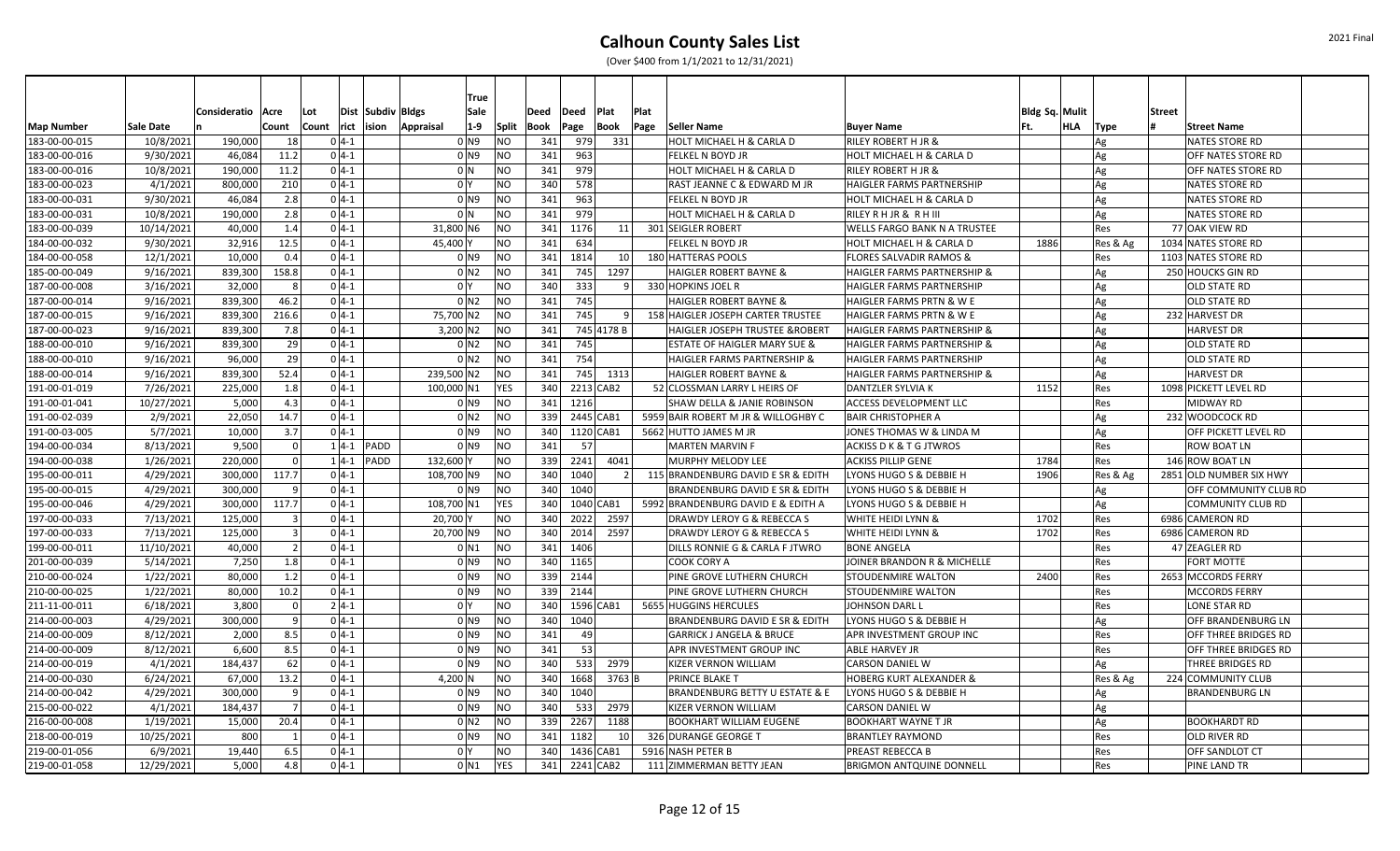|                   |                  |                   |              |       |            |                   |                    | <b>True</b> |              |      |           |                 |                          |                                       |                                     |                |     |          |        |                          |
|-------------------|------------------|-------------------|--------------|-------|------------|-------------------|--------------------|-------------|--------------|------|-----------|-----------------|--------------------------|---------------------------------------|-------------------------------------|----------------|-----|----------|--------|--------------------------|
|                   |                  | Consideratio Acre |              | Lot   |            | Dist Subdiv Bldgs |                    | Sale        |              | Deed | Deed      | Plat            | Plat                     |                                       |                                     | Bldg Sq. Mulit |     |          | Street |                          |
| <b>Map Number</b> | <b>Sale Date</b> |                   | Count        | Count | rict ision |                   | Appraisal          | $1-9$       | <b>Split</b> | Book | Page      | <b>Book</b>     | Page                     | Seller Name                           | <b>Buyer Name</b>                   |                | HLA | Type     |        | <b>Street Name</b>       |
| 183-00-00-015     | 10/8/2021        | 190,000           | 18           |       | $0 4-1$    |                   | 0 N9               |             | NO.          | 341  | 979       | 331             |                          | HOLT MICHAEL H & CARLA D              | RILEY ROBERT H JR &                 |                |     | Ag       |        | NATES STORE RD           |
| 183-00-00-016     | 9/30/2021        | 46,084            | 11.2         |       | $0 4-1$    |                   | 0 N9               |             | NO.          | 341  | 963       |                 |                          | FELKEL N BOYD JR                      | HOLT MICHAEL H & CARLA D            |                |     | Ag       |        | OFF NATES STORE RD       |
| 183-00-00-016     | 10/8/2021        | 190,000           | 11.2         |       | $0 4-1$    |                   | 0 <sup>1</sup> N   |             | NO)          | 341  | 979       |                 |                          | HOLT MICHAEL H & CARLA D              | <b>RILEY ROBERT H JR &amp;</b>      |                |     | Ag       |        | OFF NATES STORE RD       |
| 183-00-00-023     | 4/1/2021         | 800,000           | 210          |       | $0 4-1$    |                   | 0 <sup>1</sup>     |             | NO.          | 340  | 578       |                 |                          | RAST JEANNE C & EDWARD M JR           | HAIGLER FARMS PARTNERSHIP           |                |     | Ag       |        | <b>NATES STORE RD</b>    |
| 183-00-00-031     | 9/30/2021        | 46,084            | 2.8          |       | $0 4-1 $   |                   | 0 N9               |             | <b>NO</b>    | 341  | 963       |                 |                          | FELKEL N BOYD JR                      | HOLT MICHAEL H & CARLA D            |                |     | Ag       |        | <b>NATES STORE RD</b>    |
| 183-00-00-031     | 10/8/2021        | 190,000           | 2.8          |       | $0 4-1 $   |                   | 0 <sup>1</sup>     |             | <b>NO</b>    | 341  | 979       |                 |                          | HOLT MICHAEL H & CARLA D              | RILEY R H JR & R H III              |                |     | Ag       |        | <b>NATES STORE RD</b>    |
| 183-00-00-039     | 10/14/2021       | 40,000            | 1.4          |       | $0 4-1$    |                   | 31,800 N6          |             | NO)          | 341  | 1176      |                 | 11                       | 301 SEIGLER ROBERT                    | <b>WELLS FARGO BANK N A TRUSTEE</b> |                |     | Res      |        | 77 OAK VIEW RD           |
| 184-00-00-032     | 9/30/2021        | 32,916            | 12.5         |       | $0 4-1$    |                   | 45,400             |             | <b>NO</b>    | 341  | 634       |                 |                          | FELKEL N BOYD JR                      | HOLT MICHAEL H & CARLA D            | 1886           |     | Res & Ag |        | 1034 NATES STORE RD      |
| 184-00-00-058     | 12/1/2021        | 10,000            | 0.4          |       | $0 4-1$    |                   | 0 N9               |             | <b>NO</b>    | 341  | 1814      | 10 <sup>1</sup> |                          | 180 HATTERAS POOLS                    | <b>FLORES SALVADIR RAMOS &amp;</b>  |                |     | Res      |        | 1103 NATES STORE RD      |
| 185-00-00-049     | 9/16/2021        | 839,300           | 158.8        |       | $0 4-1$    |                   | 0 <sub>N2</sub>    |             | <b>NO</b>    | 341  | 745       | 1297            |                          | <b>HAIGLER ROBERT BAYNE &amp;</b>     | HAIGLER FARMS PARTNERSHIP &         |                |     | Ag       |        | 250 HOUCKS GIN RD        |
| 187-00-00-008     | 3/16/2021        | 32,000            |              |       | $0 4-1$    |                   | 0 <sup>1</sup>     |             | NO.          | 340  | 333       |                 | $\mathsf q$              | 330 HOPKINS JOEL R                    | HAIGLER FARMS PARTNERSHIP           |                |     | Ag       |        | OLD STATE RD             |
| 187-00-00-014     | 9/16/2021        | 839,300           | 46.2         |       | $0 4-1 $   |                   | 0 N2               |             | NO.          | 341  | 745       |                 |                          | <b>HAIGLER ROBERT BAYNE &amp;</b>     | HAIGLER FARMS PRTN & W E            |                |     | Ag       |        | OLD STATE RD             |
| 187-00-00-015     | 9/16/2021        | 839,300           | 216.6        |       | $0 4-1 $   |                   | 75,700 N2          |             | <b>NO</b>    | 341  | 745       |                 | 9 <sup>1</sup>           | 158 HAIGLER JOSEPH CARTER TRUSTEE     | HAIGLER FARMS PRTN & W E            |                |     | Ag       |        | 232 HARVEST DR           |
| 187-00-00-023     | 9/16/2021        | 839,300           | 7.8          |       | $0 4-1 $   |                   | $3,200$ N2         |             | NO           | 341  |           | 745 4178 B      |                          | HAIGLER JOSEPH TRUSTEE & ROBERT       | HAIGLER FARMS PARTNERSHIP &         |                |     | Ag       |        | <b>HARVEST DR</b>        |
| 188-00-00-010     | 9/16/2021        | 839,300           | 29           |       | $0 4-1 $   |                   | 0 N2               |             | <b>NO</b>    | 341  | 745       |                 |                          | ESTATE OF HAIGLER MARY SUE &          | HAIGLER FARMS PARTNERSHIP &         |                |     | Ag       |        | OLD STATE RD             |
| 188-00-00-010     | 9/16/2021        | 96,000            | 29           |       | $0 4-1 $   |                   | 0 N2               |             | <b>NO</b>    | 341  | 754       |                 |                          | HAIGLER FARMS PARTNERSHIP &           | HAIGLER FARMS PARTNERSHIP           |                |     | Ag       |        | OLD STATE RD             |
| 188-00-00-014     | 9/16/2021        | 839,300           | 52.4         |       | $0 4-1$    |                   | 239,500 N2         |             | <b>NO</b>    | 341  | 745       | 1313            |                          | <b>HAIGLER ROBERT BAYNE &amp;</b>     | HAIGLER FARMS PARTNERSHIP &         |                |     | Ag       |        | <b>HARVEST DR</b>        |
| 191-00-01-019     | 7/26/2021        | 225,000           | 1.8          |       | $0 4-1$    |                   | 100,000 N1         |             | <b>YES</b>   | 340  |           | 2213 CAB2       |                          | 52 CLOSSMAN LARRY L HEIRS OF          | DANTZLER SYLVIA K                   | 1152           |     | Res      |        | 1098 PICKETT LEVEL RD    |
| 191-00-01-041     | 10/27/2021       | 5,000             | 4.3          |       | $0 4-1$    |                   | 0 N9               |             | <b>NO</b>    | 341  | 1216      |                 |                          | SHAW DELLA & JANIE ROBINSON           | ACCESS DEVELOPMENT LLC              |                |     | Res      |        | MIDWAY RD                |
| 191-00-02-039     | 2/9/2021         | 22,050            | 14.7         |       | $0 4-1 $   |                   | 0 <sub>N2</sub>    |             | NO)          | 339  | 2445 CAB1 |                 |                          | 5959 BAIR ROBERT M JR & WILLOGHBY C   | <b>BAIR CHRISTOPHER A</b>           |                |     | Ag       |        | 232 WOODCOCK RD          |
| 191-00-03-005     | 5/7/2021         | 10,000            | 3.7          |       | $0 4-1 $   |                   | 0 N9               |             | NO.          | 340  |           | 1120 CAB1       |                          | 5662 HUTTO JAMES M JR                 | JONES THOMAS W & LINDA M            |                |     | Ag       |        | OFF PICKETT LEVEL RD     |
| 194-00-00-034     | 8/13/2021        | 9,500             | $\Omega$     |       |            | $1 4-1 $ PADD     | $0$ N9             |             | NO.          | 341  | 57        |                 |                          | <b>MARTEN MARVIN F</b>                | <b>ACKISS D K &amp; T G JTWROS</b>  |                |     | Res      |        | <b>ROW BOAT LN</b>       |
| 194-00-00-038     | 1/26/2021        | 220,000           | $\Omega$     |       |            | $1 4-1 $ PADD     | 132,600 Y          |             | <b>NO</b>    | 339  | 2241      | 4041            |                          | MURPHY MELODY LEE                     | <b>ACKISS PILLIP GENE</b>           | 1784           |     | Res      |        | 146 ROW BOAT LN          |
| 195-00-00-011     | 4/29/2021        | 300,000           | 117.7        |       | $0 4-1$    |                   | 108,700 N9         |             | NO           | 340  | 1040      |                 | $\overline{\phantom{a}}$ | 115 BRANDENBURG DAVID E SR & EDITH    | LYONS HUGO S & DEBBIE H             | 1906           |     | Res & Ag |        | 2851 OLD NUMBER SIX HWY  |
| 195-00-00-015     | 4/29/2021        | 300,000           |              |       | $0 4-1$    |                   | 0 N9               |             | <b>NO</b>    | 340  | 1040      |                 |                          | BRANDENBURG DAVID E SR & EDITH        | LYONS HUGO S & DEBBIE H             |                |     | Ag       |        | OFF COMMUNITY CLUB RD    |
| 195-00-00-046     | 4/29/2021        | 300,000           | 117.7        |       | $0 4-1$    |                   | 108,700 N1         |             | <b>YES</b>   | 340  |           | 1040 CAB1       |                          | 5992 BRANDENBURG DAVID E & EDITH A    | LYONS HUGO S & DEBBIE H             |                |     | Ag       |        | <b>COMMUNITY CLUB RD</b> |
| 197-00-00-033     | 7/13/2021        | 125,000           |              |       | $0 4-1$    |                   | 20,700 Y           |             | <b>NO</b>    | 340  | 2022      | 2597            |                          | DRAWDY LEROY G & REBECCA S            | WHITE HEIDI LYNN &                  | 1702           |     | Res      |        | 6986 CAMERON RD          |
| 197-00-00-033     | 7/13/2021        | 125,000           |              |       | $0 4-1$    |                   | 20,700 N9          |             | <b>NO</b>    | 340  | 2014      | 2597            |                          | <b>DRAWDY LEROY G &amp; REBECCA S</b> | WHITE HEIDI LYNN &                  | 1702           |     | Res      |        | 6986 CAMERON RD          |
| 199-00-00-011     | 11/10/2021       | 40,000            |              |       | $0 4-1$    |                   | 0 <sub>N1</sub>    |             | <b>NO</b>    | 341  | 1406      |                 |                          | DILLS RONNIE G & CARLA F JTWRO        | <b>BONE ANGELA</b>                  |                |     | Res      |        | 47 ZEAGLER RD            |
| 201-00-00-039     | 5/14/2021        | 7,250             | 1.8          |       | $0 4-1$    |                   | 0 N9               |             | NO.          | 340  | 1165      |                 |                          | COOK CORY A                           | JOINER BRANDON R & MICHELLE         |                |     | Res      |        | <b>FORT MOTTE</b>        |
| 210-00-00-024     | 1/22/2021        | 80,000            | 1.2          |       | $0 4-1$    |                   | 0 N9               |             | NO.          | 339  | 2144      |                 |                          | PINE GROVE LUTHERN CHURCH             | <b>STOUDENMIRE WALTON</b>           | 2400           |     | Res      |        | 2653 MCCORDS FERRY       |
| 210-00-00-025     | 1/22/2021        | 80,000            | 10.2         |       | $0 4-1 $   |                   | $0$ N9             |             | NO.          | 339  | 2144      |                 |                          | PINE GROVE LUTHERN CHURCH             | STOUDENMIRE WALTON                  |                |     | Res      |        | <b>MCCORDS FERRY</b>     |
| 211-11-00-011     | 6/18/2021        | 3,800             |              |       | $2 4-1 $   |                   | 0 <sup>1</sup>     |             | <b>NO</b>    | 340  |           | 1596 CAB1       |                          | 5655 HUGGINS HERCULES                 | JOHNSON DARL I                      |                |     | Res      |        | LONE STAR RD             |
| 214-00-00-003     | 4/29/2021        | 300,000           | $\mathbf{q}$ |       | $0 4-1 $   |                   | 0 N9               |             | NO.          | 340  | 1040      |                 |                          | BRANDENBURG DAVID E SR & EDITH        | LYONS HUGO S & DEBBIE H             |                |     | Ag       |        | OFF BRANDENBURG LN       |
| 214-00-00-009     | 8/12/2021        | 2,000             | 8.5          |       | $0 4-1 $   |                   | $01$ <sub>N9</sub> |             | <b>NO</b>    | 341  | 49        |                 |                          | <b>GARRICK J ANGELA &amp; BRUCE</b>   | APR INVESTMENT GROUP INC            |                |     | Res      |        | OFF THREE BRIDGES RD     |
| 214-00-00-009     | 8/12/2021        | 6,600             | 8.5          |       | $0 4-1$    |                   | 0 N9               |             | <b>NO</b>    | 341  | 53        |                 |                          | APR INVESTMENT GROUP INC              | ABLE HARVEY JR                      |                |     | Res      |        | OFF THREE BRIDGES RD     |
| 214-00-00-019     | 4/1/2021         | 184,437           | 62           |       | $0 4-1$    |                   | 0 N9               |             | NO           | 340  | 533       | 2979            |                          | <b>KIZER VERNON WILLIAM</b>           | <b>CARSON DANIEL W</b>              |                |     | Ag       |        | THREE BRIDGES RD         |
| 214-00-00-030     | 6/24/2021        | 67,000            | 13.2         |       | $0 4-1$    |                   | 4,200 N            |             | NO           | 340  | 1668      | 3763 B          |                          | PRINCE BLAKE T                        | <b>HOBERG KURT ALEXANDER &amp;</b>  |                |     | Res & Ag |        | 224 COMMUNITY CLUB       |
| 214-00-00-042     | 4/29/2021        | 300,000           |              |       | $0 4-1 $   |                   | 0 N9               |             | NO.          | 340  | 1040      |                 |                          | BRANDENBURG BETTY U ESTATE & E        | LYONS HUGO S & DEBBIE H             |                |     | Ag       |        | <b>BRANDENBURG LN</b>    |
| 215-00-00-022     | 4/1/2021         | 184,437           |              |       | $0 4-1 $   |                   | 0 N9               |             | NO.          | 340  | 533       | 2979            |                          | <b>KIZER VERNON WILLIAM</b>           | <b>CARSON DANIEL W</b>              |                |     | Ag       |        |                          |
| 216-00-00-008     | 1/19/2021        | 15,000            | 20.4         |       | $0 4-1 $   |                   | 0 <sub>N2</sub>    |             | NO.          | 339  | 2267      | 1188            |                          | <b>BOOKHART WILLIAM EUGENE</b>        | <b>BOOKHART WAYNE T JR</b>          |                |     | Ag       |        | <b>BOOKHARDT RD</b>      |
| 218-00-00-019     | 10/25/2021       | 800               |              |       | $0 4-1$    |                   | $0$ N9             |             | <b>NO</b>    | 341  | 1182      | <b>10</b>       |                          | 326 DURANGE GEORGE T                  | <b>BRANTLEY RAYMOND</b>             |                |     | Res      |        | OLD RIVER RD             |
| 219-00-01-056     | 6/9/2021         | 19,440            | 6.5          |       | $0 4-1$    |                   | 0 <sup>1</sup>     |             | NO           | 340  | 1436 CAB1 |                 |                          | 5916 NASH PETER B                     | PREAST REBECCA B                    |                |     | Res      |        | OFF SANDLOT CT           |
| 219-00-01-058     | 12/29/2021       | 5,000             | 4.8          |       | $0 4-1 $   |                   | 0 N1               |             | <b>YES</b>   | 341  |           | 2241 CAB2       |                          | 111 ZIMMERMAN BETTY JEAN              | BRIGMON ANTQUINE DONNELL            |                |     | Res      |        | PINE LAND TR             |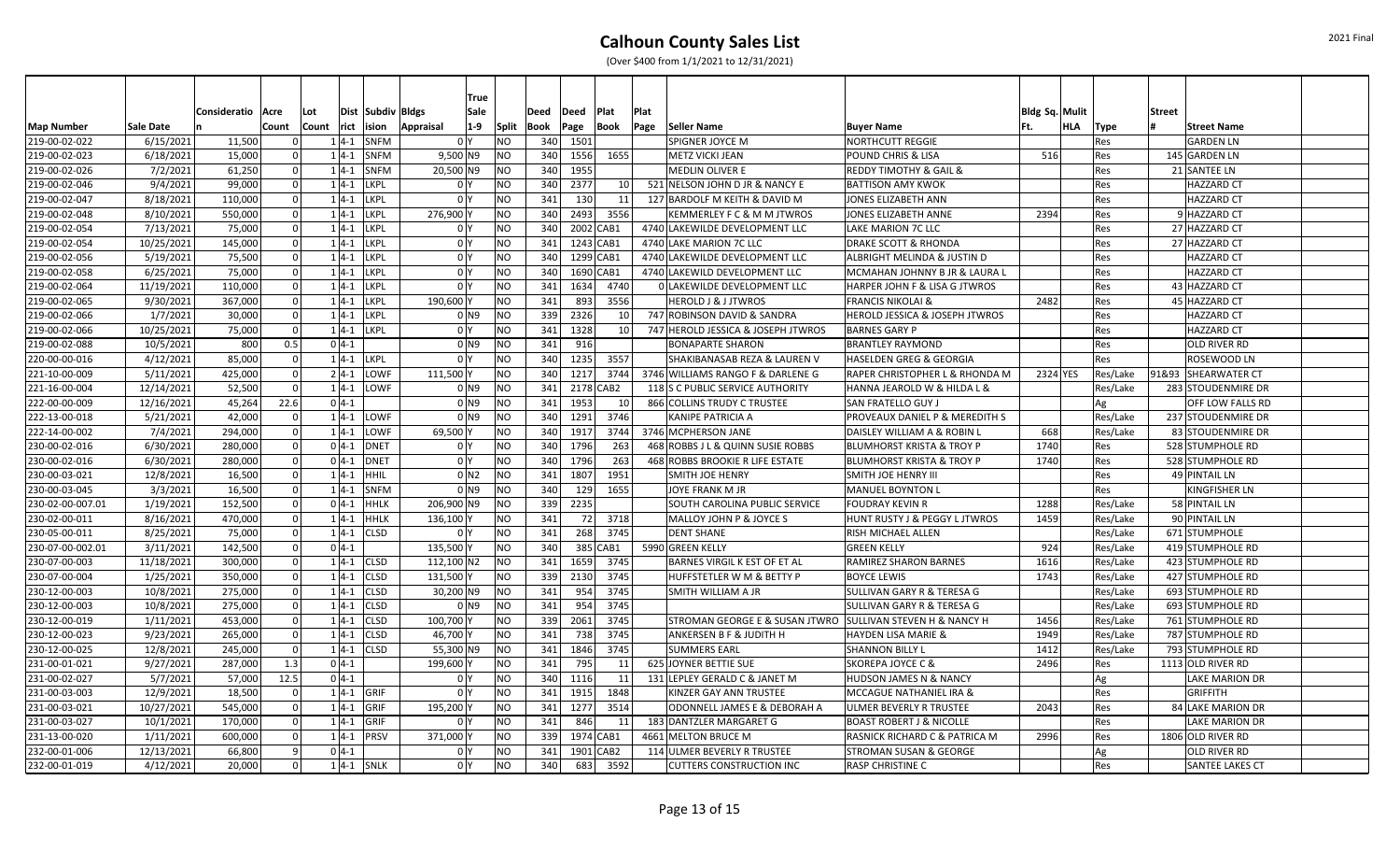|                   |            |              |       |          |               |                   |                | True               |           |      |           |                 |      |                                      |                                        |                |          |          |               |                       |
|-------------------|------------|--------------|-------|----------|---------------|-------------------|----------------|--------------------|-----------|------|-----------|-----------------|------|--------------------------------------|----------------------------------------|----------------|----------|----------|---------------|-----------------------|
|                   |            | Consideratio | Acre  | Lot      |               | Dist Subdiv Bldgs |                | Sale               |           | Deed | Deed      | Plat            | Plat |                                      |                                        | Bldg Sq. Mulit |          |          | <b>Street</b> |                       |
| <b>Map Number</b> | Sale Date  |              | Count | Count    | rict          | ision             | Appraisal      | $1-9$              | Split     | Book | Page      | Book            | Page | Seller Name                          | <b>Buyer Name</b>                      | Ft.            | HLA      | Type     |               | <b>Street Name</b>    |
| 219-00-02-022     | 6/15/2021  | 11,500       |       |          | $1 4-1$       | SNFM              | 0 <sup>Y</sup> |                    | NO        | 340  | 1501      |                 |      | SPIGNER JOYCE M                      | <b>NORTHCUTT REGGIE</b>                |                |          | Res      |               | <b>GARDEN LN</b>      |
| 219-00-02-023     | 6/18/2021  | 15,000       |       |          |               | $1 4-1 $ SNFM     | $9,500$ N9     |                    | NO        | 340  | 1556      | 1655            |      | METZ VICKI JEAN                      | <b>POUND CHRIS &amp; LISA</b>          | 516            |          | Res      |               | 145 GARDEN LN         |
| 219-00-02-026     | 7/2/2021   | 61,250       |       |          | $1 4-1$       | SNFM              | 20,500 N9      |                    | NO        | 340  | 1955      |                 |      | <b>MEDLIN OLIVER E</b>               | <b>REDDY TIMOTHY &amp; GAIL &amp;</b>  |                |          | Res      |               | 21 SANTEE LN          |
| 219-00-02-046     | 9/4/2021   | 99,000       |       | $\Omega$ | $1 4-1$       | <b>LKPL</b>       | 0 <sup>1</sup> |                    | ΝO        | 340  | 2377      | 10 l            |      | 521 NELSON JOHN D JR & NANCY E       | <b>BATTISON AMY KWOK</b>               |                |          | Res      |               | <b>HAZZARD CT</b>     |
| 219-00-02-047     | 8/18/2021  | 110,000      |       | $\Omega$ | $1 4-1$       | <b>LKPL</b>       | 0 <sup>Y</sup> |                    | NO        | 341  | 130       | 11              |      | 127 BARDOLF M KEITH & DAVID M        | JONES ELIZABETH ANN                    |                |          | Res      |               | <b>HAZZARD CT</b>     |
| 219-00-02-048     | 8/10/2021  | 550,000      |       |          | $1 4-1$       | <b>LKPL</b>       | 276,900 Y      |                    | NO        | 340  | 2493      | 3556            |      | KEMMERLEY F C & M M JTWROS           | JONES ELIZABETH ANNE                   | 2394           |          | Res      |               | 9 HAZZARD CT          |
| 219-00-02-054     | 7/13/2021  | 75,000       |       |          | $1 4-1$       | <b>LKPL</b>       | 0 <sup>1</sup> |                    | NO        | 340  |           | 2002 CAB1       |      | 4740 LAKEWILDE DEVELOPMENT LLC       | LAKE MARION 7C LLC                     |                |          | Res      |               | 27 HAZZARD CT         |
| 219-00-02-054     | 10/25/2021 | 145,000      |       |          | $1 4-1$       | <b>LKPL</b>       | 0 <sup>Y</sup> |                    | NO        | 341  | 1243 CAB1 |                 |      | 4740 LAKE MARION 7C LLC              | <b>DRAKE SCOTT &amp; RHONDA</b>        |                |          | Res      |               | 27 HAZZARD CT         |
| 219-00-02-056     | 5/19/2021  | 75,500       |       |          | $1 4-1 $      | <b>LKPL</b>       | 0 Y            |                    | ΝO        | 340  |           | 1299 CAB1       |      | 4740 LAKEWILDE DEVELOPMENT LLC       | ALBRIGHT MELINDA & JUSTIN D            |                |          | Res      |               | <b>HAZZARD CT</b>     |
| 219-00-02-058     | 6/25/2021  | 75,000       |       |          | $1 4-1$       | <b>LKPL</b>       | 0 Y            |                    | NO        | 340  | 1690 CAB1 |                 |      | 4740 LAKEWILD DEVELOPMENT LLC        | MCMAHAN JOHNNY B JR & LAURA L          |                |          | Res      |               | <b>HAZZARD CT</b>     |
| 219-00-02-064     | 11/19/2021 | 110,000      |       |          | $1 4-1 $ LKPL |                   | 0 <sup>1</sup> |                    | NO        | 341  | 1634      | 4740            |      | 0 LAKEWILDE DEVELOPMENT LLC          | HARPER JOHN F & LISA G JTWROS          |                |          | Res      |               | 43 HAZZARD CT         |
| 219-00-02-065     | 9/30/2021  | 367,000      |       | $\Omega$ |               | $1 4-1 $ LKPL     | 190,600 Y      |                    | NO        | 341  | 893       | 3556            |      | <b>HEROLD J &amp; J JTWROS</b>       | <b>FRANCIS NIKOLAI &amp;</b>           | 2482           |          | Res      |               | 45 HAZZARD CT         |
| 219-00-02-066     | 1/7/2021   | 30,000       |       | $\Omega$ |               | $1 4-1 $ LKPL     |                | $0$ N <sub>9</sub> | NO        | 339  | 2326      | 10 l            |      | 747 ROBINSON DAVID & SANDRA          | HEROLD JESSICA & JOSEPH JTWROS         |                |          | Res      |               | <b>HAZZARD CT</b>     |
| 219-00-02-066     | 10/25/2021 | 75,000       |       | $\Omega$ |               | $1 4-1 $ LKPL     | 0 Y            |                    | NO        | 341  | 1328      | 10 <sup>1</sup> |      | 747 HEROLD JESSICA & JOSEPH JTWROS   | <b>BARNES GARY P</b>                   |                |          | Res      |               | <b>HAZZARD CT</b>     |
| 219-00-02-088     | 10/5/2021  | 800          | 0.5   |          | $0 4-1 $      |                   |                | 0 <sub>N9</sub>    | NO        | 341  | 916       |                 |      | <b>BONAPARTE SHARON</b>              | <b>BRANTLEY RAYMOND</b>                |                |          | Res      |               | OLD RIVER RD          |
| 220-00-00-016     | 4/12/2021  | 85,000       |       | $\Omega$ |               | $1 4-1 $ LKPL     | 0 <sup>Y</sup> |                    | NO        | 340  | 1235      | 3557            |      | SHAKIBANASAB REZA & LAUREN V         | HASELDEN GREG & GEORGIA                |                |          | Res      |               | ROSEWOOD LN           |
| 221-10-00-009     | 5/11/2021  | 425,000      |       | $\Omega$ |               | $2 4-1 $ LOWF     | 111,500 Y      |                    | ΝO        | 340  | 1217      | 3744            |      | 3746 WILLIAMS RANGO F & DARLENE G    | RAPER CHRISTOPHER L & RHONDA M         |                | 2324 YES | Res/Lake |               | 91&93 SHEARWATER CT   |
| 221-16-00-004     | 12/14/2021 | 52,500       |       |          |               | $1 4-1 $ LOWF     |                | $0$ N9             | NO        | 341  |           | 2178 CAB2       |      | 118 S C PUBLIC SERVICE AUTHORITY     | HANNA JEAROLD W & HILDA L &            |                |          | Res/Lake |               | 283 STOUDENMIRE DR    |
| 222-00-00-009     | 12/16/2021 | 45,264       | 22.6  |          | $0 4-1$       |                   |                | 0 <sub>N9</sub>    | NO        | 341  | 1953      | 10 <sup>1</sup> |      | 866 COLLINS TRUDY C TRUSTEE          | SAN FRATELLO GUY J                     |                |          | Ag       |               | OFF LOW FALLS RD      |
| 222-13-00-018     | 5/21/2021  | 42,000       |       |          |               | $1 4-1 $ LOWF     |                | $0$ N9             | NO        | 340  | 1291      | 3746            |      | KANIPE PATRICIA A                    | PROVEAUX DANIEL P & MEREDITH S         |                |          | Res/Lake |               | 237 STOUDENMIRE DR    |
| 222-14-00-002     | 7/4/2021   | 294,000      |       | $\Omega$ |               | $1 4-1 $ LOWF     | 69,500 Y       |                    | NO        | 340  | 1917      | 3744            |      | 3746 MCPHERSON JANE                  | DAISLEY WILLIAM A & ROBIN L            | 668            |          | Res/Lake |               | 83 STOUDENMIRE DR     |
| 230-00-02-016     | 6/30/2021  | 280,000      |       | $\Omega$ |               | $0$ 4-1 DNET      | 0 <sup>1</sup> |                    | NO        | 340  | 1796      | 263             |      | 468 ROBBS J L & QUINN SUSIE ROBBS    | <b>BLUMHORST KRISTA &amp; TROY P</b>   | 1740           |          | Res      |               | 528 STUMPHOLE RD      |
| 230-00-02-016     | 6/30/2021  | 280,000      |       | $\Omega$ | $0 4-1 $      | <b>DNET</b>       | 0 Y            |                    | NO        | 340  | 1796      | 263             |      | 468 ROBBS BROOKIE R LIFE ESTATE      | <b>BLUMHORST KRISTA &amp; TROY P</b>   | 1740           |          | Res      |               | 528 STUMPHOLE RD      |
| 230-00-03-021     | 12/8/2021  | 16,500       |       |          | $1 4-1 $      | HHIL              |                | $0$ N2             | NO        | 341  | 1807      | 1951            |      | SMITH JOE HENRY                      | SMITH JOE HENRY III                    |                |          | Res      |               | 49 PINTAIL LN         |
| 230-00-03-045     | 3/3/2021   | 16,500       |       |          | $1 4-1$       | SNFM              |                | 0 <sub>N9</sub>    | NO        | 340  | 129       | 1655            |      | JOYE FRANK M JR                      | <b>MANUEL BOYNTON L</b>                |                |          | Res      |               | KINGFISHER LN         |
| 230-02-00-007.01  | 1/19/2021  | 152,500      |       | $\Omega$ | $0 4-1 $      | HHLK              | 206,900 N9     |                    | NO        | 339  | 2235      |                 |      | <b>SOUTH CAROLINA PUBLIC SERVICE</b> | <b>FOUDRAY KEVIN R</b>                 | 1288           |          | Res/Lake |               | 58 PINTAIL LN         |
| 230-02-00-011     | 8/16/2021  | 470,000      |       | $\Omega$ | $1 4-1$       | <b>HHLK</b>       | 136,100 Y      |                    | NO        | 341  | 72        | 3718            |      | MALLOY JOHN P & JOYCE S              | HUNT RUSTY J & PEGGY L JTWROS          | 1459           |          | Res/Lake |               | 90 PINTAIL LN         |
| 230-05-00-011     | 8/25/2021  | 75,000       |       |          | $1 4-1 $      | <b>CLSD</b>       | 0 Y            |                    | NO        | 341  | 268       | 3745            |      | <b>DENT SHANE</b>                    | RISH MICHAEL ALLEN                     |                |          | Res/Lake |               | 671 STUMPHOLE         |
| 230-07-00-002.01  | 3/11/2021  | 142,500      |       |          | $0 4-1$       |                   | 135,500 Y      |                    | NO        | 340  |           | 385 CAB1        |      | 5990 GREEN KELLY                     | <b>GREEN KELLY</b>                     | 924            |          | Res/Lake |               | 419 STUMPHOLE RD      |
| 230-07-00-003     | 11/18/2021 | 300,000      |       |          | $1 4-1$       | <b>CLSD</b>       | 112,100 N2     |                    | NO        | 341  | 1659      | 3745            |      | BARNES VIRGIL K EST OF ET AL         | RAMIREZ SHARON BARNES                  | 1616           |          | Res/Lake |               | 423 STUMPHOLE RD      |
| 230-07-00-004     | 1/25/2021  | 350,000      |       | $\Omega$ | $1 4-1$       | <b>CLSD</b>       | 131,500 Y      |                    | NO        | 339  | 2130      | 3745            |      | HUFFSTETLER W M & BETTY P            | <b>BOYCE LEWIS</b>                     | 1743           |          | Res/Lake |               | 427 STUMPHOLE RD      |
| 230-12-00-003     | 10/8/2021  | 275,000      |       | $\Omega$ | $1 4-1$       | <b>CLSD</b>       | 30,200 N9      |                    | <b>NO</b> | 341  | 954       | 3745            |      | SMITH WILLIAM A JR                   | SULLIVAN GARY R & TERESA G             |                |          | Res/Lake |               | 693 STUMPHOLE RD      |
| 230-12-00-003     | 10/8/2021  | 275,000      |       |          | $1 4-1$       | <b>CLSD</b>       |                | $0$ N <sub>9</sub> | NO        | 341  | 954       | 3745            |      |                                      | SULLIVAN GARY R & TERESA G             |                |          | Res/Lake |               | 693 STUMPHOLE RD      |
| 230-12-00-019     | 1/11/2021  | 453,000      |       | $\Omega$ | $1 4-1$       | <b>CLSD</b>       | 100,700 Y      |                    | NO        | 339  | 2061      | 3745            |      | STROMAN GEORGE E & SUSAN JTWRO       | <b>SULLIVAN STEVEN H &amp; NANCY H</b> | 1456           |          | Res/Lake |               | 761 STUMPHOLE RD      |
| 230-12-00-023     | 9/23/2021  | 265,000      |       | $\Omega$ | $1 4-1$       | <b>CLSD</b>       | 46,700 Y       |                    | NO        | 341  | 738       | 3745            |      | <b>ANKERSEN B F &amp; JUDITH H</b>   | <b>HAYDEN LISA MARIE &amp;</b>         | 1949           |          | Res/Lake |               | 787 STUMPHOLE RD      |
| 230-12-00-025     | 12/8/2021  | 245,000      |       | $\Omega$ |               | $1 4-1 $ CLSD     | 55,300 N9      |                    | NO        | 341  | 1846      | 3745            |      | <b>SUMMERS EARL</b>                  | <b>SHANNON BILLY L</b>                 | 1412           |          | Res/Lake |               | 793 STUMPHOLE RD      |
| 231-00-01-021     | 9/27/2021  | 287,000      | 1.3   |          | $0 4-1$       |                   | 199,600        |                    | ΝO        | 341  | 795       | 11              |      | 625 JOYNER BETTIE SUE                | <b>SKOREPA JOYCE C &amp;</b>           | 2496           |          | Res      |               | 1113 OLD RIVER RD     |
| 231-00-02-027     | 5/7/2021   | 57,000       | 12.5  |          | $0 4-1$       |                   | 0 <sup>1</sup> |                    | NO        | 340  | 1116      | 11              |      | 131 LEPLEY GERALD C & JANET M        | HUDSON JAMES N & NANCY                 |                |          | Ag       |               | LAKE MARION DR        |
| 231-00-03-003     | 12/9/2021  | 18,500       |       |          |               | $1 4-1 $ GRIF     | 0 <sup>Y</sup> |                    | NO        | 341  | 1915      | 1848            |      | KINZER GAY ANN TRUSTEE               | MCCAGUE NATHANIEL IRA &                |                |          | Res      |               | <b>GRIFFITH</b>       |
| 231-00-03-021     | 10/27/2021 | 545,000      |       | $\Omega$ |               | $1 4-1 $ GRIF     | 195,200 Y      |                    | NO        | 341  | 1277      | 3514            |      | ODONNELL JAMES E & DEBORAH A         | ULMER BEVERLY R TRUSTEE                | 2043           |          | Res      |               | 84 LAKE MARION DR     |
| 231-00-03-027     | 10/1/2021  | 170,000      |       | $\Omega$ |               | $1 4-1 $ GRIF     | 0 <sup>1</sup> |                    | NO        | 341  | 846       | 11              |      | 183 DANTZLER MARGARET G              | <b>BOAST ROBERT J &amp; NICOLLE</b>    |                |          | Res      |               | <b>LAKE MARION DR</b> |
| 231-13-00-020     | 1/11/2021  | 600,000      |       | $\Omega$ |               | $1 4-1 $ PRSV     | 371,000 Y      |                    | NO        | 339  |           | 1974 CAB1       |      | 4661 MELTON BRUCE M                  | RASNICK RICHARD C & PATRICA M          | 2996           |          | Res      |               | 1806 OLD RIVER RD     |
| 232-00-01-006     | 12/13/2021 | 66,800       |       | 9        | $0 4-1$       |                   | 0 Y            |                    | NO        | 341  | 1901 CAB2 |                 |      | 114 ULMER BEVERLY R TRUSTEE          | <b>STROMAN SUSAN &amp; GEORGE</b>      |                |          | Ag       |               | OLD RIVER RD          |
| 232-00-01-019     | 4/12/2021  | 20,000       |       | $\Omega$ |               | $1 4-1 $ SNLK     | 0 <sup>1</sup> |                    | NO.       | 340  | 683       | 3592            |      | <b>CUTTERS CONSTRUCTION INC</b>      | RASP CHRISTINE C                       |                |          | Res      |               | SANTEE LAKES CT       |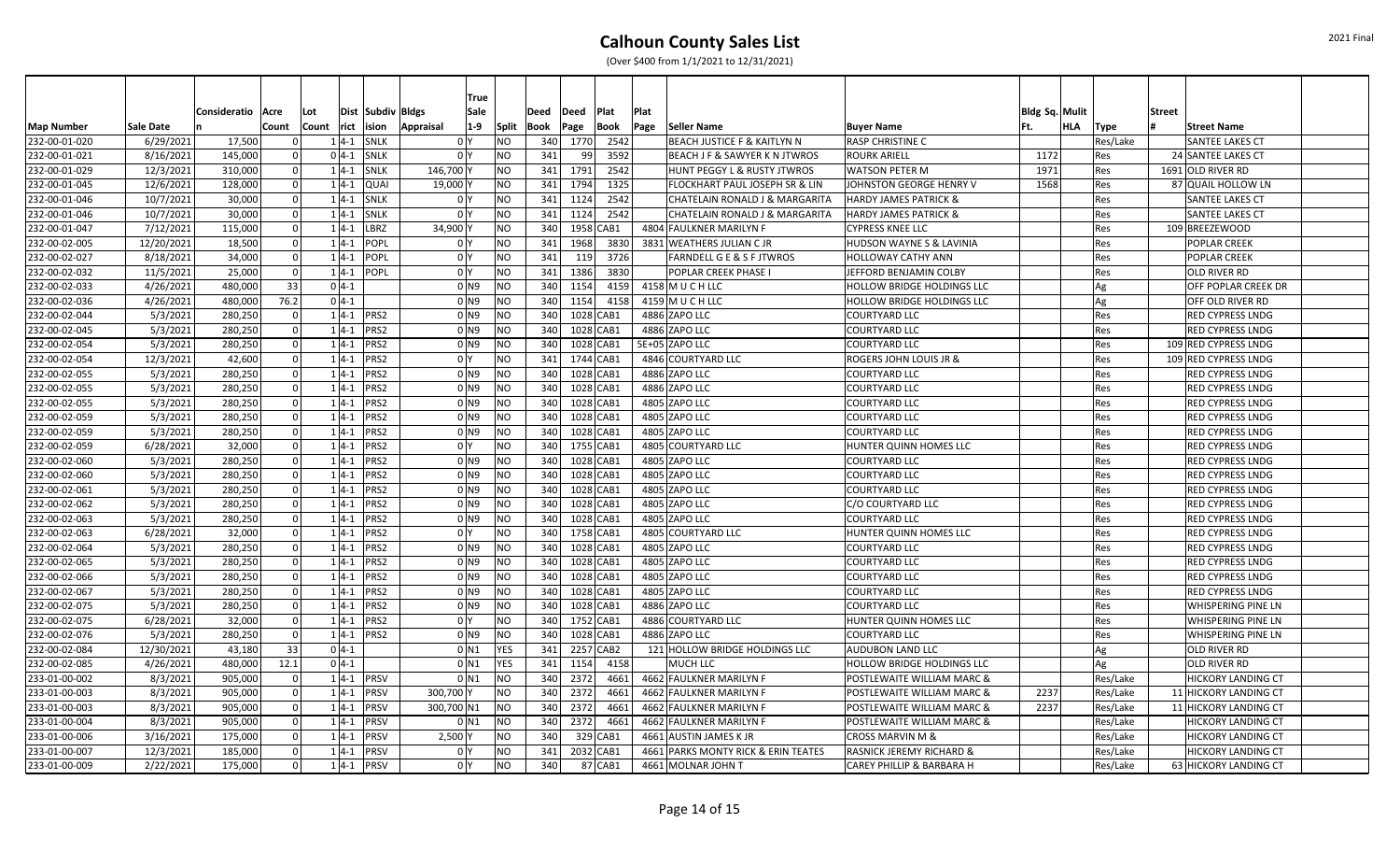|               |            |                     |                |       |               |                   | <b>True</b>         |                |      |           |           |      |                                      |                                     |                       |          |                           |  |
|---------------|------------|---------------------|----------------|-------|---------------|-------------------|---------------------|----------------|------|-----------|-----------|------|--------------------------------------|-------------------------------------|-----------------------|----------|---------------------------|--|
|               |            | Consideratio   Acre |                | Lot   |               | Dist Subdiv Bldgs | Sale                |                | Deed | Deed      | Plat      | Plat |                                      |                                     | <b>Bldg Sq. Mulit</b> |          | <b>Street</b>             |  |
| Map Number    | Sale Date  |                     | Count          | Count | rict ision    |                   | $1-9$<br>Appraisal  | <b>Split</b>   | Book | Page      | Book      | Page | Seller Name                          | <b>Buyer Name</b>                   | HLA<br>Ft.            | Type     | <b>Street Name</b>        |  |
| 232-00-01-020 | 6/29/2021  | 17,500              |                |       | $1 4-1 $      | <b>SNLK</b>       | 0 Y                 | NO             | 340  | 1770      | 2542      |      | BEACH JUSTICE F & KAITLYN N          | <b>RASP CHRISTINE C</b>             |                       | Res/Lake | <b>SANTEE LAKES CT</b>    |  |
| 232-00-01-021 | 8/16/2021  | 145,000             |                |       | $0 4-1$       | <b>SNLK</b>       | 0 <sup>1</sup>      | NO.            | 341  | 99        | 3592      |      | BEACH J F & SAWYER K N JTWROS        | <b>ROURK ARIELL</b>                 | 1172                  | Res      | 24 SANTEE LAKES CT        |  |
| 232-00-01-029 | 12/3/2021  | 310,000             | $\overline{0}$ |       | $1 4-1 $      | <b>SNLK</b>       | 146,700             | NO.            | 341  | 1791      | 2542      |      | HUNT PEGGY L & RUSTY JTWROS          | <b>WATSON PETER M</b>               | 1971                  | Res      | 1691 OLD RIVER RD         |  |
| 232-00-01-045 | 12/6/2021  | 128,000             | $\Omega$       |       | $1 4-1 $      | <b>QUAI</b>       | 19,000              | ΝO             | 341  | 1794      | 1325      |      | FLOCKHART PAUL JOSEPH SR & LIN       | JOHNSTON GEORGE HENRY V             | 1568                  | Res      | 87 QUAIL HOLLOW LN        |  |
| 232-00-01-046 | 10/7/2021  | 30,000              | $\Omega$       |       | $1 4-1 $      | <b>SNLK</b>       | 0 <sup>1</sup>      | <b>NO</b>      | 341  | 1124      | 2542      |      | CHATELAIN RONALD J & MARGARITA       | <b>HARDY JAMES PATRICK &amp;</b>    |                       | Res      | <b>SANTEE LAKES CT</b>    |  |
| 232-00-01-046 | 10/7/2021  | 30,000              | $\Omega$       |       | $1 4-1 $      | <b>SNLK</b>       | 0                   | <b>NO</b>      | 341  | 1124      | 2542      |      | CHATELAIN RONALD J & MARGARITA       | <b>HARDY JAMES PATRICK &amp;</b>    |                       | Res      | <b>SANTEE LAKES CT</b>    |  |
| 232-00-01-047 | 7/12/2021  | 115,000             | $\Omega$       |       | $1 4-1$       | LBRZ              | 34,900              | <b>NO</b>      | 340  |           | 1958 CAB1 |      | 4804 FAULKNER MARILYN F              | <b>CYPRESS KNEE LLC</b>             |                       | Res      | 109 BREEZEWOOD            |  |
| 232-00-02-005 | 12/20/2021 | 18,500              | $\Omega$       |       | $1 4-1$       | POPL              | 0 Y                 | <b>NO</b>      | 341  | 1968      | 3830      |      | 3831 WEATHERS JULIAN C JR            | <b>HUDSON WAYNE S &amp; LAVINIA</b> |                       | Res      | <b>POPLAR CREEK</b>       |  |
| 232-00-02-027 | 8/18/2021  | 34,000              |                |       | $1 4-1 $      | <b>POPL</b>       | 0 <sup>1</sup>      | NO             | 341  | 119       | 3726      |      | <b>FARNDELL G E &amp; S F JTWROS</b> | <b>HOLLOWAY CATHY ANN</b>           |                       | Res      | <b>POPLAR CREEK</b>       |  |
| 232-00-02-032 | 11/5/2021  | 25,000              | $\Omega$       |       | $1 4-1 $      | POPL              | 0 Y                 | ΝO             | 341  | 1386      | 3830      |      | POPLAR CREEK PHASE I                 | JEFFORD BENJAMIN COLBY              |                       | Res      | <b>OLD RIVER RD</b>       |  |
| 232-00-02-033 | 4/26/2021  | 480,000             | 33             |       | $0 4-1 $      |                   | 0 <sub>N9</sub>     | <b>NO</b>      | 340  | 1154      | 4159      |      | 4158 M U C H LLC                     | <b>HOLLOW BRIDGE HOLDINGS LLC</b>   |                       | Ag       | OFF POPLAR CREEK DR       |  |
| 232-00-02-036 | 4/26/2021  | 480,000             | 76.2           |       | $0 4-1 $      |                   | 0 <sub>N9</sub>     | <b>NO</b>      | 340  | 1154      | 4158      |      | 4159 M U C H LLC                     | <b>HOLLOW BRIDGE HOLDINGS LLC</b>   |                       | Ag       | <b>OFF OLD RIVER RD</b>   |  |
| 232-00-02-044 | 5/3/2021   | 280,250             | -ol            |       | $1 4-1 $ PRS2 |                   | 0 <sub>N9</sub>     | NO             | 340  |           | 1028 CAB1 |      | 4886 ZAPO LLC                        | <b>COURTYARD LLC</b>                |                       | Res      | <b>RED CYPRESS LNDG</b>   |  |
| 232-00-02-045 | 5/3/2021   | 280,250             | 0l             |       | $1 4-1$       | PRS <sub>2</sub>  | 0 <sub>N9</sub>     | <b>NO</b>      | 340  | 1028 CAB1 |           |      | 4886 ZAPO LLC                        | <b>COURTYARD LLC</b>                |                       | Res      | <b>RED CYPRESS LNDG</b>   |  |
| 232-00-02-054 | 5/3/2021   | 280,250             | $\Omega$       |       | $1 4-1$       | PRS <sub>2</sub>  | 0 <sub>N9</sub>     | NO             | 340  |           | 1028 CAB1 |      | 5E+05 ZAPO LLC                       | <b>COURTYARD LLC</b>                |                       | Res      | 109 RED CYPRESS LNDG      |  |
| 232-00-02-054 | 12/3/2021  | 42,600              | 0 <sup>l</sup> |       | $1 4-1 $      | PRS2              | 0 Y                 | <b>NO</b>      | 341  | 1744 CAB1 |           |      | 4846 COURTYARD LLC                   | <b>ROGERS JOHN LOUIS JR &amp;</b>   |                       | Res      | 109 RED CYPRESS LNDG      |  |
| 232-00-02-055 | 5/3/2021   | 280,250             | $\Omega$       |       | $1 4-1 $      | PRS2              | 0 <sub>N9</sub>     | <b>NO</b>      | 340  |           | 1028 CAB1 |      | 4886 ZAPO LLC                        | <b>COURTYARD LLC</b>                |                       | Res      | <b>RED CYPRESS LNDG</b>   |  |
| 232-00-02-055 | 5/3/2021   | 280,250             |                |       | $1 4-1 $      | PRS <sub>2</sub>  | 0 N9                | <b>NO</b>      | 340  |           | 1028 CAB1 |      | 4886 ZAPO LLC                        | <b>COURTYARD LLC</b>                |                       | Res      | <b>RED CYPRESS LNDG</b>   |  |
| 232-00-02-055 | 5/3/2021   | 280,250             |                |       | $1 4-1$       | PRS2              | 0 N9                | NO             | 340  |           | 1028 CAB1 |      | 4805 ZAPO LLC                        | <b>COURTYARD LLC</b>                |                       | Res      | <b>RED CYPRESS LNDG</b>   |  |
| 232-00-02-059 | 5/3/2021   | 280,250             |                |       | $1 4-1 $      | <b>PRS2</b>       | 0 N9                | <b>NO</b>      | 340  |           | 1028 CAB1 |      | 4805 ZAPO LLC                        | <b>COURTYARD LLC</b>                |                       | Res      | <b>RED CYPRESS LNDG</b>   |  |
| 232-00-02-059 | 5/3/2021   | 280,250             | $\Omega$       |       | $1 4-1 $      | PRS2              | 0 <sub>N9</sub>     | N <sub>O</sub> | 340  |           | 1028 CAB1 |      | 4805 ZAPO LLC                        | <b>COURTYARD LLC</b>                |                       | Res      | <b>RED CYPRESS LNDG</b>   |  |
| 232-00-02-059 | 6/28/2021  | 32,000              | 0              |       | $1 4-1 $      | PRS2              | 0 <sup>I</sup> Y    | <b>NO</b>      | 340  |           | 1755 CAB1 |      | 4805 COURTYARD LLC                   | HUNTER QUINN HOMES LLC              |                       | Res      | <b>RED CYPRESS LNDG</b>   |  |
| 232-00-02-060 | 5/3/2021   | 280,250             | 0 <sup>1</sup> |       | $1 4-1 $      | PRS2              | 0 <sub>N9</sub>     | <b>NO</b>      | 340  |           | 1028 CAB1 |      | 4805 ZAPO LLC                        | <b>COURTYARD LLC</b>                |                       | Res      | <b>RED CYPRESS LNDG</b>   |  |
| 232-00-02-060 | 5/3/2021   | 280,250             | $\Omega$       |       | $1 4-1$       | PRS <sub>2</sub>  | 0 <sub>N9</sub>     | NO             | 340  |           | 1028 CAB1 |      | 4805 ZAPO LLC                        | <b>COURTYARD LLC</b>                |                       | Res      | <b>RED CYPRESS LNDG</b>   |  |
| 232-00-02-061 | 5/3/2021   | 280,250             | $\Omega$       |       | $1 4-1$       | PRS <sub>2</sub>  | 0 <sub>N9</sub>     | <b>NO</b>      | 340  |           | 1028 CAB1 |      | 4805 ZAPO LLC                        | <b>COURTYARD LLC</b>                |                       | Res      | <b>RED CYPRESS LNDG</b>   |  |
| 232-00-02-062 | 5/3/2021   | 280,250             | $\Omega$       |       | $1 4-1$       | PRS <sub>2</sub>  | 0 <sub>N9</sub>     | <b>NO</b>      | 340  |           | 1028 CAB1 |      | 4805 ZAPO LLC                        | C/O COURTYARD LLC                   |                       | Res      | <b>RED CYPRESS LNDG</b>   |  |
| 232-00-02-063 | 5/3/2021   | 280,250             | $\Omega$       |       | $1 4-1 $      | PRS <sub>2</sub>  | $0$ N9              | <b>NO</b>      | 340  |           | 1028 CAB1 |      | 4805 ZAPO LLC                        | <b>COURTYARD LLC</b>                |                       | Res      | <b>RED CYPRESS LNDG</b>   |  |
| 232-00-02-063 | 6/28/2021  | 32,000              |                |       | $1 4-1 $      | PRS <sub>2</sub>  | 0 Y                 | ΝO             | 340  |           | 1758 CAB1 |      | 4805 COURTYARD LLC                   | HUNTER QUINN HOMES LLC              |                       | Res      | <b>RED CYPRESS LNDG</b>   |  |
| 232-00-02-064 | 5/3/2021   | 280,250             |                |       | $1 4-1 $      | <b>PRS2</b>       | 0 N 9               | <b>NO</b>      | 340  |           | 1028 CAB1 |      | 4805 ZAPO LLC                        | <b>COURTYARD LLC</b>                |                       | Res      | <b>RED CYPRESS LNDG</b>   |  |
| 232-00-02-065 | 5/3/2021   | 280,250             | 0l             |       | $1 4-1 $      | <b>PRS2</b>       | 0 <sub>N9</sub>     | <b>NO</b>      | 340  |           | 1028 CAB1 |      | 4805 ZAPO LLC                        | <b>COURTYARD LLC</b>                |                       | Res      | <b>RED CYPRESS LNDG</b>   |  |
| 232-00-02-066 | 5/3/2021   | 280,250             | $\Omega$       |       | $1 4-1 $ PRS2 |                   | $01$ N <sub>9</sub> | NO             | 340  |           | 1028 CAB1 |      | 4805 ZAPO LLC                        | <b>COURTYARD LLC</b>                |                       | Res      | <b>RED CYPRESS LNDG</b>   |  |
| 232-00-02-067 | 5/3/2021   | 280,250             | $\Omega$       |       | $1 4-1 $      | PRS <sub>2</sub>  | $0$ N9              | NO             | 340  | 1028 CAB1 |           |      | 4805 ZAPO LLC                        | <b>COURTYARD LLC</b>                |                       | Res      | <b>RED CYPRESS LNDG</b>   |  |
| 232-00-02-075 | 5/3/2021   | 280,250             | $\Omega$       |       | $1 4-1$       | PRS <sub>2</sub>  | 0 N 9               | ΝO             | 340  | 1028 CAB1 |           |      | 4886 ZAPO LLC                        | <b>COURTYARD LLC</b>                |                       | Res      | <b>WHISPERING PINE LN</b> |  |
| 232-00-02-075 | 6/28/2021  | 32,000              | $\Omega$       |       | $1 4-1$       | PRS2              | 0 Y                 | NO.            | 340  | 1752 CAB1 |           |      | 4886 COURTYARD LLC                   | HUNTER QUINN HOMES LLC              |                       | Res      | <b>WHISPERING PINE LN</b> |  |
| 232-00-02-076 | 5/3/2021   | 280,250             | 0l             |       | $1 4-1 $ PRS2 |                   | 0 N 9               | <b>NO</b>      | 340  | 1028 CAB1 |           |      | 4886 ZAPO LLC                        | <b>COURTYARD LLC</b>                |                       | Res      | <b>WHISPERING PINE LN</b> |  |
| 232-00-02-084 | 12/30/2021 | 43,180              | 33             |       | $0 4-1$       |                   | 0 N 1               | <b>YES</b>     | 341  |           | 2257 CAB2 |      | 121 HOLLOW BRIDGE HOLDINGS LLC       | <b>AUDUBON LAND LLC</b>             |                       | Ag       | <b>OLD RIVER RD</b>       |  |
| 232-00-02-085 | 4/26/2021  | 480,000             | 12.1           |       | $0 4-1$       |                   | $0$ N <sub>1</sub>  | <b>YES</b>     | 341  | 1154      | 4158      |      | MUCH LLC                             | <b>HOLLOW BRIDGE HOLDINGS LLC</b>   |                       | Ag       | <b>OLD RIVER RD</b>       |  |
| 233-01-00-002 | 8/3/2021   | 905,000             |                |       | $1 4-1 $ PRSV |                   | $0$ N1              | NO.            | 340  | 2372      | 4661      |      | 4662 FAULKNER MARILYN F              | POSTLEWAITE WILLIAM MARC &          |                       | Res/Lake | <b>HICKORY LANDING CT</b> |  |
| 233-01-00-003 | 8/3/2021   | 905,000             | -ol            |       | $1 4-1$       | <b>PRSV</b>       | 300,700             | NO.            | 340  | 2372      | 4661      |      | 4662 FAULKNER MARILYN F              | POSTLEWAITE WILLIAM MARC &          | 2237                  | Res/Lake | 11 HICKORY LANDING CT     |  |
| 233-01-00-003 | 8/3/2021   | 905,000             | 0l             |       | $1 4-1$       | <b>PRSV</b>       | 300,700 N1          | INO            | 340  | 2372      | 4661      |      | 4662 FAULKNER MARILYN F              | POSTLEWAITE WILLIAM MARC &          | 2237                  | Res/Lake | 11 HICKORY LANDING CT     |  |
| 233-01-00-004 | 8/3/2021   | 905,000             | $\Omega$       |       | $1 4-1$       | <b>PRSV</b>       | 0 N 1               | <b>NO</b>      | 340  | 2372      | 4661      |      | 4662 FAULKNER MARILYN F              | POSTLEWAITE WILLIAM MARC &          |                       | Res/Lake | <b>HICKORY LANDING CT</b> |  |
| 233-01-00-006 | 3/16/2021  | 175,000             |                |       | $1 4-1$       | PRSV              | 2,500               | NΟ             | 340  |           | 329 CAB1  |      | 4661 AUSTIN JAMES K JR               | <b>CROSS MARVIN M &amp;</b>         |                       | Res/Lake | <b>HICKORY LANDING CT</b> |  |
| 233-01-00-007 | 12/3/2021  | 185,000             | $\Omega$       |       | $1 4-1$       | <b>PRSV</b>       | 0 Y                 | NO             | 341  |           | 2032 CAB1 |      | 4661 PARKS MONTY RICK & ERIN TEATES  | <b>RASNICK JEREMY RICHARD &amp;</b> |                       | Res/Lake | <b>HICKORY LANDING CT</b> |  |
| 233-01-00-009 | 2/22/2021  | 175,000             | $\Omega$       |       | $1 4-1$       | <b>PRSV</b>       | 0 Y                 | NO             | 340  |           | 87 CAB1   |      | 4661 MOLNAR JOHN T                   | CAREY PHILLIP & BARBARA H           |                       | Res/Lake | 63 HICKORY LANDING CT     |  |